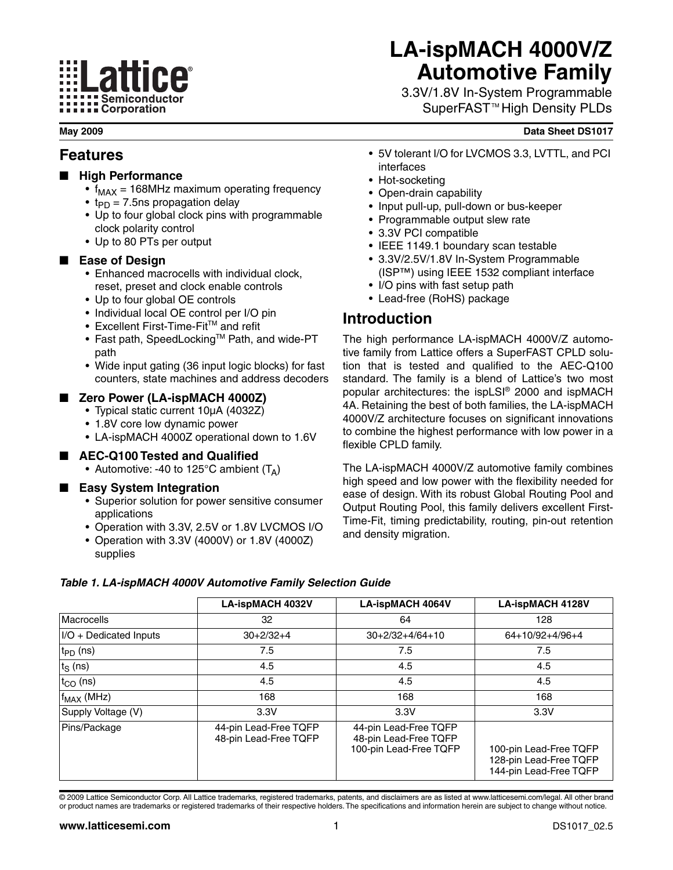# **ELattice®** Semiconductor Corporation

# **LA-ispMACH 4000V/Z Automotive Family**

3.3V/1.8V In-System Programmable SuperFAST™High Density PLDs

#### **May 2009 Data Sheet DS1017**

### **Features**

- **High Performance** 
	- $f_{MAX}$  = 168MHz maximum operating frequency
	- $t_{\text{PD}} = 7.5$ ns propagation delay
	- Up to four global clock pins with programmable clock polarity control
	- Up to 80 PTs per output

### ■ **Ease of Design**

- Enhanced macrocells with individual clock, reset, preset and clock enable controls
- Up to four global OE controls
- Individual local OE control per I/O pin
- Excellent First-Time-Fit<sup>™</sup> and refit
- Fast path, SpeedLocking™ Path, and wide-PT path
- Wide input gating (36 input logic blocks) for fast counters, state machines and address decoders

#### ■ **Zero Power (LA-ispMACH 4000Z)**

- Typical static current 10µA (4032Z)
- 1.8V core low dynamic power
- LA-ispMACH 4000Z operational down to 1.6V

#### ■ **AEC-Q100 Tested and Qualified**

• Automotive: -40 to 125°C ambient  $(T_A)$ 

#### **Easy System Integration**

- Superior solution for power sensitive consumer applications
- Operation with 3.3V, 2.5V or 1.8V LVCMOS I/O
- Operation with 3.3V (4000V) or 1.8V (4000Z) supplies
- 5V tolerant I/O for LVCMOS 3.3, LVTTL, and PCI interfaces
- Hot-socketing
- Open-drain capability
- Input pull-up, pull-down or bus-keeper
- Programmable output slew rate
- 3.3V PCI compatible
- IEEE 1149.1 boundary scan testable
- 3.3V/2.5V/1.8V In-System Programmable (ISP™) using IEEE 1532 compliant interface
- I/O pins with fast setup path
- Lead-free (RoHS) package

### **Introduction**

The high performance LA-ispMACH 4000V/Z automotive family from Lattice offers a SuperFAST CPLD solution that is tested and qualified to the AEC-Q100 standard. The family is a blend of Lattice's two most popular architectures: the ispLSI® 2000 and ispMACH 4A. Retaining the best of both families, the LA-ispMACH 4000V/Z architecture focuses on significant innovations to combine the highest performance with low power in a flexible CPLD family.

The LA-ispMACH 4000V/Z automotive family combines high speed and low power with the flexibility needed for ease of design. With its robust Global Routing Pool and Output Routing Pool, this family delivers excellent First-Time-Fit, timing predictability, routing, pin-out retention and density migration.

|                           | <b>LA-ispMACH 4032V</b>                        | <b>LA-ispMACH 4064V</b>                                                  | <b>LA-ispMACH 4128V</b>                                                    |
|---------------------------|------------------------------------------------|--------------------------------------------------------------------------|----------------------------------------------------------------------------|
| Macrocells                | 32                                             | 64                                                                       | 128                                                                        |
| $ I/O + Dedicated$ Inputs | $30+2/32+4$                                    | $30+2/32+4/64+10$                                                        | 64+10/92+4/96+4                                                            |
| $ t_{\mathsf{PD}}$ (ns)   | 7.5                                            | 7.5                                                                      | 7.5                                                                        |
| $ t_{S}$ (ns)             | 4.5                                            | 4.5                                                                      | 4.5                                                                        |
| $ t_{\rm CO}$ (ns)        | 4.5                                            | 4.5                                                                      | 4.5                                                                        |
| $ f_{MAX}$ (MHz)          | 168                                            | 168                                                                      | 168                                                                        |
| Supply Voltage (V)        | 3.3V                                           | 3.3V                                                                     | 3.3V                                                                       |
| Pins/Package              | 44-pin Lead-Free TQFP<br>48-pin Lead-Free TQFP | 44-pin Lead-Free TQFP<br>48-pin Lead-Free TQFP<br>100-pin Lead-Free TQFP | 100-pin Lead-Free TQFP<br>128-pin Lead-Free TQFP<br>144-pin Lead-Free TQFP |

#### *Table 1. LA-ispMACH 4000V Automotive Family Selection Guide*

© 2009 Lattice Semiconductor Corp. All Lattice trademarks, registered trademarks, patents, and disclaimers are as listed at www.latticesemi.com/legal. All other brand or product names are trademarks or registered trademarks of their respective holders. The specifications and information herein are subject to change without notice.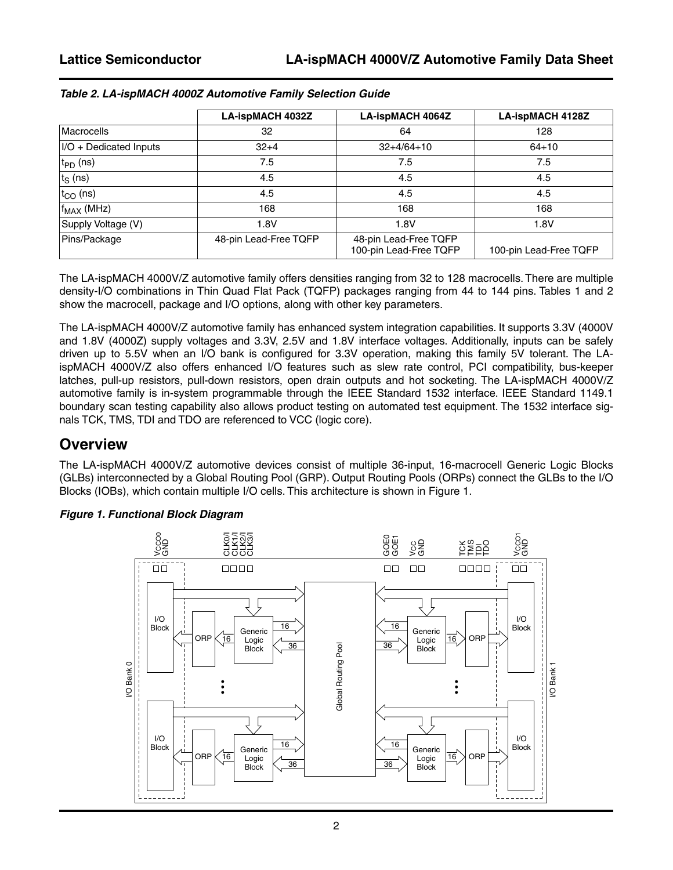|                         | <b>LA-ispMACH 4032Z</b> | <b>LA-ispMACH 4064Z</b>                         | LA-ispMACH 4128Z       |
|-------------------------|-------------------------|-------------------------------------------------|------------------------|
| Macrocells              | 32                      | 64                                              | 128                    |
| I/O + Dedicated Inputs  | $32+4$                  | $32+4/64+10$                                    | $64 + 10$              |
| $ t_{\mathsf{PD}}$ (ns) | 7.5                     | 7.5                                             | 7.5                    |
| $ t_{\rm S}$ (ns)       | 4.5                     | 4.5                                             | 4.5                    |
| $ t_{\rm CO}$ (ns)      | 4.5                     | 4.5                                             | 4.5                    |
| $ f_{MAX}$ (MHz)        | 168                     | 168                                             | 168                    |
| Supply Voltage (V)      | 1.8V                    | 1.8V                                            | 1.8V                   |
| Pins/Package            | 48-pin Lead-Free TQFP   | 48-pin Lead-Free TQFP<br>100-pin Lead-Free TQFP | 100-pin Lead-Free TQFP |

#### *Table 2. LA-ispMACH 4000Z Automotive Family Selection Guide*

The LA-ispMACH 4000V/Z automotive family offers densities ranging from 32 to 128 macrocells. There are multiple density-I/O combinations in Thin Quad Flat Pack (TQFP) packages ranging from 44 to 144 pins. Tables 1 and 2 show the macrocell, package and I/O options, along with other key parameters.

The LA-ispMACH 4000V/Z automotive family has enhanced system integration capabilities. It supports 3.3V (4000V and 1.8V (4000Z) supply voltages and 3.3V, 2.5V and 1.8V interface voltages. Additionally, inputs can be safely driven up to 5.5V when an I/O bank is configured for 3.3V operation, making this family 5V tolerant. The LAispMACH 4000V/Z also offers enhanced I/O features such as slew rate control, PCI compatibility, bus-keeper latches, pull-up resistors, pull-down resistors, open drain outputs and hot socketing. The LA-ispMACH 4000V/Z automotive family is in-system programmable through the IEEE Standard 1532 interface. IEEE Standard 1149.1 boundary scan testing capability also allows product testing on automated test equipment. The 1532 interface signals TCK, TMS, TDI and TDO are referenced to VCC (logic core).

### **Overview**

The LA-ispMACH 4000V/Z automotive devices consist of multiple 36-input, 16-macrocell Generic Logic Blocks (GLBs) interconnected by a Global Routing Pool (GRP). Output Routing Pools (ORPs) connect the GLBs to the I/O Blocks (IOBs), which contain multiple I/O cells. This architecture is shown in [Figure 1.](#page-1-0)



#### <span id="page-1-0"></span>*Figure 1. Functional Block Diagram*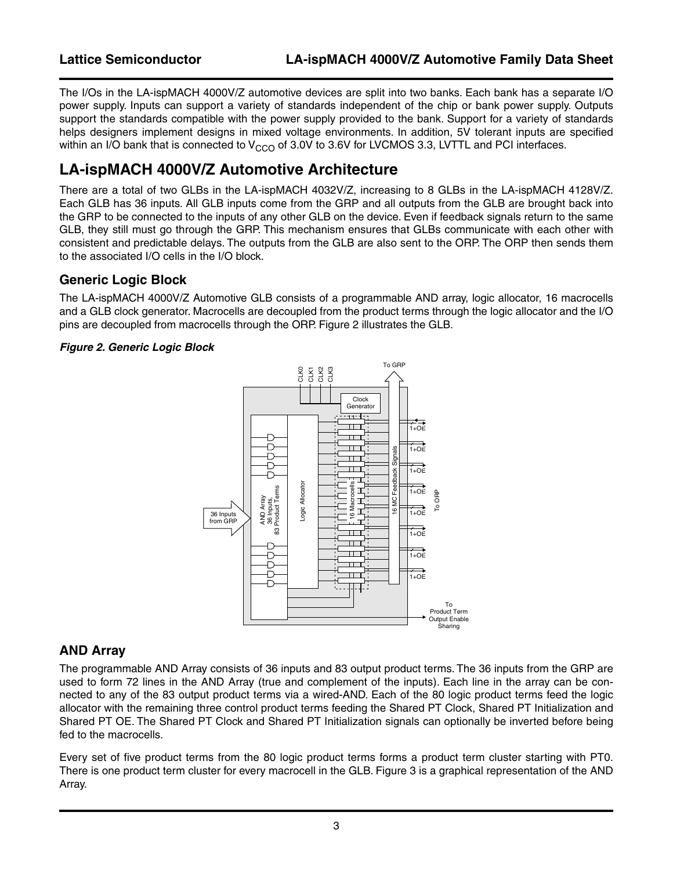The I/Os in the LA-ispMACH 4000V/Z automotive devices are split into two banks. Each bank has a separate I/O power supply. Inputs can support a variety of standards independent of the chip or bank power supply. Outputs support the standards compatible with the power supply provided to the bank. Support for a variety of standards helps designers implement designs in mixed voltage environments. In addition, 5V tolerant inputs are specified within an I/O bank that is connected to  $V_{CCO}$  of 3.0V to 3.6V for LVCMOS 3.3, LVTTL and PCI interfaces.

### **LA-ispMACH 4000V/Z Automotive Architecture**

There are a total of two GLBs in the LA-ispMACH 4032V/Z, increasing to 8 GLBs in the LA-ispMACH 4128V/Z. Each GLB has 36 inputs. All GLB inputs come from the GRP and all outputs from the GLB are brought back into the GRP to be connected to the inputs of any other GLB on the device. Even if feedback signals return to the same GLB, they still must go through the GRP. This mechanism ensures that GLBs communicate with each other with consistent and predictable delays. The outputs from the GLB are also sent to the ORP. The ORP then sends them to the associated I/O cells in the I/O block.

### **Generic Logic Block**

The LA-ispMACH 4000V/Z Automotive GLB consists of a programmable AND array, logic allocator, 16 macrocells and a GLB clock generator. Macrocells are decoupled from the product terms through the logic allocator and the I/O pins are decoupled from macrocells through the ORP. [Figure 2](#page-2-0) illustrates the GLB.

#### <span id="page-2-0"></span>*Figure 2. Generic Logic Block*



### **AND Array**

The programmable AND Array consists of 36 inputs and 83 output product terms. The 36 inputs from the GRP are used to form 72 lines in the AND Array (true and complement of the inputs). Each line in the array can be connected to any of the 83 output product terms via a wired-AND. Each of the 80 logic product terms feed the logic allocator with the remaining three control product terms feeding the Shared PT Clock, Shared PT Initialization and Shared PT OE. The Shared PT Clock and Shared PT Initialization signals can optionally be inverted before being fed to the macrocells.

Every set of five product terms from the 80 logic product terms forms a product term cluster starting with PT0. There is one product term cluster for every macrocell in the GLB. [Figure 3](#page-3-0) is a graphical representation of the AND Array.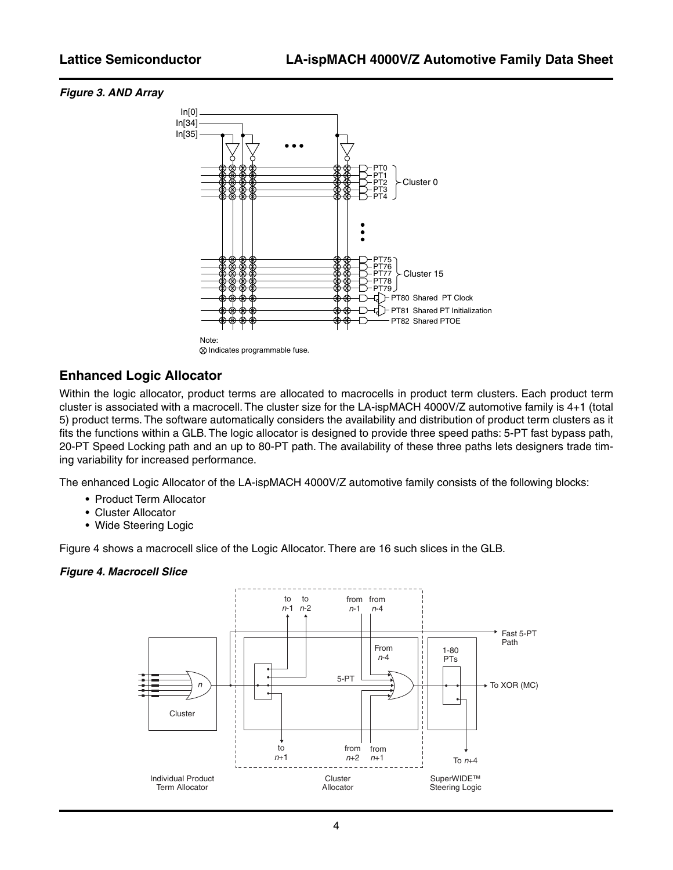#### <span id="page-3-0"></span>*Figure 3. AND Array*



### **Enhanced Logic Allocator**

Within the logic allocator, product terms are allocated to macrocells in product term clusters. Each product term cluster is associated with a macrocell. The cluster size for the LA-ispMACH 4000V/Z automotive family is 4+1 (total 5) product terms. The software automatically considers the availability and distribution of product term clusters as it fits the functions within a GLB. The logic allocator is designed to provide three speed paths: 5-PT fast bypass path, 20-PT Speed Locking path and an up to 80-PT path. The availability of these three paths lets designers trade timing variability for increased performance.

The enhanced Logic Allocator of the LA-ispMACH 4000V/Z automotive family consists of the following blocks:

- Product Term Allocator
- Cluster Allocator
- Wide Steering Logic

[Figure 4](#page-3-1) shows a macrocell slice of the Logic Allocator. There are 16 such slices in the GLB.

#### <span id="page-3-1"></span>*Figure 4. Macrocell Slice*

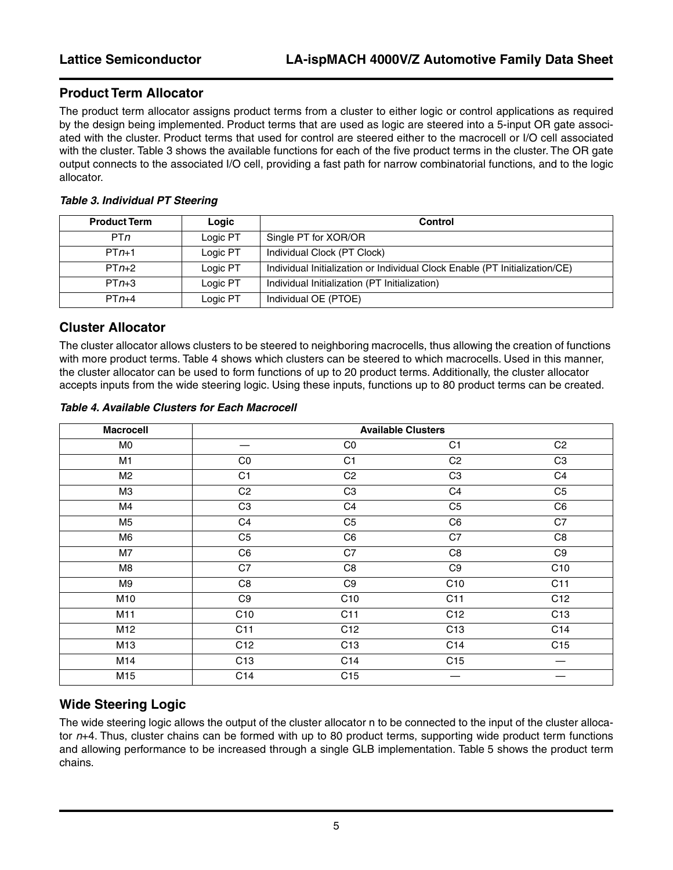### **Product Term Allocator**

The product term allocator assigns product terms from a cluster to either logic or control applications as required by the design being implemented. Product terms that are used as logic are steered into a 5-input OR gate associated with the cluster. Product terms that used for control are steered either to the macrocell or I/O cell associated with the cluster. [Table 3](#page-4-0) shows the available functions for each of the five product terms in the cluster. The OR gate output connects to the associated I/O cell, providing a fast path for narrow combinatorial functions, and to the logic allocator.

#### <span id="page-4-0"></span>*Table 3. Individual PT Steering*

| <b>Product Term</b> | Logic    | Control                                                                     |
|---------------------|----------|-----------------------------------------------------------------------------|
| PT <sub>n</sub>     | Logic PT | Single PT for XOR/OR                                                        |
| $PTn+1$             | Logic PT | Individual Clock (PT Clock)                                                 |
| $PTn+2$             | Logic PT | Individual Initialization or Individual Clock Enable (PT Initialization/CE) |
| $PTn+3$             | Logic PT | Individual Initialization (PT Initialization)                               |
| $PTn+4$             | Logic PT | Individual OE (PTOE)                                                        |

### **Cluster Allocator**

The cluster allocator allows clusters to be steered to neighboring macrocells, thus allowing the creation of functions with more product terms. [Table 4](#page-4-1) shows which clusters can be steered to which macrocells. Used in this manner, the cluster allocator can be used to form functions of up to 20 product terms. Additionally, the cluster allocator accepts inputs from the wide steering logic. Using these inputs, functions up to 80 product terms can be created.

#### <span id="page-4-1"></span>*Table 4. Available Clusters for Each Macrocell*

| <b>Macrocell</b> |                 |                 | <b>Available Clusters</b> |                 |
|------------------|-----------------|-----------------|---------------------------|-----------------|
| M0               |                 | CO              | C <sub>1</sub>            | C <sub>2</sub>  |
| M1               | CO              | C <sub>1</sub>  | C <sub>2</sub>            | C <sub>3</sub>  |
| M <sub>2</sub>   | C1              | C <sub>2</sub>  | C <sub>3</sub>            | C4              |
| M <sub>3</sub>   | C <sub>2</sub>  | C <sub>3</sub>  | C <sub>4</sub>            | C <sub>5</sub>  |
| M4               | C <sub>3</sub>  | C4              | C <sub>5</sub>            | C6              |
| M5               | C <sub>4</sub>  | C <sub>5</sub>  | C6                        | C7              |
| M6               | C <sub>5</sub>  | C6              | C7                        | C8              |
| M7               | C6              | C7              | C8                        | C <sub>9</sub>  |
| M <sub>8</sub>   | C7              | C8              | C <sub>9</sub>            | C10             |
| M9               | C8              | C9              | C10                       | C11             |
| M10              | C <sub>9</sub>  | C10             | C11                       | C <sub>12</sub> |
| M11              | C10             | C11             | C12                       | C <sub>13</sub> |
| M12              | C11             | C12             | C <sub>13</sub>           | C14             |
| M13              | C12             | C <sub>13</sub> | C14                       | C15             |
| M14              | C <sub>13</sub> | C14             | C15                       |                 |
| M15              | C14             | C <sub>15</sub> |                           |                 |

### **Wide Steering Logic**

The wide steering logic allows the output of the cluster allocator n to be connected to the input of the cluster allocator *n*+4. Thus, cluster chains can be formed with up to 80 product terms, supporting wide product term functions and allowing performance to be increased through a single GLB implementation. [Table 5](#page-5-0) shows the product term chains.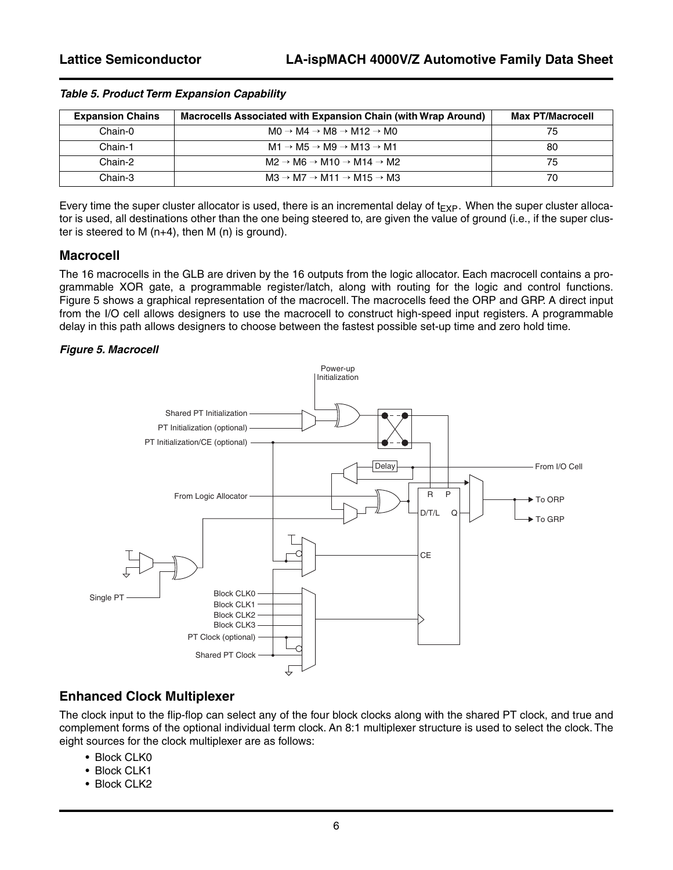| <b>Expansion Chains</b> | Macrocells Associated with Expansion Chain (with Wrap Around)      | <b>Max PT/Macrocell</b> |
|-------------------------|--------------------------------------------------------------------|-------------------------|
| Chain-0                 | $MO \rightarrow MA \rightarrow MB \rightarrow M12 \rightarrow MO$  | 75                      |
| Chain-1                 | $M1 \rightarrow M5 \rightarrow M9 \rightarrow M13 \rightarrow M1$  | 80                      |
| Chain-2                 | $M2 \rightarrow M6 \rightarrow M10 \rightarrow M14 \rightarrow M2$ | 75                      |
| Chain-3                 | $MA \rightarrow M7 \rightarrow M11 \rightarrow M15 \rightarrow M3$ | 70                      |

#### <span id="page-5-0"></span>*Table 5. Product Term Expansion Capability*

Every time the super cluster allocator is used, there is an incremental delay of  $t_{EXP}$ . When the super cluster allocator is used, all destinations other than the one being steered to, are given the value of ground (i.e., if the super cluster is steered to M (n+4), then M (n) is ground).

#### **Macrocell**

The 16 macrocells in the GLB are driven by the 16 outputs from the logic allocator. Each macrocell contains a programmable XOR gate, a programmable register/latch, along with routing for the logic and control functions. [Figure 5](#page-5-1) shows a graphical representation of the macrocell. The macrocells feed the ORP and GRP. A direct input from the I/O cell allows designers to use the macrocell to construct high-speed input registers. A programmable delay in this path allows designers to choose between the fastest possible set-up time and zero hold time.

#### <span id="page-5-1"></span>*Figure 5. Macrocell*



### **Enhanced Clock Multiplexer**

The clock input to the flip-flop can select any of the four block clocks along with the shared PT clock, and true and complement forms of the optional individual term clock. An 8:1 multiplexer structure is used to select the clock. The eight sources for the clock multiplexer are as follows:

- Block CLK0
- Block CLK1
- Block CLK2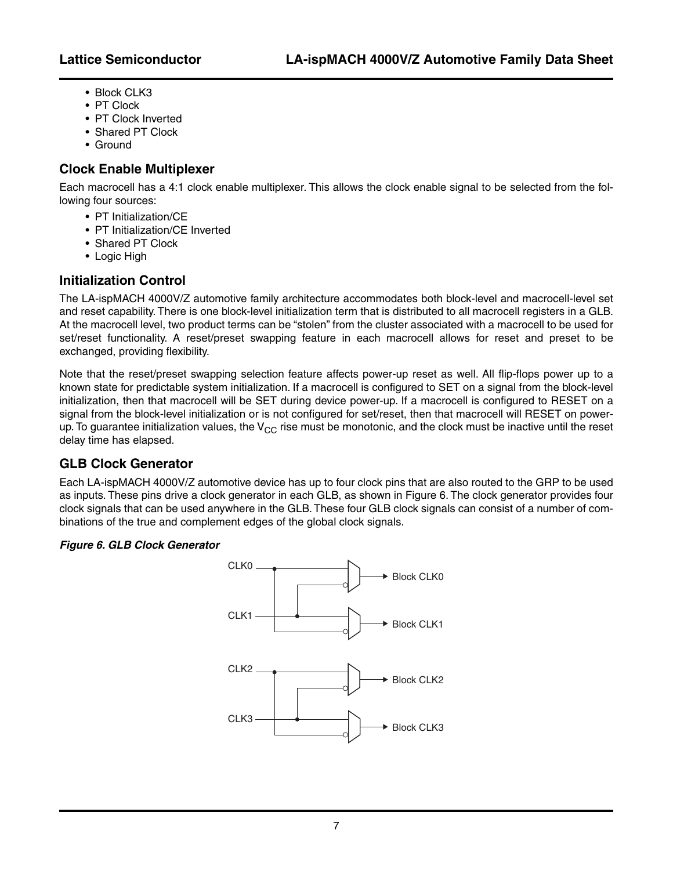- Block CLK3
- PT Clock
- PT Clock Inverted
- Shared PT Clock
- Ground

### **Clock Enable Multiplexer**

Each macrocell has a 4:1 clock enable multiplexer. This allows the clock enable signal to be selected from the following four sources:

- PT Initialization/CE
- PT Initialization/CE Inverted
- Shared PT Clock
- Logic High

### **Initialization Control**

The LA-ispMACH 4000V/Z automotive family architecture accommodates both block-level and macrocell-level set and reset capability. There is one block-level initialization term that is distributed to all macrocell registers in a GLB. At the macrocell level, two product terms can be "stolen" from the cluster associated with a macrocell to be used for set/reset functionality. A reset/preset swapping feature in each macrocell allows for reset and preset to be exchanged, providing flexibility.

Note that the reset/preset swapping selection feature affects power-up reset as well. All flip-flops power up to a known state for predictable system initialization. If a macrocell is configured to SET on a signal from the block-level initialization, then that macrocell will be SET during device power-up. If a macrocell is configured to RESET on a signal from the block-level initialization or is not configured for set/reset, then that macrocell will RESET on powerup. To guarantee initialization values, the  $V_{CC}$  rise must be monotonic, and the clock must be inactive until the reset delay time has elapsed.

### **GLB Clock Generator**

Each LA-ispMACH 4000V/Z automotive device has up to four clock pins that are also routed to the GRP to be used as inputs. These pins drive a clock generator in each GLB, as shown in Figure 6. The clock generator provides four clock signals that can be used anywhere in the GLB. These four GLB clock signals can consist of a number of combinations of the true and complement edges of the global clock signals.

#### *Figure 6. GLB Clock Generator*

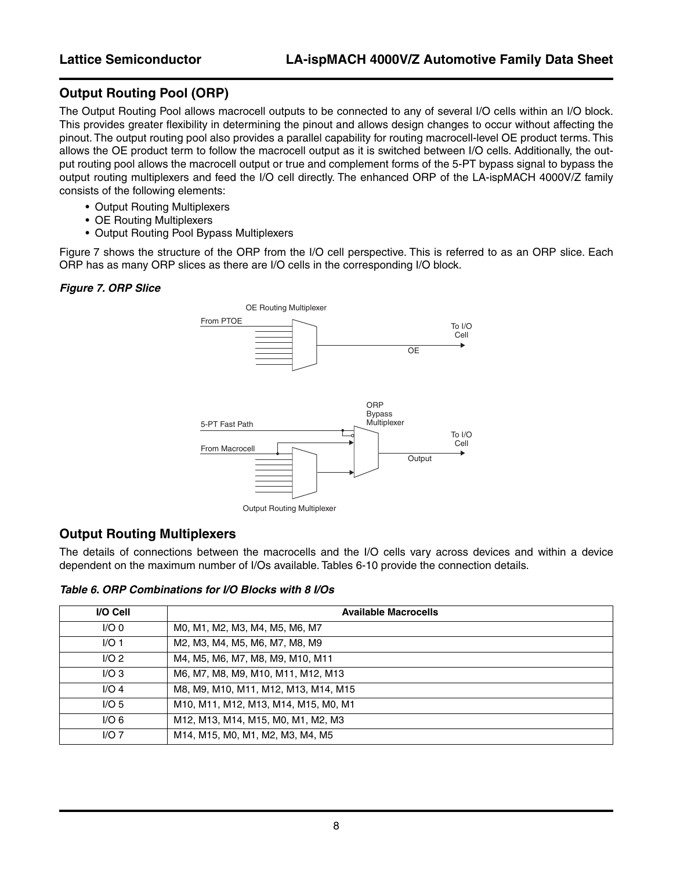### **Output Routing Pool (ORP)**

The Output Routing Pool allows macrocell outputs to be connected to any of several I/O cells within an I/O block. This provides greater flexibility in determining the pinout and allows design changes to occur without affecting the pinout. The output routing pool also provides a parallel capability for routing macrocell-level OE product terms. This allows the OE product term to follow the macrocell output as it is switched between I/O cells. Additionally, the output routing pool allows the macrocell output or true and complement forms of the 5-PT bypass signal to bypass the output routing multiplexers and feed the I/O cell directly. The enhanced ORP of the LA-ispMACH 4000V/Z family consists of the following elements:

- Output Routing Multiplexers
- OE Routing Multiplexers
- Output Routing Pool Bypass Multiplexers

[Figure 7](#page-7-0) shows the structure of the ORP from the I/O cell perspective. This is referred to as an ORP slice. Each ORP has as many ORP slices as there are I/O cells in the corresponding I/O block.

#### <span id="page-7-0"></span>*Figure 7. ORP Slice*



### **Output Routing Multiplexers**

The details of connections between the macrocells and the I/O cells vary across devices and within a device dependent on the maximum number of I/Os available. Tables 6-10 provide the connection details.

*Table 6. ORP Combinations for I/O Blocks with 8 I/Os*

| I/O Cell         | <b>Available Macrocells</b>          |
|------------------|--------------------------------------|
| 1/O <sub>0</sub> | MO, M1, M2, M3, M4, M5, M6, M7       |
| I/O <sub>1</sub> | M2, M3, M4, M5, M6, M7, M8, M9       |
| I/O <sub>2</sub> | M4, M5, M6, M7, M8, M9, M10, M11     |
| I/O3             | M6, M7, M8, M9, M10, M11, M12, M13   |
| $I/O$ 4          | M8, M9, M10, M11, M12, M13, M14, M15 |
| I/O <sub>5</sub> | M10, M11, M12, M13, M14, M15, M0, M1 |
| I/O <sub>6</sub> | M12, M13, M14, M15, M0, M1, M2, M3   |
| $I/O$ 7          | M14, M15, M0, M1, M2, M3, M4, M5     |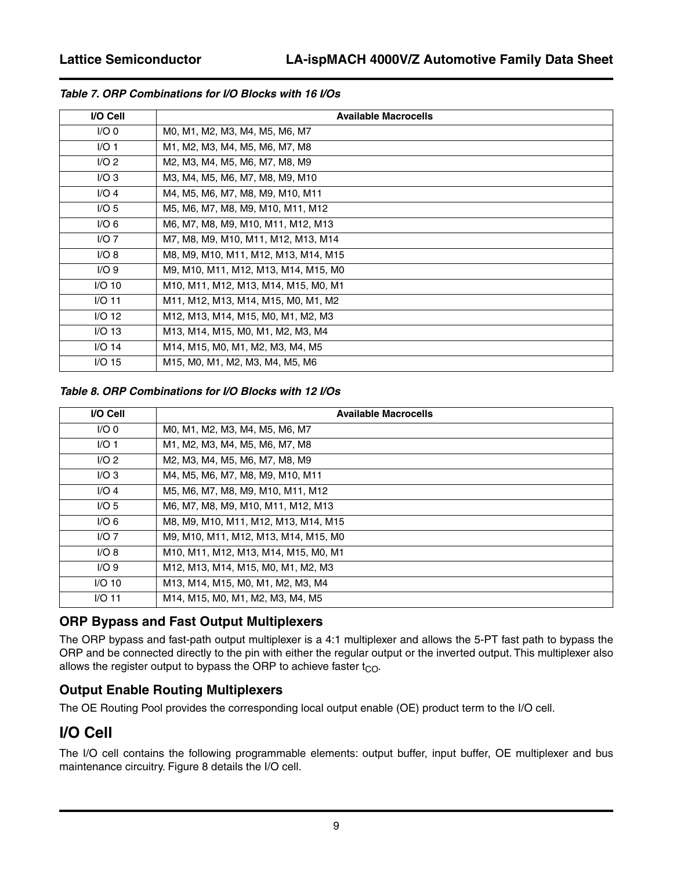| I/O Cell         | <b>Available Macrocells</b>          |
|------------------|--------------------------------------|
| $I/O$ 0          | MO, M1, M2, M3, M4, M5, M6, M7       |
| I/O1             | M1, M2, M3, M4, M5, M6, M7, M8       |
| $I/O$ 2          | M2, M3, M4, M5, M6, M7, M8, M9       |
| I/O3             | M3, M4, M5, M6, M7, M8, M9, M10      |
| $I/O$ 4          | M4, M5, M6, M7, M8, M9, M10, M11     |
| I/O <sub>5</sub> | M5, M6, M7, M8, M9, M10, M11, M12    |
| I/O <sub>6</sub> | M6, M7, M8, M9, M10, M11, M12, M13   |
| $I/O$ 7          | M7, M8, M9, M10, M11, M12, M13, M14  |
| I/O 8            | M8, M9, M10, M11, M12, M13, M14, M15 |
| I/O9             | M9, M10, M11, M12, M13, M14, M15, M0 |
| $I/O$ 10         | M10, M11, M12, M13, M14, M15, M0, M1 |
| $I/O$ 11         | M11, M12, M13, M14, M15, M0, M1, M2  |
| $I/O$ 12         | M12, M13, M14, M15, M0, M1, M2, M3   |
| $I/O$ 13         | M13, M14, M15, M0, M1, M2, M3, M4    |
| $I/O$ 14         | M14, M15, M0, M1, M2, M3, M4, M5     |
| $I/O$ 15         | M15, M0, M1, M2, M3, M4, M5, M6      |

#### *Table 7. ORP Combinations for I/O Blocks with 16 I/Os*

#### *Table 8. ORP Combinations for I/O Blocks with 12 I/Os*

| I/O Cell         | <b>Available Macrocells</b>          |
|------------------|--------------------------------------|
| $I/O$ 0          | MO, M1, M2, M3, M4, M5, M6, M7       |
| I/O <sub>1</sub> | M1, M2, M3, M4, M5, M6, M7, M8       |
| I/O <sub>2</sub> | M2, M3, M4, M5, M6, M7, M8, M9       |
| I/O3             | M4, M5, M6, M7, M8, M9, M10, M11     |
| $I/O$ 4          | M5, M6, M7, M8, M9, M10, M11, M12    |
| I/O <sub>5</sub> | M6, M7, M8, M9, M10, M11, M12, M13   |
| I/O <sub>6</sub> | M8, M9, M10, M11, M12, M13, M14, M15 |
| $I/O$ 7          | M9, M10, M11, M12, M13, M14, M15, M0 |
| I/O 8            | M10, M11, M12, M13, M14, M15, M0, M1 |
| I/O9             | M12, M13, M14, M15, M0, M1, M2, M3   |
| $I/O$ 10         | M13, M14, M15, M0, M1, M2, M3, M4    |
| $I/O$ 11         | M14, M15, M0, M1, M2, M3, M4, M5     |

### **ORP Bypass and Fast Output Multiplexers**

The ORP bypass and fast-path output multiplexer is a 4:1 multiplexer and allows the 5-PT fast path to bypass the ORP and be connected directly to the pin with either the regular output or the inverted output. This multiplexer also allows the register output to bypass the ORP to achieve faster  $t_{CO}$ .

### **Output Enable Routing Multiplexers**

The OE Routing Pool provides the corresponding local output enable (OE) product term to the I/O cell.

# **I/O Cell**

The I/O cell contains the following programmable elements: output buffer, input buffer, OE multiplexer and bus maintenance circuitry. [Figure 8](#page-9-0) details the I/O cell.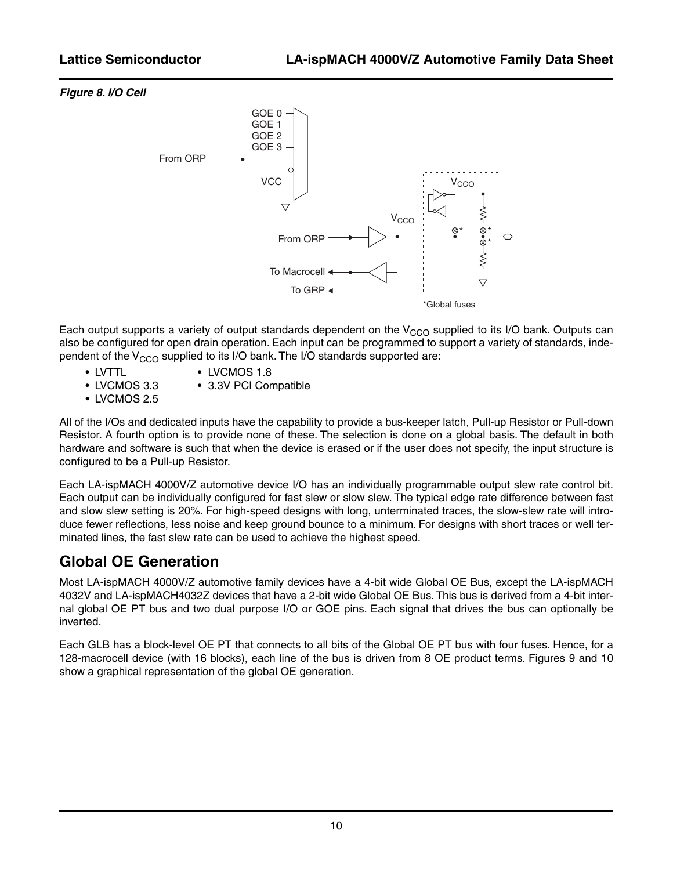#### <span id="page-9-0"></span>*Figure 8. I/O Cell*



Each output supports a variety of output standards dependent on the  $V_{CCO}$  supplied to its I/O bank. Outputs can also be configured for open drain operation. Each input can be programmed to support a variety of standards, independent of the  $V_{CCO}$  supplied to its I/O bank. The I/O standards supported are:

- 
- LVTTL LVCMOS 1.8
- LVCMOS 3.3 3.3V PCI Compatible
- LVCMOS 2.5

All of the I/Os and dedicated inputs have the capability to provide a bus-keeper latch, Pull-up Resistor or Pull-down Resistor. A fourth option is to provide none of these. The selection is done on a global basis. The default in both hardware and software is such that when the device is erased or if the user does not specify, the input structure is configured to be a Pull-up Resistor.

Each LA-ispMACH 4000V/Z automotive device I/O has an individually programmable output slew rate control bit. Each output can be individually configured for fast slew or slow slew. The typical edge rate difference between fast and slow slew setting is 20%. For high-speed designs with long, unterminated traces, the slow-slew rate will introduce fewer reflections, less noise and keep ground bounce to a minimum. For designs with short traces or well terminated lines, the fast slew rate can be used to achieve the highest speed.

### **Global OE Generation**

Most LA-ispMACH 4000V/Z automotive family devices have a 4-bit wide Global OE Bus, except the LA-ispMACH 4032V and LA-ispMACH4032Z devices that have a 2-bit wide Global OE Bus. This bus is derived from a 4-bit internal global OE PT bus and two dual purpose I/O or GOE pins. Each signal that drives the bus can optionally be inverted.

Each GLB has a block-level OE PT that connects to all bits of the Global OE PT bus with four fuses. Hence, for a 128-macrocell device (with 16 blocks), each line of the bus is driven from 8 OE product terms. Figures 9 and 10 show a graphical representation of the global OE generation.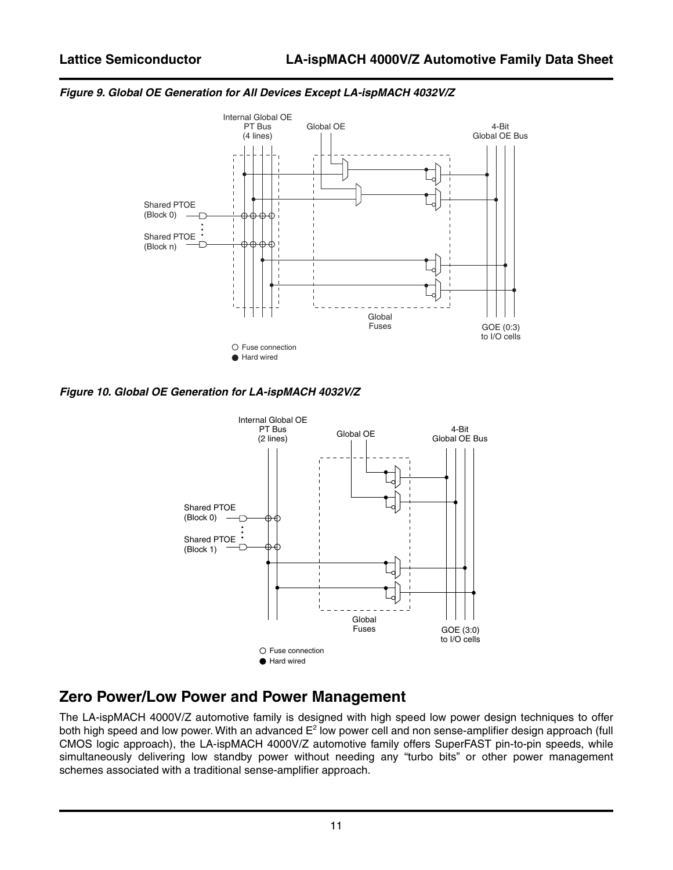

#### *Figure 9. Global OE Generation for All Devices Except LA-ispMACH 4032V/Z*

*Figure 10. Global OE Generation for LA-ispMACH 4032V/Z*



### **Zero Power/Low Power and Power Management**

The LA-ispMACH 4000V/Z automotive family is designed with high speed low power design techniques to offer both high speed and low power. With an advanced  $\mathsf{E}^2$  low power cell and non sense-amplifier design approach (full CMOS logic approach), the LA-ispMACH 4000V/Z automotive family offers SuperFAST pin-to-pin speeds, while simultaneously delivering low standby power without needing any "turbo bits" or other power management schemes associated with a traditional sense-amplifier approach.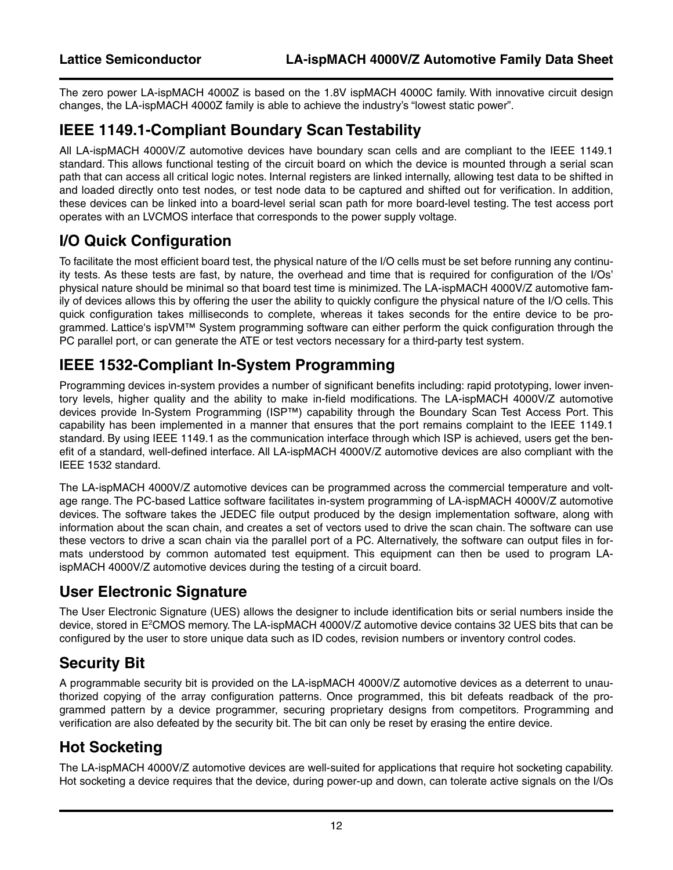The zero power LA-ispMACH 4000Z is based on the 1.8V ispMACH 4000C family. With innovative circuit design changes, the LA-ispMACH 4000Z family is able to achieve the industry's "lowest static power".

### **IEEE 1149.1-Compliant Boundary Scan Testability**

All LA-ispMACH 4000V/Z automotive devices have boundary scan cells and are compliant to the IEEE 1149.1 standard. This allows functional testing of the circuit board on which the device is mounted through a serial scan path that can access all critical logic notes. Internal registers are linked internally, allowing test data to be shifted in and loaded directly onto test nodes, or test node data to be captured and shifted out for verification. In addition, these devices can be linked into a board-level serial scan path for more board-level testing. The test access port operates with an LVCMOS interface that corresponds to the power supply voltage.

# **I/O Quick Configuration**

To facilitate the most efficient board test, the physical nature of the I/O cells must be set before running any continuity tests. As these tests are fast, by nature, the overhead and time that is required for configuration of the I/Os' physical nature should be minimal so that board test time is minimized. The LA-ispMACH 4000V/Z automotive family of devices allows this by offering the user the ability to quickly configure the physical nature of the I/O cells. This quick configuration takes milliseconds to complete, whereas it takes seconds for the entire device to be programmed. Lattice's ispVM™ System programming software can either perform the quick configuration through the PC parallel port, or can generate the ATE or test vectors necessary for a third-party test system.

### **IEEE 1532-Compliant In-System Programming**

Programming devices in-system provides a number of significant benefits including: rapid prototyping, lower inventory levels, higher quality and the ability to make in-field modifications. The LA-ispMACH 4000V/Z automotive devices provide In-System Programming (ISP™) capability through the Boundary Scan Test Access Port. This capability has been implemented in a manner that ensures that the port remains complaint to the IEEE 1149.1 standard. By using IEEE 1149.1 as the communication interface through which ISP is achieved, users get the benefit of a standard, well-defined interface. All LA-ispMACH 4000V/Z automotive devices are also compliant with the IEEE 1532 standard.

The LA-ispMACH 4000V/Z automotive devices can be programmed across the commercial temperature and voltage range. The PC-based Lattice software facilitates in-system programming of LA-ispMACH 4000V/Z automotive devices. The software takes the JEDEC file output produced by the design implementation software, along with information about the scan chain, and creates a set of vectors used to drive the scan chain. The software can use these vectors to drive a scan chain via the parallel port of a PC. Alternatively, the software can output files in formats understood by common automated test equipment. This equipment can then be used to program LAispMACH 4000V/Z automotive devices during the testing of a circuit board.

### **User Electronic Signature**

The User Electronic Signature (UES) allows the designer to include identification bits or serial numbers inside the device, stored in E<sup>2</sup>CMOS memory. The LA-ispMACH 4000V/Z automotive device contains 32 UES bits that can be configured by the user to store unique data such as ID codes, revision numbers or inventory control codes.

### **Security Bit**

A programmable security bit is provided on the LA-ispMACH 4000V/Z automotive devices as a deterrent to unauthorized copying of the array configuration patterns. Once programmed, this bit defeats readback of the programmed pattern by a device programmer, securing proprietary designs from competitors. Programming and verification are also defeated by the security bit. The bit can only be reset by erasing the entire device.

### **Hot Socketing**

The LA-ispMACH 4000V/Z automotive devices are well-suited for applications that require hot socketing capability. Hot socketing a device requires that the device, during power-up and down, can tolerate active signals on the I/Os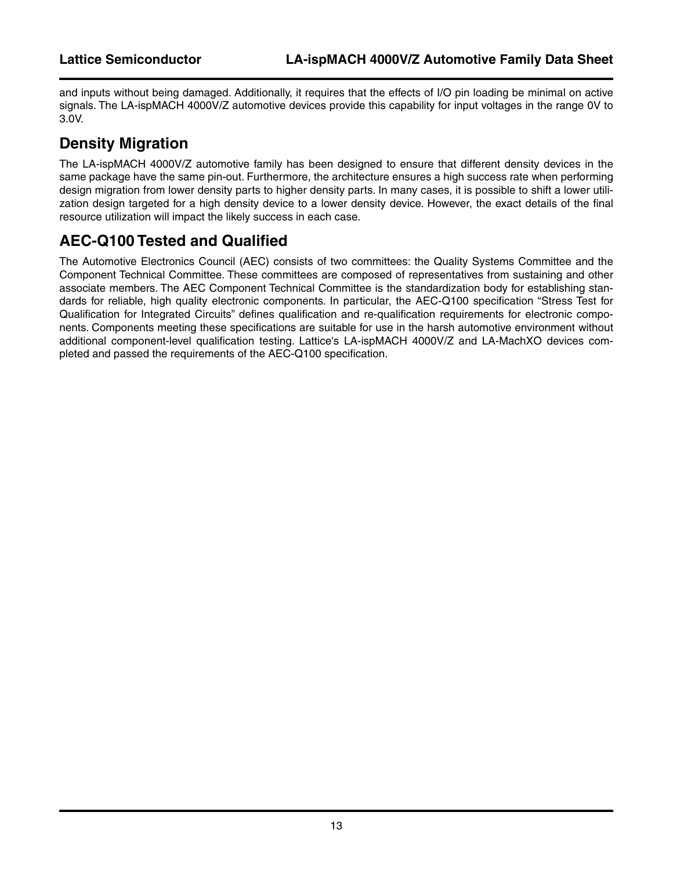and inputs without being damaged. Additionally, it requires that the effects of I/O pin loading be minimal on active signals. The LA-ispMACH 4000V/Z automotive devices provide this capability for input voltages in the range 0V to 3.0V.

### **Density Migration**

The LA-ispMACH 4000V/Z automotive family has been designed to ensure that different density devices in the same package have the same pin-out. Furthermore, the architecture ensures a high success rate when performing design migration from lower density parts to higher density parts. In many cases, it is possible to shift a lower utilization design targeted for a high density device to a lower density device. However, the exact details of the final resource utilization will impact the likely success in each case.

# **AEC-Q100 Tested and Qualified**

The Automotive Electronics Council (AEC) consists of two committees: the Quality Systems Committee and the Component Technical Committee. These committees are composed of representatives from sustaining and other associate members. The AEC Component Technical Committee is the standardization body for establishing standards for reliable, high quality electronic components. In particular, the AEC-Q100 specification "Stress Test for Qualification for Integrated Circuits" defines qualification and re-qualification requirements for electronic components. Components meeting these specifications are suitable for use in the harsh automotive environment without additional component-level qualification testing. Lattice's LA-ispMACH 4000V/Z and LA-MachXO devices completed and passed the requirements of the AEC-Q100 specification.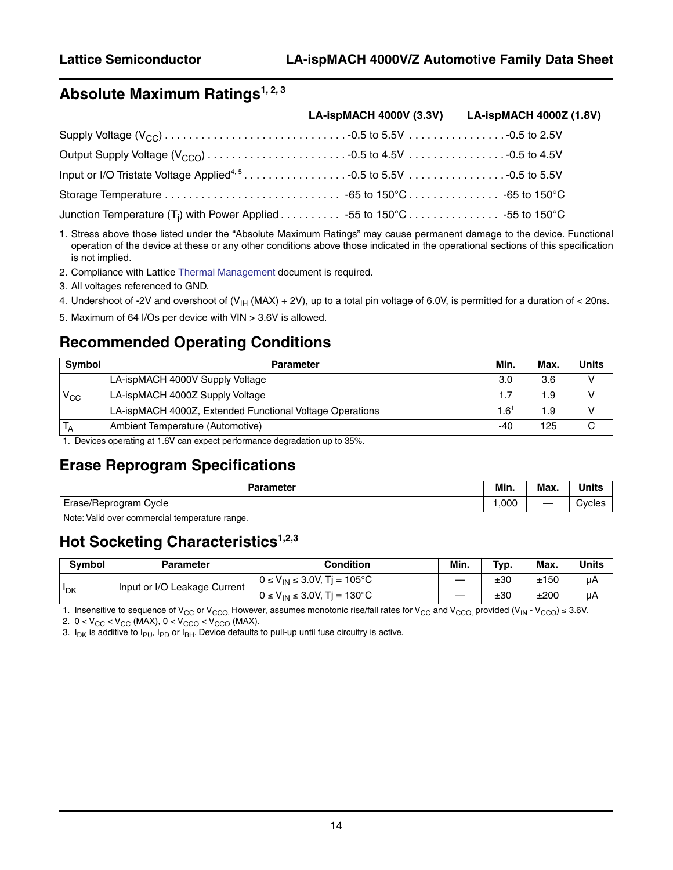# **Absolute Maximum Ratings<sup>1, 2, 3</sup>**

|                                                                                   | LA-ispMACH 4000V (3.3V) LA-ispMACH 4000Z (1.8V) |
|-----------------------------------------------------------------------------------|-------------------------------------------------|
|                                                                                   |                                                 |
|                                                                                   |                                                 |
|                                                                                   |                                                 |
|                                                                                   |                                                 |
| Junction Temperature (T <sub>i</sub> ) with Power Applied 55 to 150°C 55 to 150°C |                                                 |

1. Stress above those listed under the "Absolute Maximum Ratings" may cause permanent damage to the device. Functional operation of the device at these or any other conditions above those indicated in the operational sections of this specification is not implied.

2. Compliance with Lattice [Thermal Management](www.latticesemi.com/dynamic/view_document.cfm?document_id=210) document is required.

- 3. All voltages referenced to GND.
- 4. Undershoot of -2V and overshoot of  $(V_{H} (MAX) + 2V)$ , up to a total pin voltage of 6.0V, is permitted for a duration of < 20ns.
- 5. Maximum of 64 I/Os per device with VIN > 3.6V is allowed.

### **Recommended Operating Conditions**

| <b>Symbol</b> | <b>Parameter</b>                                         | Min.                       | Max. | Units |
|---------------|----------------------------------------------------------|----------------------------|------|-------|
|               | LA-ispMACH 4000V Supply Voltage                          | 3.0                        | 3.6  |       |
| $V_{CC}$      | LA-ispMACH 4000Z Supply Voltage                          | 1.7                        | 1.9  |       |
|               | LA-ispMACH 4000Z, Extended Functional Voltage Operations | $\mathsf{.6}^{\mathsf{1}}$ | 1.9  |       |
| $T_A$         | Ambient Temperature (Automotive)                         | $-40$                      | 125  |       |

1. Devices operating at 1.6V can expect performance degradation up to 35%.

### **Erase Reprogram Specifications**

| <b>Parameter</b>      | Min. | <b>Max</b> | <b><i>Alberta</i></b> |
|-----------------------|------|------------|-----------------------|
|                       |      |            | onnu u                |
| Erase/Reprogram Cycle | 000. |            | ાes                   |

Note: Valid over commercial temperature range.

### **Hot Socketing Characteristics**<sup>1,2,3</sup>

| <b>Symbol</b> | <b>Parameter</b>             | Condition                             | Min. | Typ. | Max. | Units |
|---------------|------------------------------|---------------------------------------|------|------|------|-------|
| <b>IDK</b>    | Input or I/O Leakage Current | $0 \le V_{IN} \le 3.0 V$ , Tj = 105°C |      | ±30  | ±150 | μA    |
|               |                              | $0 \le V_{IN} \le 3.0 V$ , Tj = 130°C |      | ±30  | ±200 | μA    |

1. Insensitive to sequence of V<sub>CC</sub> or V<sub>CCO.</sub> However, assumes monotonic rise/fall rates for V<sub>CC</sub> and V<sub>CCO,</sub> provided (V<sub>IN</sub> - V<sub>CCO</sub>) ≤ 3.6V.

2.  $0 < V_{CC} < V_{CC}$  (MAX),  $0 < V_{CCO} < V_{CCO}$  (MAX).

3.  $I_{DK}$  is additive to  $I_{PU}$ ,  $I_{PD}$  or  $I_{BH}$ . Device defaults to pull-up until fuse circuitry is active.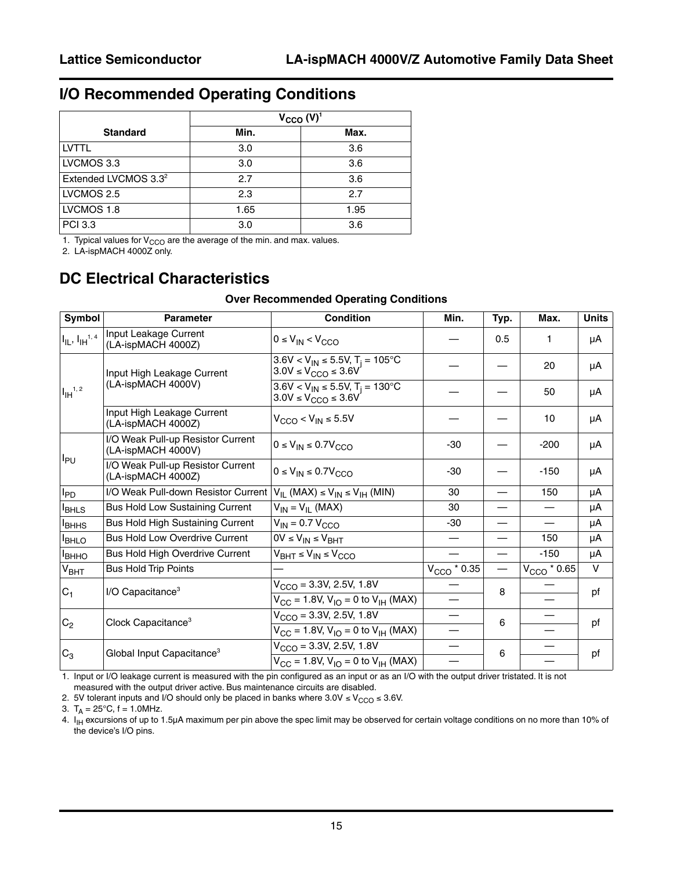### **I/O Recommended Operating Conditions**

|                                  | $V_{CCO} (V)^1$ |      |  |  |  |
|----------------------------------|-----------------|------|--|--|--|
| <b>Standard</b>                  | Min.            | Max. |  |  |  |
| <b>LVTTL</b>                     | 3.0             | 3.6  |  |  |  |
| LVCMOS 3.3                       | 3.0             | 3.6  |  |  |  |
| Extended LVCMOS 3.3 <sup>2</sup> | 2.7             | 3.6  |  |  |  |
| LVCMOS 2.5                       | 2.3             | 2.7  |  |  |  |
| LVCMOS 1.8                       | 1.65            | 1.95 |  |  |  |
| <b>PCI 3.3</b>                   | 3.0             | 3.6  |  |  |  |

1. Typical values for  $V_{\rm{CCO}}$  are the average of the min. and max. values.

2. LA-ispMACH 4000Z only.

### **DC Electrical Characteristics**

#### **Over Recommended Operating Conditions**

| Symbol                                  | <b>Parameter</b>                                        | <b>Condition</b>                                                                   | Min.                  | Typ. | Max.                      | <b>Units</b> |
|-----------------------------------------|---------------------------------------------------------|------------------------------------------------------------------------------------|-----------------------|------|---------------------------|--------------|
| $I_{\text{IL}}$ , $I_{\text{IH}}^{1,4}$ | Input Leakage Current<br>(LA-ispMACH 4000Z)             | $0 \leq V_{IN} < V_{CCO}$                                                          |                       | 0.5  | 1                         | μA           |
|                                         | Input High Leakage Current                              | $3.6V < V_{IN} \le 5.5V$ , T <sub>i</sub> = 105°C<br>$3.0V \le V_{CCO} \le 3.6V$   |                       |      | 20                        | μA           |
| $1_{\mathsf{IH}}^{1,2}$                 | (LA-ispMACH 4000V)                                      | $3.6V < V_{IN} \le 5.5V$ , T <sub>i</sub> = 130°C<br>$3.0V \leq V_{CCO} \leq 3.6V$ |                       |      | 50                        | μA           |
|                                         | Input High Leakage Current<br>(LA-ispMACH 4000Z)        | $V_{\text{CCO}}$ < $V_{\text{IN}}$ $\leq$ 5.5V                                     |                       |      | 10                        | μA           |
|                                         | I/O Weak Pull-up Resistor Current<br>(LA-ispMACH 4000V) | $0 \leq V_{IN} \leq 0.7V_{CCO}$                                                    | $-30$                 |      | $-200$                    | μA           |
| $I_{PU}$                                | I/O Weak Pull-up Resistor Current<br>(LA-ispMACH 4000Z) | $0 \leq V_{IN} \leq 0.7V_{CCO}$                                                    | $-30$                 |      | $-150$                    | μA           |
| $I_{PD}$                                | I/O Weak Pull-down Resistor Current                     | $V_{IL}$ (MAX) $\leq$ $V_{IN}$ $\leq$ $V_{IH}$ (MIN)                               | 30                    |      | 150                       | μA           |
| <b>I</b> BHLS                           | <b>Bus Hold Low Sustaining Current</b>                  | $V_{IN} = V_{IL}$ (MAX)                                                            | 30                    |      |                           | μA           |
| <b>I</b> BHHS                           | Bus Hold High Sustaining Current                        | $V_{IN}$ = 0.7 $V_{CCO}$                                                           | -30                   |      |                           | μA           |
| <b>IBHLO</b>                            | <b>Bus Hold Low Overdrive Current</b>                   | $OV \le V_{IN} \le V_{BHT}$                                                        |                       |      | 150                       | μA           |
| Івнно                                   | Bus Hold High Overdrive Current                         | $V_{BHT} \leq V_{IN} \leq V_{CCO}$                                                 |                       |      | $-150$                    | μA           |
| V <sub>BHT</sub>                        | <b>Bus Hold Trip Points</b>                             |                                                                                    | $V_{\rm{CCO}}$ * 0.35 |      | $V_{\text{CCO}}$ $*$ 0.65 | $\mathsf{V}$ |
| $C_1$                                   | I/O Capacitance <sup>3</sup>                            | $V_{CCO} = 3.3V, 2.5V, 1.8V$                                                       |                       | 8    |                           | pf           |
|                                         |                                                         | $V_{CC}$ = 1.8V, $V_{IO}$ = 0 to $V_{IH}$ (MAX)                                    |                       |      |                           |              |
|                                         | Clock Capacitance <sup>3</sup>                          | $V_{\text{CCO}} = 3.3V, 2.5V, 1.8V$                                                |                       | 6    |                           | pf           |
| $C_2$                                   |                                                         | $V_{CC}$ = 1.8V, V <sub>IO</sub> = 0 to V <sub>IH</sub> (MAX)                      |                       |      |                           |              |
|                                         | Global Input Capacitance <sup>3</sup>                   | $V_{CCO} = 3.3V, 2.5V, 1.8V$                                                       |                       | 6    |                           |              |
| $C_3$                                   |                                                         | $V_{CC}$ = 1.8V, $V_{IO}$ = 0 to $V_{IH}$ (MAX)                                    |                       |      |                           | pf           |

1. Input or I/O leakage current is measured with the pin configured as an input or as an I/O with the output driver tristated. It is not measured with the output driver active. Bus maintenance circuits are disabled.

2. 5V tolerant inputs and I/O should only be placed in banks where  $3.0V \le V<sub>CCO</sub> \le 3.6V$ .

3.  $T_A = 25^{\circ}C$ ,  $f = 1.0$ MHz.

4.  $I_{\text{H}}$  excursions of up to 1.5µA maximum per pin above the spec limit may be observed for certain voltage conditions on no more than 10% of the device's I/O pins.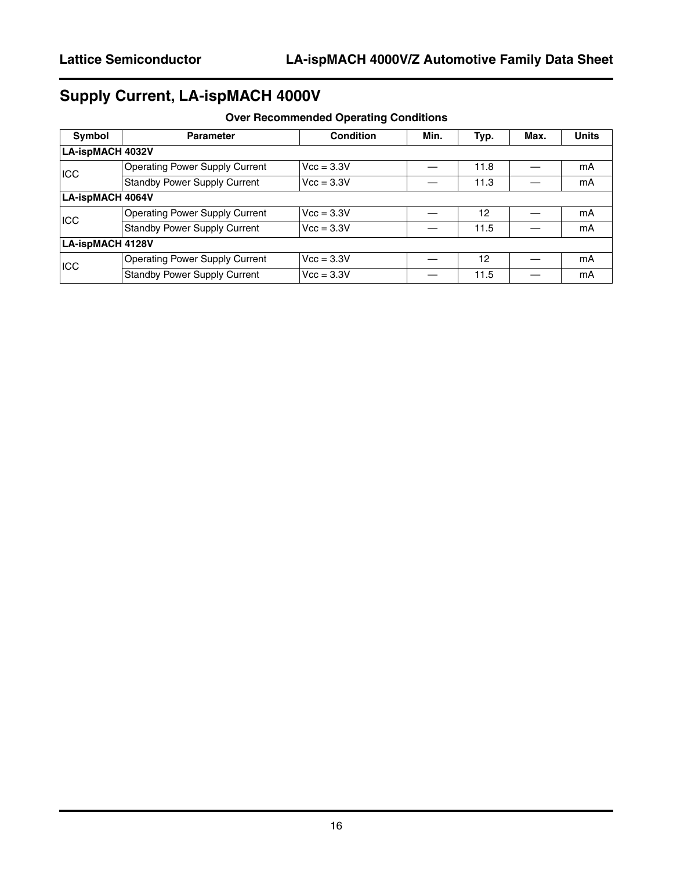# **Supply Current, LA-ispMACH 4000V**

| Symbol                  | <b>Parameter</b>                      | <b>Condition</b> | Min. | Typ. | Max. | <b>Units</b> |
|-------------------------|---------------------------------------|------------------|------|------|------|--------------|
| <b>LA-ispMACH 4032V</b> |                                       |                  |      |      |      |              |
| <b>ICC</b>              | <b>Operating Power Supply Current</b> | $Vcc = 3.3V$     |      | 11.8 |      | mA           |
|                         | <b>Standby Power Supply Current</b>   | $Vcc = 3.3V$     |      | 11.3 |      | mA           |
| <b>LA-ispMACH 4064V</b> |                                       |                  |      |      |      |              |
| ICC                     | <b>Operating Power Supply Current</b> | $Vcc = 3.3V$     |      | 12   |      | mА           |
|                         | <b>Standby Power Supply Current</b>   | $Vcc = 3.3V$     |      | 11.5 |      | mA           |
| <b>LA-ispMACH 4128V</b> |                                       |                  |      |      |      |              |
| ICC                     | <b>Operating Power Supply Current</b> | $Vcc = 3.3V$     |      | 12   |      | mA           |
|                         | <b>Standby Power Supply Current</b>   | $Vcc = 3.3V$     |      | 11.5 |      | mA           |

### **Over Recommended Operating Conditions**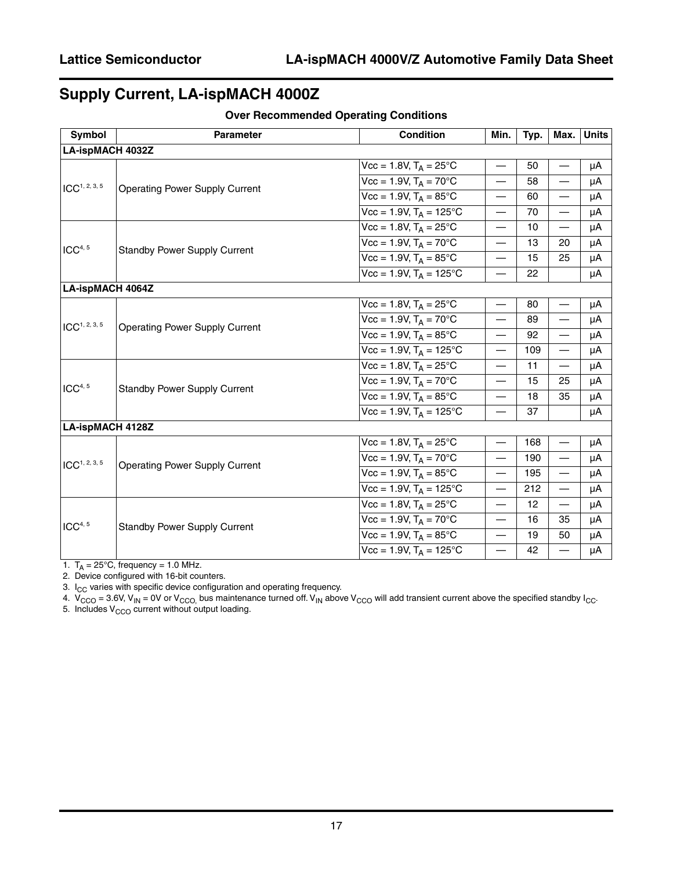# **Supply Current, LA-ispMACH 4000Z**

| Symbol                    | <b>Parameter</b>                      | <b>Condition</b>                              | Min.                              | Typ. | Max.                     | <b>Units</b> |
|---------------------------|---------------------------------------|-----------------------------------------------|-----------------------------------|------|--------------------------|--------------|
| LA-ispMACH 4032Z          |                                       |                                               |                                   |      |                          |              |
|                           |                                       | $Vcc = 1.8V$ , $T_A = 25^{\circ}C$            |                                   | 50   | $\overline{\phantom{0}}$ | μA           |
| ICC <sup>1, 2, 3, 5</sup> |                                       | $Vcc = 1.9V$ , $T_A = 70^{\circ}C$            | $\overline{\phantom{0}}$          | 58   | $\overline{\phantom{0}}$ | μA           |
|                           | <b>Operating Power Supply Current</b> | $Vcc = 1.9V$ , $T_A = 85^{\circ}C$            | $\overline{\phantom{0}}$          | 60   | $\overline{\phantom{0}}$ | μA           |
|                           |                                       | $Vcc = 1.9V$ , $T_A = 125^{\circ}C$           | $\overline{\phantom{0}}$          | 70   | $\overline{\phantom{0}}$ | μA           |
|                           |                                       | $Vcc = 1.8V$ , $T_A = 25^{\circ}C$            | $\overline{\phantom{0}}$          | 10   | $\overline{\phantom{0}}$ | μA           |
| ICC <sup>4, 5</sup>       |                                       | $Vcc = 1.9V$ , $T_A = 70^{\circ}C$            | $\overline{\phantom{0}}$          | 13   | 20                       | μA           |
|                           | <b>Standby Power Supply Current</b>   | $Vcc = 1.9V$ , $T_A = 85^{\circ}C$            | $\overline{\phantom{0}}$          | 15   | 25                       | μA           |
|                           |                                       | $Vcc = 1.9V$ , $T_A = 125^{\circ}C$           |                                   | 22   |                          | μA           |
| <b>LA-ispMACH 4064Z</b>   |                                       |                                               |                                   |      |                          |              |
|                           |                                       | $Vcc = 1.8V$ , $T_A = 25^{\circ}C$            | $\overline{\phantom{0}}$          | 80   | $\overline{\phantom{0}}$ | μA           |
| ICC <sup>1, 2, 3, 5</sup> | <b>Operating Power Supply Current</b> | $\overline{Vcc} = 1.9V$ , $T_A = 70^{\circ}C$ | $\overline{\phantom{0}}$          | 89   | $\overline{\phantom{0}}$ | μA           |
|                           |                                       | $Vcc = 1.9V$ , $T_A = 85^{\circ}C$            | $\overline{\phantom{0}}$          | 92   | $\overline{\phantom{0}}$ | μA           |
|                           |                                       | $Vec = 1.9V$ , $T_A = 125^{\circ}C$           | $\overline{\phantom{0}}$          | 109  | $\overline{\phantom{0}}$ | μA           |
|                           |                                       | $Vcc = 1.8V$ , $T_A = 25^{\circ}C$            | $\overbrace{\phantom{123221111}}$ | 11   | $\overline{\phantom{0}}$ | μA           |
| ICC <sup>4, 5</sup>       |                                       | $Vcc = 1.9V$ , $T_A = 70^{\circ}C$            | $\overbrace{\phantom{123221111}}$ | 15   | 25                       | μA           |
|                           | <b>Standby Power Supply Current</b>   | $Vcc = 1.9V$ , $T_A = 85^{\circ}C$            |                                   | 18   | 35                       | μA           |
|                           |                                       | $\overline{Vcc}$ = 1.9V, $T_A$ = 125°C        |                                   | 37   |                          | μA           |
| LA-ispMACH 4128Z          |                                       |                                               |                                   |      |                          |              |
|                           |                                       | $Vcc = 1.8V$ , $T_A = 25^{\circ}C$            | $\overline{\phantom{0}}$          | 168  | —                        | μA           |
| ICC <sup>1, 2, 3, 5</sup> |                                       | $Vcc = 1.9V$ , $T_A = 70^{\circ}C$            |                                   | 190  | $\overline{\phantom{0}}$ | μA           |
|                           | <b>Operating Power Supply Current</b> | $Vcc = 1.9V$ , $T_A = 85^{\circ}C$            | $\overbrace{\phantom{12322111}}$  | 195  | $\overline{\phantom{m}}$ | μA           |
|                           |                                       | $Vcc = 1.9V$ , $T_A = 125^{\circ}C$           |                                   | 212  |                          | μA           |
|                           |                                       | $Vcc = 1.8V$ , $T_A = 25^{\circ}C$            | $\overline{\phantom{0}}$          | 12   | $\overline{\phantom{0}}$ | μA           |
| ICC <sup>4, 5</sup>       |                                       | $Vcc = 1.9V$ , $T_A = 70^{\circ}C$            | $\overline{\phantom{0}}$          | 16   | 35                       | μA           |
|                           | <b>Standby Power Supply Current</b>   | $Vcc = 1.9V$ , $T_A = 85^{\circ}C$            |                                   | 19   | 50                       | μA           |
|                           |                                       | $Vcc = 1.9V$ , $T_A = 125^{\circ}C$           |                                   | 42   | $\overline{\phantom{0}}$ | μA           |

**Over Recommended Operating Conditions**

1.  $T_A = 25^{\circ}$ C, frequency = 1.0 MHz.

2. Device configured with 16-bit counters.

3.  $I_{CC}$  varies with specific device configuration and operating frequency.

4.  $V_{CCO}$  = 3.6V, V<sub>IN</sub> = 0V or V<sub>CCO,</sub> bus maintenance turned off. V<sub>IN</sub> above V<sub>CCO</sub> will add transient current above the specified standby I<sub>CC</sub>.

5. Includes  $V_{CCO}$  current without output loading.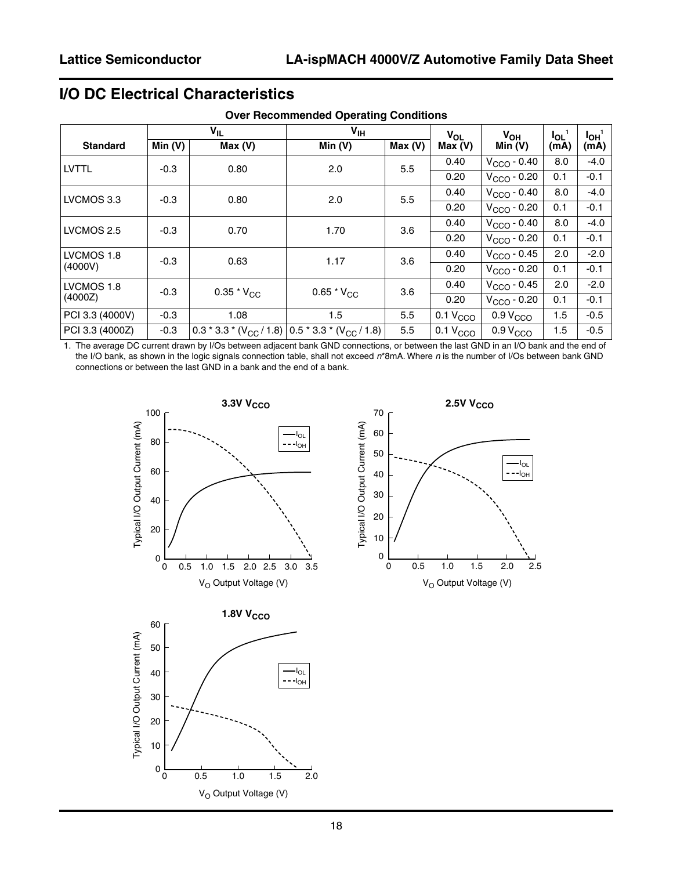# **I/O DC Electrical Characteristics**

|                 |        | $V_{IL}$                        | V <sub>IH</sub>                                       |        | $V_{OL}$             | $V_{OH}$             | $I_{OL}$ | $I_{OH}$ <sup>1</sup> |
|-----------------|--------|---------------------------------|-------------------------------------------------------|--------|----------------------|----------------------|----------|-----------------------|
| <b>Standard</b> | Min(V) | Max(V)                          | Min $(V)$                                             | Max(V) | Max (V)              | Min $(V)$            | (mA)     | (mA)                  |
| <b>LVTTL</b>    | $-0.3$ | 0.80                            | 2.0                                                   | 5.5    | 0.40                 | $VCCO - 0.40$        | 8.0      | $-4.0$                |
|                 |        |                                 |                                                       |        | 0.20                 | $VCCO - 0.20$        | 0.1      | $-0.1$                |
| LVCMOS 3.3      | $-0.3$ | 0.80                            | 2.0                                                   | 5.5    | 0.40                 | $VCCO - 0.40$        | 8.0      | $-4.0$                |
|                 |        |                                 |                                                       |        | 0.20                 | $VCCO - 0.20$        | 0.1      | $-0.1$                |
| LVCMOS 2.5      | $-0.3$ | 0.70                            | 1.70                                                  | 3.6    | 0.40                 | $VCCO - 0.40$        | 8.0      | $-4.0$                |
|                 |        |                                 |                                                       |        | 0.20                 | $VCCO - 0.20$        | 0.1      | $-0.1$                |
| LVCMOS 1.8      | $-0.3$ | 0.63                            | 1.17                                                  | 3.6    | 0.40                 | $VCCO - 0.45$        | 2.0      | $-2.0$                |
| (4000V)         |        |                                 |                                                       |        | 0.20                 | $VCCO - 0.20$        | 0.1      | $-0.1$                |
| LVCMOS 1.8      | $-0.3$ | 0.35 $^{\star}$ V <sub>CC</sub> | 0.65 $*V_{CC}$                                        | 3.6    | 0.40                 | $VCCO - 0.45$        | 2.0      | $-2.0$                |
| (4000Z)         |        |                                 |                                                       |        | 0.20                 | $VCCO - 0.20$        | 0.1      | $-0.1$                |
| PCI 3.3 (4000V) | $-0.3$ | 1.08                            | 1.5                                                   | 5.5    | 0.1 V <sub>CCO</sub> | 0.9 V <sub>CCO</sub> | 1.5      | $-0.5$                |
| PCI 3.3 (4000Z) | $-0.3$ |                                 | 0.3 * 3.3 * $(V_{CC}/1.8)$ 0.5 * 3.3 * $(V_{CC}/1.8)$ | 5.5    | 0.1 V <sub>CCO</sub> | 0.9 V <sub>CCO</sub> | 1.5      | $-0.5$                |

**Over Recommended Operating Conditions**

1. The average DC current drawn by I/Os between adjacent bank GND connections, or between the last GND in an I/O bank and the end of the I/O bank, as shown in the logic signals connection table, shall not exceed *n*\*8mA. Where *n* is the number of I/Os between bank GND connections or between the last GND in a bank and the end of a bank.

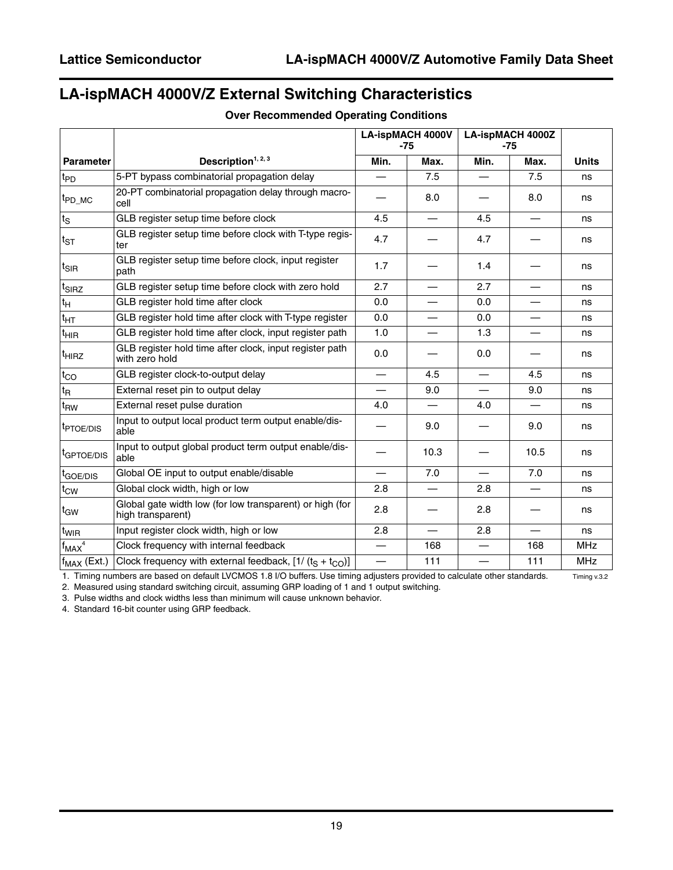# **LA-ispMACH 4000V/Z External Switching Characteristics**

|                              |                                                                               | <b>LA-ispMACH 4000V</b><br>$-75$ |                          |                          | <b>LA-ispMACH 4000Z</b><br>$-75$ |              |
|------------------------------|-------------------------------------------------------------------------------|----------------------------------|--------------------------|--------------------------|----------------------------------|--------------|
| <b>Parameter</b>             | Description <sup>1, 2, 3</sup>                                                | Min.                             | Max.                     | Min.                     | Max.                             | <b>Units</b> |
| $t_{PD}$                     | 5-PT bypass combinatorial propagation delay                                   |                                  | 7.5                      |                          | 7.5                              | ns           |
| t <sub>PD_MC</sub>           | 20-PT combinatorial propagation delay through macro-<br>cell                  |                                  | 8.0                      |                          | 8.0                              | ns           |
| $t_{\scriptstyle\textrm{S}}$ | GLB register setup time before clock                                          | 4.5                              |                          | 4.5                      |                                  | ns           |
| $\mathsf{t}_{\texttt{ST}}$   | GLB register setup time before clock with T-type regis-<br>ter                | 4.7                              |                          | 4.7                      |                                  | ns           |
| $t_{\sf SIR}$                | GLB register setup time before clock, input register<br>path                  | 1.7                              |                          | 1.4                      |                                  | ns           |
| $t_{\sf SIRZ}$               | GLB register setup time before clock with zero hold                           | 2.7                              | $\overline{\phantom{0}}$ | 2.7                      | $\overline{\phantom{0}}$         | ns           |
| tн                           | GLB register hold time after clock                                            | 0.0                              |                          | 0.0                      |                                  | ns           |
| $\textsf{t}_{\sf HT}$        | GLB register hold time after clock with T-type register                       | 0.0                              | —                        | 0.0                      | —                                | ns           |
| t <sub>НІR</sub>             | GLB register hold time after clock, input register path                       | 1.0                              |                          | 1.3                      |                                  | ns           |
| <sup>t</sup> HIRZ            | GLB register hold time after clock, input register path<br>with zero hold     | 0.0                              |                          | 0.0                      |                                  | ns           |
| $t_{\rm CO}$                 | GLB register clock-to-output delay                                            |                                  | 4.5                      | $\overline{\phantom{0}}$ | 4.5                              | ns           |
| t <sub>R</sub>               | External reset pin to output delay                                            |                                  | 9.0                      | $\overline{\phantom{0}}$ | 9.0                              | ns           |
| t <sub>RW</sub>              | External reset pulse duration                                                 | 4.0                              |                          | 4.0                      |                                  | ns           |
| <sup>t</sup> PTOE/DIS        | Input to output local product term output enable/dis-<br>able                 |                                  | 9.0                      |                          | 9.0                              | ns           |
| <sup>t</sup> GPTOE/DIS       | Input to output global product term output enable/dis-<br>able                |                                  | 10.3                     |                          | 10.5                             | ns           |
| t <sub>GOE/DIS</sub>         | Global OE input to output enable/disable                                      |                                  | 7.0                      | $\overline{\phantom{0}}$ | 7.0                              | ns           |
| $t_{\rm CW}$                 | Global clock width, high or low                                               | 2.8                              |                          | 2.8                      |                                  | ns           |
| t <sub>GW</sub>              | Global gate width low (for low transparent) or high (for<br>high transparent) | 2.8                              |                          | 2.8                      |                                  | ns           |
| t <sub>WIR</sub>             | Input register clock width, high or low                                       | 2.8                              | $\overline{\phantom{0}}$ | 2.8                      |                                  | ns           |
| $f_{MAX}$ <sup>4</sup>       | Clock frequency with internal feedback                                        |                                  | 168                      |                          | 168                              | <b>MHz</b>   |
| $f_{MAX}$ (Ext.)             | Clock frequency with external feedback, $[1/(tS + tCO)]$                      |                                  | 111                      | $\overline{\phantom{0}}$ | 111                              | <b>MHz</b>   |

#### **Over Recommended Operating Conditions**

1. Timing numbers are based on default LVCMOS 1.8 I/O buffers. Use timing adjusters provided to calculate other standards. Timing v.3.2

2. Measured using standard switching circuit, assuming GRP loading of 1 and 1 output switching.

3. Pulse widths and clock widths less than minimum will cause unknown behavior.

4. Standard 16-bit counter using GRP feedback.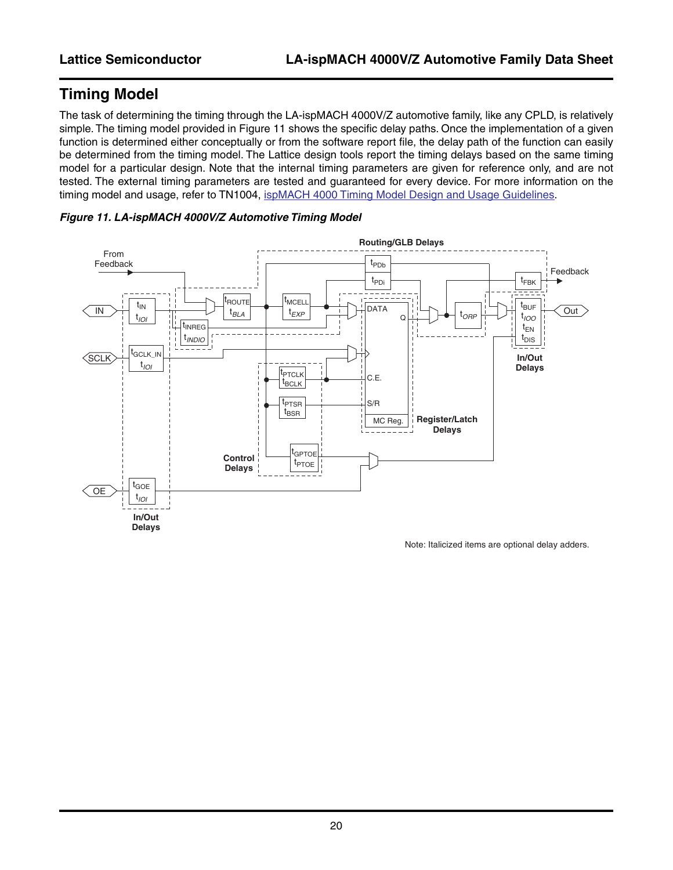# **Timing Model**

The task of determining the timing through the LA-ispMACH 4000V/Z automotive family, like any CPLD, is relatively simple. The timing model provided in [Figure 11](#page-19-0) shows the specific delay paths. Once the implementation of a given function is determined either conceptually or from the software report file, the delay path of the function can easily be determined from the timing model. The Lattice design tools report the timing delays based on the same timing model for a particular design. Note that the internal timing parameters are given for reference only, and are not tested. The external timing parameters are tested and guaranteed for every device. For more information on the timing model and usage, refer to TN1004, [ispMACH 4000 Timing Model Design and Usage Guidelines.](www.latticesemi.com/dynamic/view_document.cfm?document_id=3607)



<span id="page-19-0"></span>

Note: Italicized items are optional delay adders.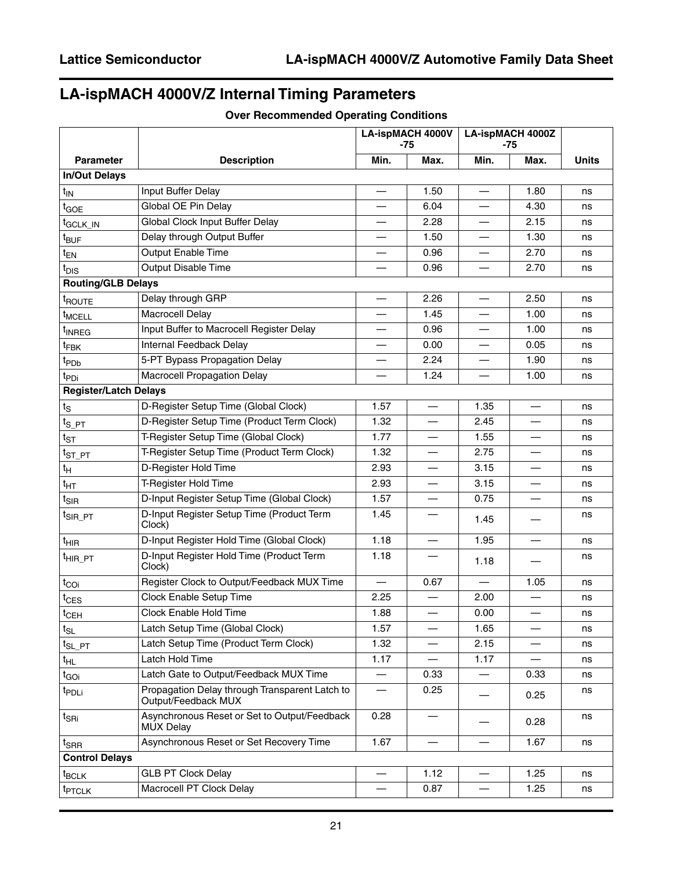# **LA-ispMACH 4000V/Z Internal Timing Parameters**

|                                      |                                                                       | <b>LA-ispMACH 4000V</b><br>-75 |      | <b>LA-ispMACH 4000Z</b><br>-75 |                          |              |
|--------------------------------------|-----------------------------------------------------------------------|--------------------------------|------|--------------------------------|--------------------------|--------------|
| <b>Parameter</b>                     | <b>Description</b>                                                    | Min.                           | Max. | Min.                           | Max.                     | <b>Units</b> |
| <b>In/Out Delays</b>                 |                                                                       |                                |      |                                |                          |              |
| $t_{IN}$                             | Input Buffer Delay                                                    |                                | 1.50 |                                | 1.80                     | ns           |
| t <sub>GOE</sub>                     | Global OE Pin Delay                                                   |                                | 6.04 | $\overline{\phantom{0}}$       | 4.30                     | ns           |
| t <sub>GCLK_IN</sub>                 | Global Clock Input Buffer Delay                                       | $\overline{\phantom{0}}$       | 2.28 | $\overline{\phantom{0}}$       | 2.15                     | ns           |
| t <sub>BUF</sub>                     | Delay through Output Buffer                                           |                                | 1.50 |                                | 1.30                     | ns           |
| $t_{EN}$                             | Output Enable Time                                                    |                                | 0.96 |                                | 2.70                     | ns           |
| $t_{\text{DIS}}$                     | Output Disable Time                                                   | $\overline{\phantom{0}}$       | 0.96 | $\overline{\phantom{0}}$       | 2.70                     | ns           |
| <b>Routing/GLB Delays</b>            |                                                                       |                                |      |                                |                          |              |
| t <sub>ROUTE</sub>                   | Delay through GRP                                                     |                                | 2.26 |                                | 2.50                     | ns           |
| $t_{MCELL}$                          | Macrocell Delay                                                       | —                              | 1.45 | $\overline{\phantom{0}}$       | 1.00                     | ns           |
| t <sub>INREG</sub>                   | Input Buffer to Macrocell Register Delay                              |                                | 0.96 |                                | 1.00                     | ns           |
| $t_{\sf FBK}$                        | Internal Feedback Delay                                               |                                | 0.00 |                                | 0.05                     | ns           |
| t <sub>PDb</sub>                     | 5-PT Bypass Propagation Delay                                         | $\overline{\phantom{0}}$       | 2.24 |                                | 1.90                     | ns           |
| t <sub>PDi</sub>                     | Macrocell Propagation Delay                                           |                                | 1.24 |                                | 1.00                     | ns           |
| <b>Register/Latch Delays</b>         |                                                                       |                                |      |                                |                          |              |
| $t_{\scriptstyle\textrm{S}}$         | D-Register Setup Time (Global Clock)                                  | 1.57                           |      | 1.35                           | $\overline{\phantom{0}}$ | ns           |
| $t_{S_PT}$                           | D-Register Setup Time (Product Term Clock)                            | 1.32                           |      | 2.45                           |                          | ns           |
| $t_{ST}$                             | T-Register Setup Time (Global Clock)                                  | 1.77                           |      | 1.55                           |                          | ns           |
| $t_{ST\_PT}$                         | T-Register Setup Time (Product Term Clock)                            | 1.32                           | —    | 2.75                           | —                        | ns           |
| $t_H$                                | D-Register Hold Time                                                  | 2.93                           |      | 3.15                           |                          | ns           |
| $t_{\text{HT}}$                      | T-Register Hold Time                                                  | 2.93                           |      | 3.15                           |                          | ns           |
| $t_{\text{SIR}}$                     | D-Input Register Setup Time (Global Clock)                            | 1.57                           |      | 0.75                           | $\overline{\phantom{0}}$ | ns           |
| <sup>t</sup> SIR_PT                  | D-Input Register Setup Time (Product Term<br>Clock)                   | 1.45                           |      | 1.45                           |                          | ns           |
| $t_{\text{HIR}}$                     | D-Input Register Hold Time (Global Clock)                             | 1.18                           |      | 1.95                           |                          | ns           |
| $t_{\text{HIR\_PT}}$                 | D-Input Register Hold Time (Product Term<br>Clock)                    | 1.18                           |      | 1.18                           |                          | ns           |
| $t_{COi}$                            | Register Clock to Output/Feedback MUX Time                            |                                | 0.67 |                                | 1.05                     | ns           |
| $t_{\text{CES}}$                     | Clock Enable Setup Time                                               | 2.25                           |      | 2.00                           |                          | ns           |
| $t_{CEH}$                            | Clock Enable Hold Time                                                | 1.88                           |      | 0.00                           |                          | ns           |
| $t_{\text{SL}}$                      | Latch Setup Time (Global Clock)                                       | 1.57                           |      | 1.65                           |                          | ns           |
| $t_{SL\_PT}$                         | Latch Setup Time (Product Term Clock)                                 | 1.32                           |      | 2.15                           |                          | ns           |
| $t_{HL}$                             | Latch Hold Time                                                       | 1.17                           |      | 1.17                           |                          | ns           |
| $t_{\rm GOi}$                        | Latch Gate to Output/Feedback MUX Time                                |                                | 0.33 |                                | 0.33                     | ns           |
| t <sub>PDLi</sub>                    | Propagation Delay through Transparent Latch to<br>Output/Feedback MUX |                                | 0.25 |                                | 0.25                     | ns           |
| $t_{\mathsf{S}\mathsf{R}\mathsf{i}}$ | Asynchronous Reset or Set to Output/Feedback<br><b>MUX Delay</b>      | 0.28                           |      |                                | 0.28                     | ns           |
| $t_{\sf SRR}$                        | Asynchronous Reset or Set Recovery Time                               | 1.67                           |      |                                | 1.67                     | ns           |
| <b>Control Delays</b>                |                                                                       |                                |      |                                |                          |              |
| $t_{\text{BCLK}}$                    | <b>GLB PT Clock Delay</b>                                             |                                | 1.12 |                                | 1.25                     | ns           |
| t <sub>PTCLK</sub>                   | Macrocell PT Clock Delay                                              |                                | 0.87 | $\overline{\phantom{0}}$       | 1.25                     | ns           |

#### **Over Recommended Operating Conditions**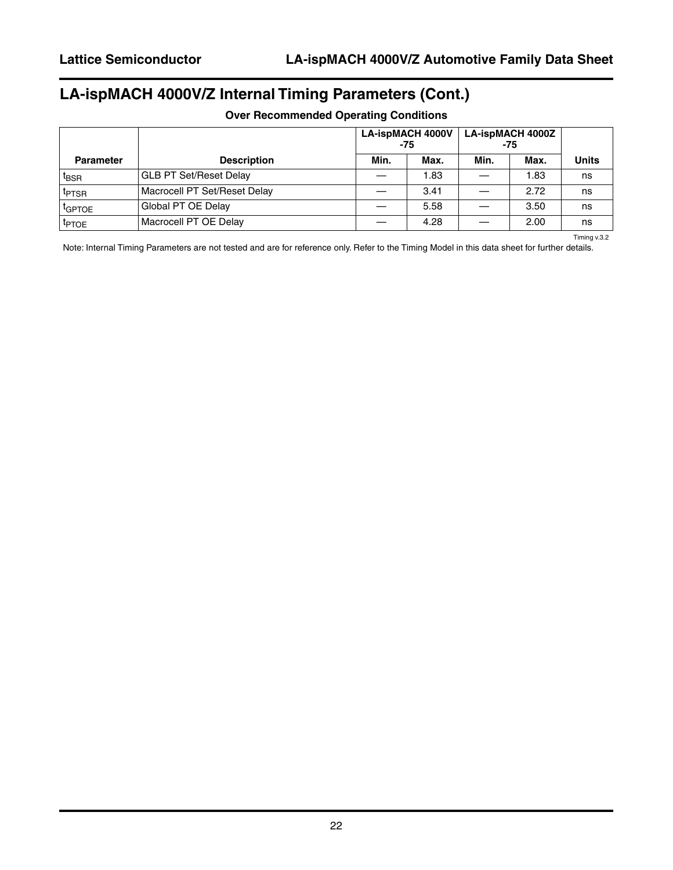# **LA-ispMACH 4000V/Z Internal Timing Parameters (Cont.)**

|                    |                               | <b>LA-ispMACH 4000V</b><br>-75 |      | <b>LA-ispMACH 4000Z</b><br>-75 |      |       |
|--------------------|-------------------------------|--------------------------------|------|--------------------------------|------|-------|
| <b>Parameter</b>   | <b>Description</b>            | Min.                           | Max. | Min.                           | Max. | Units |
| <sup>I</sup> BSR   | <b>GLB PT Set/Reset Delay</b> |                                | 1.83 |                                | 1.83 | ns    |
| <sup>I</sup> PTSR  | Macrocell PT Set/Reset Delay  |                                | 3.41 |                                | 2.72 | ns    |
| <sup>t</sup> GPTOE | Global PT OE Delay            |                                | 5.58 |                                | 3.50 | ns    |
| <sup>I</sup> PTOE  | Macrocell PT OE Delay         |                                | 4.28 |                                | 2.00 | ns    |

#### **Over Recommended Operating Conditions**

Timing v.3.2

Note: Internal Timing Parameters are not tested and are for reference only. Refer to the Timing Model in this data sheet for further details.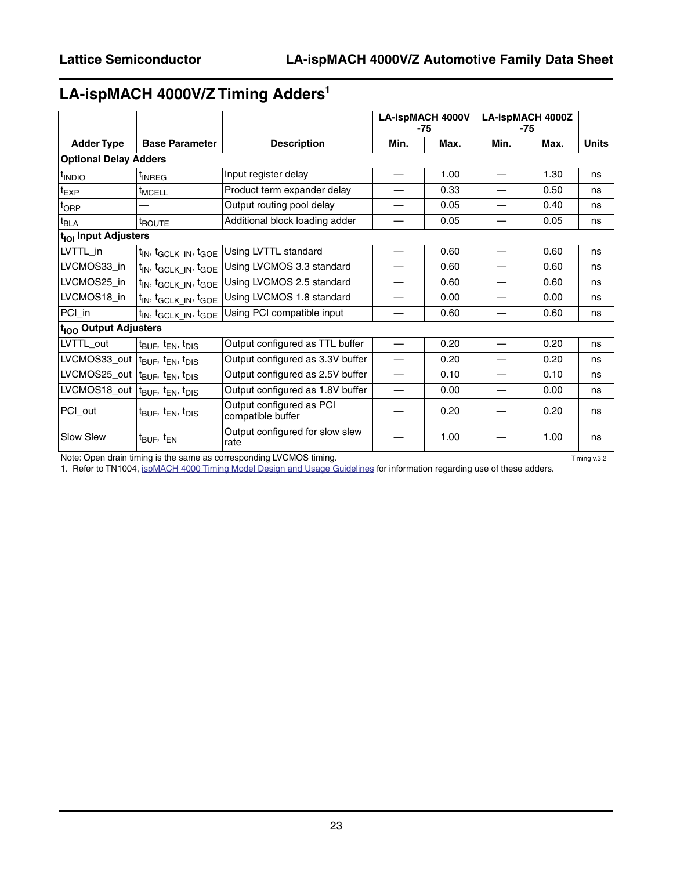# **LA-ispMACH 4000V/Z Timing Adders1**

|                                   |                                                           |                                               | <b>LA-ispMACH 4000V</b><br>$-75$ |      |                          | <b>LA-ispMACH 4000Z</b><br>$-75$ |              |
|-----------------------------------|-----------------------------------------------------------|-----------------------------------------------|----------------------------------|------|--------------------------|----------------------------------|--------------|
| <b>Adder Type</b>                 | <b>Base Parameter</b>                                     | <b>Description</b>                            | Min.                             | Max. | Min.                     | Max.                             | <b>Units</b> |
| <b>Optional Delay Adders</b>      |                                                           |                                               |                                  |      |                          |                                  |              |
| t <sub>INDIO</sub>                | t <sub>INREG</sub>                                        | Input register delay                          | $\overbrace{\phantom{12333}}$    | 1.00 | $\overline{\phantom{0}}$ | 1.30                             | ns           |
| $t_{EXP}$                         | <sup>t</sup> MCELL                                        | Product term expander delay                   |                                  | 0.33 |                          | 0.50                             | ns           |
| t <sub>ORP</sub>                  |                                                           | Output routing pool delay                     |                                  | 0.05 |                          | 0.40                             | ns           |
| $t_{BLA}$                         | t <sub>ROUTE</sub>                                        | Additional block loading adder                | —                                | 0.05 |                          | 0.05                             | ns           |
| t <sub>iOI</sub> Input Adjusters  |                                                           |                                               |                                  |      |                          |                                  |              |
| LVTTL_in                          | t <sub>IN</sub> , t <sub>GCLK_IN</sub> , t <sub>GOE</sub> | Using LVTTL standard                          |                                  | 0.60 |                          | 0.60                             | ns           |
| LVCMOS33_in                       | t <sub>IN</sub> , t <sub>GCLK_IN</sub> , t <sub>GOE</sub> | Using LVCMOS 3.3 standard                     |                                  | 0.60 |                          | 0.60                             | ns           |
| LVCMOS25_in                       | t <sub>IN</sub> , t <sub>GCLK_IN</sub> , t <sub>GOE</sub> | Using LVCMOS 2.5 standard                     |                                  | 0.60 |                          | 0.60                             | ns           |
| LVCMOS18_in                       | t <sub>IN</sub> , t <sub>GCLK_IN</sub> , t <sub>GOE</sub> | Using LVCMOS 1.8 standard                     |                                  | 0.00 |                          | 0.00                             | ns           |
| PCI_in                            | t <sub>IN</sub> , t <sub>GCLK_IN</sub> , t <sub>GOE</sub> | Using PCI compatible input                    | —                                | 0.60 |                          | 0.60                             | ns           |
| t <sub>lOO</sub> Output Adjusters |                                                           |                                               |                                  |      |                          |                                  |              |
| LVTTL_out                         | $t_{\text{BUF}}$ , $t_{\text{EN}}$ , $t_{\text{DIS}}$     | Output configured as TTL buffer               |                                  | 0.20 |                          | 0.20                             | ns           |
| LVCMOS33_out                      | $t_{\text{BUF}}$ , $t_{\text{EN}}$ , $t_{\text{DIS}}$     | Output configured as 3.3V buffer              |                                  | 0.20 |                          | 0.20                             | ns           |
| LVCMOS25_out                      | t <sub>BUF</sub> , t <sub>EN</sub> , t <sub>DIS</sub>     | Output configured as 2.5V buffer              |                                  | 0.10 |                          | 0.10                             | ns           |
| LVCMOS18_out                      | t <sub>BUF</sub> , t <sub>EN</sub> , t <sub>DIS</sub>     | Output configured as 1.8V buffer              |                                  | 0.00 |                          | 0.00                             | ns           |
| PCI_out                           | $t_{\text{BUF}}$ , $t_{\text{EN}}$ , $t_{\text{DIS}}$     | Output configured as PCI<br>compatible buffer | 0.20                             |      |                          | 0.20                             | ns           |
| Slow Slew                         | t <sub>BUF</sub> , t <sub>EN</sub>                        | Output configured for slow slew<br>rate       |                                  | 1.00 |                          | 1.00                             | ns           |

Note: Open drain timing is the same as corresponding LVCMOS timing. The same state of the same as corresponding LVCMOS timing.

1. Refer to TN1004, [ispMACH 4000 Timing Model Design and Usage Guidelines](www.latticesemi.com/dynamic/view_document.cfm?document_id=3607) for information regarding use of these adders.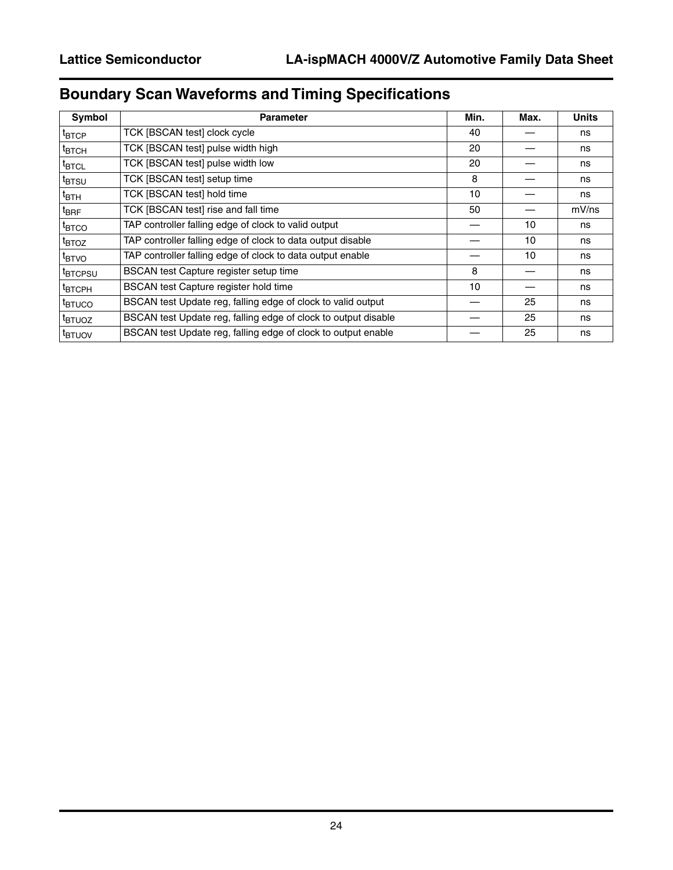# **Boundary Scan Waveforms and Timing Specifications**

| Symbol                        | <b>Parameter</b>                                               | Min. | Max. | <b>Units</b> |
|-------------------------------|----------------------------------------------------------------|------|------|--------------|
| $t_{\mathsf{BTCP}}$           | TCK [BSCAN test] clock cycle                                   | 40   |      | ns           |
| $t_{\text{BTCH}}$             | TCK [BSCAN test] pulse width high                              | 20   |      | ns           |
| $\texttt{t}_{\textsf{BTCL}}$  | TCK [BSCAN test] pulse width low                               | 20   |      | ns           |
| <sup>t</sup> btsu             | TCK [BSCAN test] setup time                                    | 8    |      | ns           |
| $\mathfrak{r}_{\mathsf{BTH}}$ | TCK [BSCAN test] hold time                                     | 10   |      | ns           |
| $t_{\sf BRF}$                 | TCK [BSCAN test] rise and fall time                            | 50   |      | $mV$ /ns     |
| <sup>t</sup> BTCO             | TAP controller falling edge of clock to valid output           |      | 10   | ns           |
| <sup>t</sup> BTOZ             | TAP controller falling edge of clock to data output disable    |      | 10   | ns           |
| <sup>t</sup> BTVO             | TAP controller falling edge of clock to data output enable     |      | 10   | ns           |
| <sup>t</sup> BTCPSU           | BSCAN test Capture register setup time                         | 8    |      | ns           |
| <sup>Т</sup> ВТСРН            | BSCAN test Capture register hold time                          | 10   |      | ns           |
| <sup>t</sup> btuco            | BSCAN test Update reg, falling edge of clock to valid output   |      | 25   | ns           |
| <sup>t</sup> BTUOZ            | BSCAN test Update reg, falling edge of clock to output disable |      | 25   | ns           |
| <sup>t</sup> btuov            | BSCAN test Update reg, falling edge of clock to output enable  |      | 25   | ns           |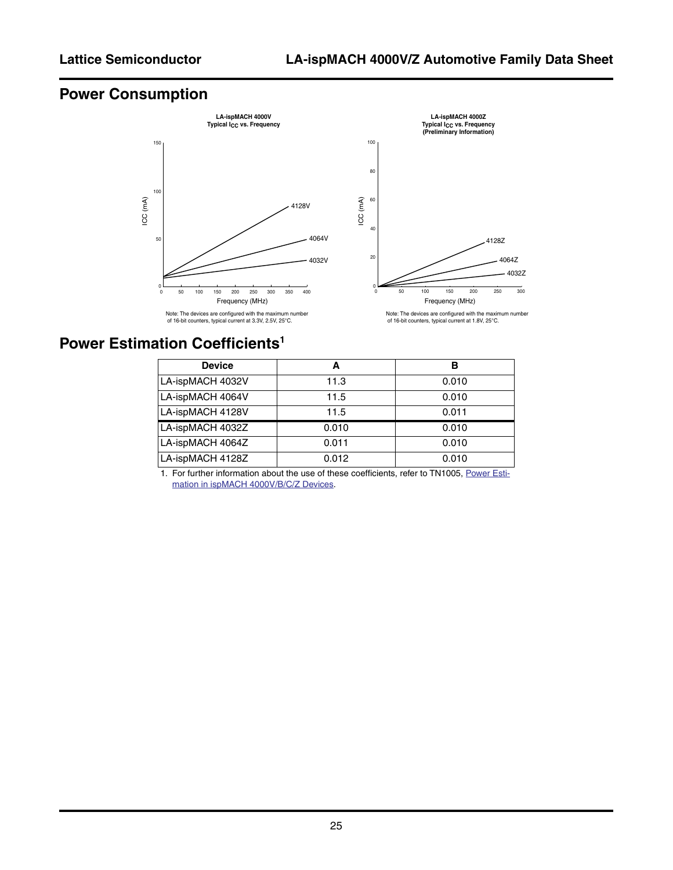# **Power Consumption**



### **Power Estimation Coefficients<sup>1</sup>**

| <b>Device</b>    | А     | в     |
|------------------|-------|-------|
| LA-ispMACH 4032V | 11.3  | 0.010 |
| LA-ispMACH 4064V | 11.5  | 0.010 |
| LA-ispMACH 4128V | 11.5  | 0.011 |
| LA-ispMACH 4032Z | 0.010 | 0.010 |
| LA-ispMACH 4064Z | 0.011 | 0.010 |
| LA-ispMACH 4128Z | 0.012 | 0.010 |

1. For further information about the use of these coefficients, refer to TN1005, [Power Esti](http://www.latticesemi.com/lit/docs/appnotes/cpld/4kbc/tn1005.pdf)[mation in ispMACH 4000V/B/C/Z Devices](http://www.latticesemi.com/lit/docs/appnotes/cpld/4kbc/tn1005.pdf)*.*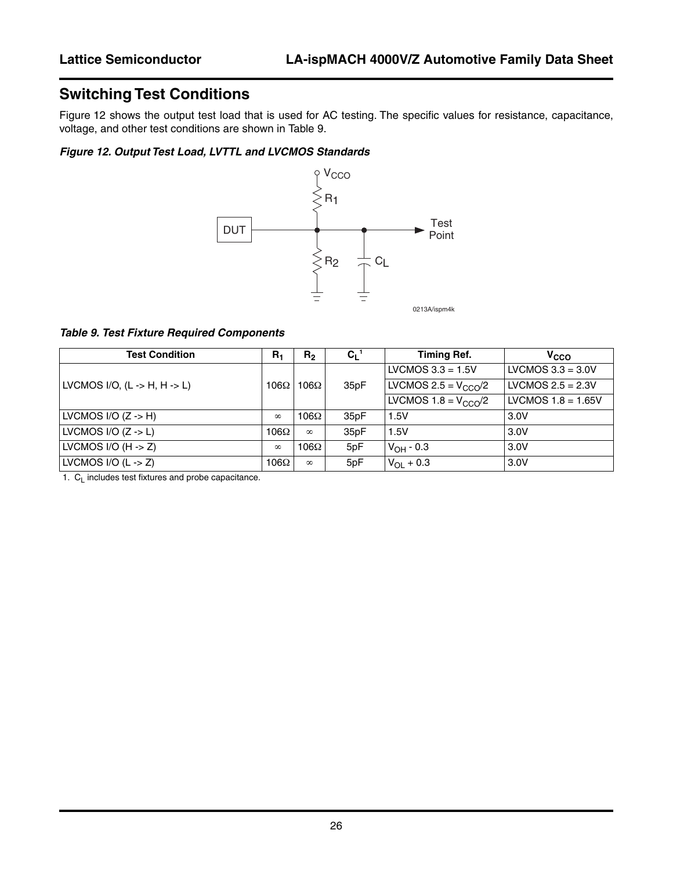# **Switching Test Conditions**

[Figure 12](#page-25-0) shows the output test load that is used for AC testing. The specific values for resistance, capacitance, voltage, and other test conditions are shown in [Table 9](#page-25-1).

#### <span id="page-25-0"></span>*Figure 12. Output Test Load, LVTTL and LVCMOS Standards*



<span id="page-25-1"></span>*Table 9. Test Fixture Required Components*

| <b>Test Condition</b>                            | $R_1$       | R <sub>2</sub> | $C_L$ <sup>1</sup> | <b>Timing Ref.</b>        | V <sub>CCO</sub>     |
|--------------------------------------------------|-------------|----------------|--------------------|---------------------------|----------------------|
|                                                  |             |                |                    | LVCMOS $3.3 = 1.5V$       | LVCMOS $3.3 = 3.0V$  |
| LVCMOS I/O, $(L \rightarrow H, H \rightarrow L)$ | $106\Omega$ | $106\Omega$    | 35pF               | LVCMOS 2.5 = $V_{CCO}$ /2 | LVCMOS $2.5 = 2.3V$  |
|                                                  |             |                |                    | LVCMOS $1.8 = VCCD/2$     | LVCMOS $1.8 = 1.65V$ |
| LVCMOS I/O $(Z \rightarrow H)$                   | $\infty$    | $106\Omega$    | 35pF               | 1.5V                      | 3.0V                 |
| LVCMOS I/O $(Z \rightarrow L)$                   | $106\Omega$ | $\infty$       | 35pF               | 1.5V                      | 3.0V                 |
| LVCMOS I/O $(H -> Z)$                            | $\infty$    | $106\Omega$    | 5pF                | $V_{OH} - 0.3$            | 3.0V                 |
| LVCMOS I/O $(L \rightarrow Z)$                   | $106\Omega$ | $\infty$       | 5pF                | $V_{\text{OI}} + 0.3$     | 3.0V                 |

1.  $C_L$  includes test fixtures and probe capacitance.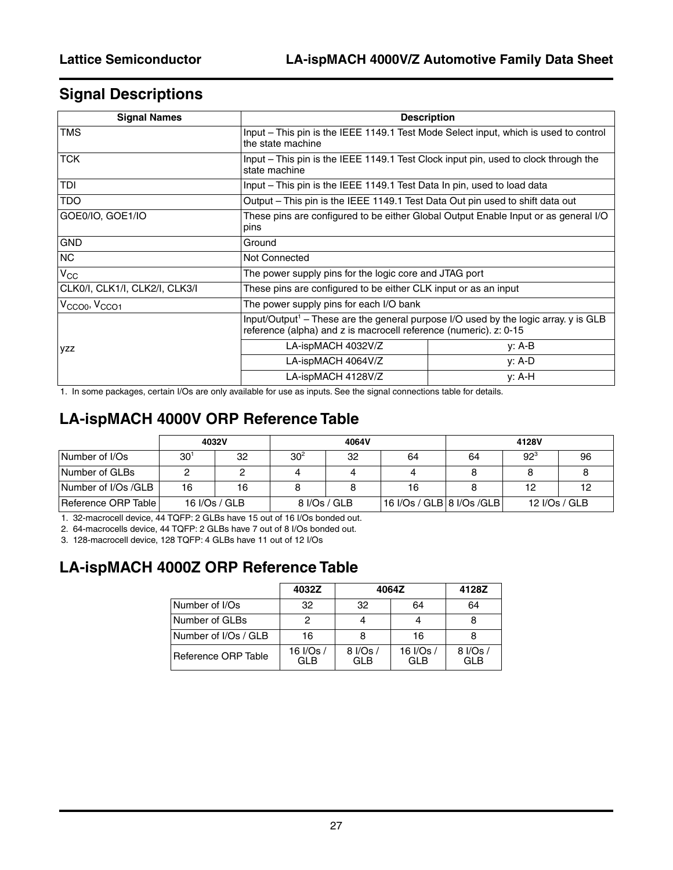### **Signal Descriptions**

| <b>Signal Names</b>                   |                                                                 | <b>Description</b>                                                                                                                                                     |  |  |  |  |
|---------------------------------------|-----------------------------------------------------------------|------------------------------------------------------------------------------------------------------------------------------------------------------------------------|--|--|--|--|
| <b>TMS</b>                            | the state machine                                               | Input – This pin is the IEEE 1149.1 Test Mode Select input, which is used to control                                                                                   |  |  |  |  |
| <b>TCK</b>                            | state machine                                                   | Input – This pin is the IEEE 1149.1 Test Clock input pin, used to clock through the                                                                                    |  |  |  |  |
| TDI                                   |                                                                 | Input – This pin is the IEEE 1149.1 Test Data In pin, used to load data                                                                                                |  |  |  |  |
| TDO                                   |                                                                 | Output - This pin is the IEEE 1149.1 Test Data Out pin used to shift data out                                                                                          |  |  |  |  |
| GOE0/IO, GOE1/IO                      | pins                                                            | These pins are configured to be either Global Output Enable Input or as general I/O                                                                                    |  |  |  |  |
| <b>GND</b>                            | Ground                                                          |                                                                                                                                                                        |  |  |  |  |
| NC                                    | Not Connected                                                   |                                                                                                                                                                        |  |  |  |  |
| $V_{\rm CC}$                          | The power supply pins for the logic core and JTAG port          |                                                                                                                                                                        |  |  |  |  |
| CLK0/I, CLK1/I, CLK2/I, CLK3/I        | These pins are configured to be either CLK input or as an input |                                                                                                                                                                        |  |  |  |  |
| V <sub>CCO0</sub> , V <sub>CCO1</sub> | The power supply pins for each I/O bank                         |                                                                                                                                                                        |  |  |  |  |
|                                       |                                                                 | Input/Output <sup>1</sup> – These are the general purpose I/O used by the logic array. $y$ is GLB<br>reference (alpha) and z is macrocell reference (numeric). z: 0-15 |  |  |  |  |
| <b>VZZ</b>                            | LA-ispMACH 4032V/Z                                              | y: A-B                                                                                                                                                                 |  |  |  |  |
|                                       | LA-ispMACH 4064V/Z                                              | y: A-D                                                                                                                                                                 |  |  |  |  |
|                                       | LA-ispMACH 4128V/Z                                              | $y: A-H$                                                                                                                                                               |  |  |  |  |

1. In some packages, certain I/Os are only available for use as inputs. See the signal connections table for details.

# **LA-ispMACH 4000V ORP Reference Table**

|                     |          | 4032V         |                 | 4064V |                             |    | 4128V    |               |
|---------------------|----------|---------------|-----------------|-------|-----------------------------|----|----------|---------------|
| Number of I/Os      | $30^{1}$ | 32            | 30 <sup>2</sup> | 32    | 64                          | 64 | $92^{3}$ | 96            |
| Number of GLBs      |          |               |                 |       |                             |    |          |               |
| Number of I/Os /GLB | 16       | 16            |                 |       | 16                          |    | 12       |               |
| Reference ORP Table |          | 16 I/Os / GLB | 8 I/Os / GLB    |       | 16 I/Os / GLB   8 I/Os /GLB |    |          | 12 I/Os / GLB |

1. 32-macrocell device, 44 TQFP: 2 GLBs have 15 out of 16 I/Os bonded out.

2. 64-macrocells device, 44 TQFP: 2 GLBs have 7 out of 8 I/Os bonded out.

3. 128-macrocell device, 128 TQFP: 4 GLBs have 11 out of 12 I/Os

### **LA-ispMACH 4000Z ORP Reference Table**

|                      | 4032Z                   | 4064Z                  |                  | 4128Z            |
|----------------------|-------------------------|------------------------|------------------|------------------|
| Number of I/Os       | 32                      | 32                     | 64               | 64               |
| Number of GLBs       |                         |                        |                  |                  |
| Number of I/Os / GLB | 16                      |                        | 16               |                  |
| Reference ORP Table  | 16 I/Os /<br><b>GLB</b> | 8 I/Os /<br><b>GLB</b> | 16 I/Os /<br>GLB | 8 I/Os /<br>GI B |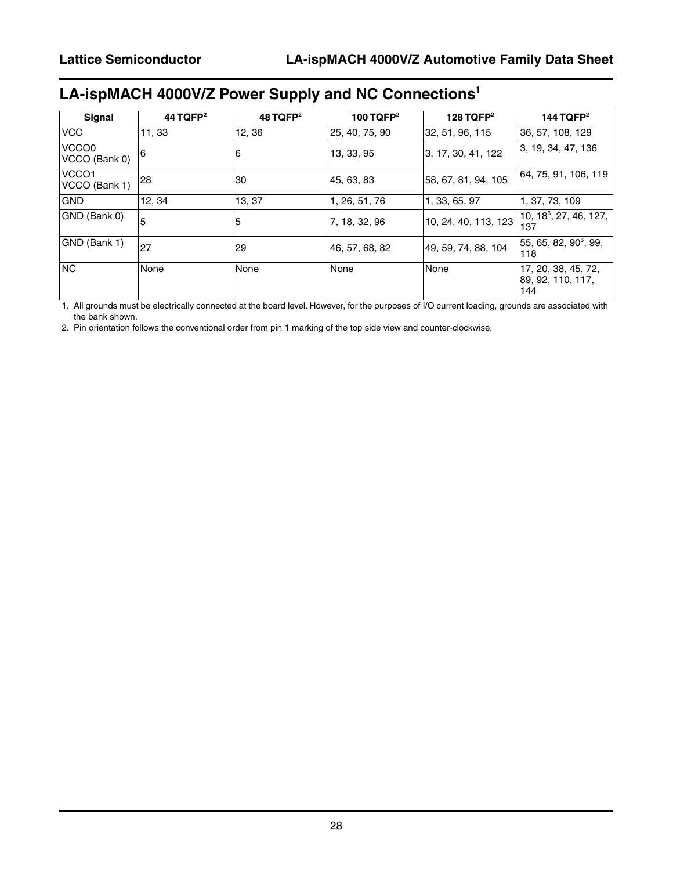# **LA-ispMACH 4000V/Z Power Supply and NC Connections1**

| Signal                             | 44 TQFP <sup>2</sup> | $48$ TQFP <sup>2</sup> | 100 TQFP $2$   | 128 TQFP $2$         | 144 TQFP $2$                                     |
|------------------------------------|----------------------|------------------------|----------------|----------------------|--------------------------------------------------|
| <b>VCC</b>                         | 11, 33               | 12, 36                 | 25, 40, 75, 90 | 32, 51, 96, 115      | 36, 57, 108, 129                                 |
| VCCO0<br>VCCO (Bank 0)             | 6                    | 6                      | 13, 33, 95     | 3, 17, 30, 41, 122   | 3, 19, 34, 47, 136                               |
| VCCO <sub>1</sub><br>VCCO (Bank 1) | 28                   | 30                     | 45, 63, 83     | 58, 67, 81, 94, 105  | 64, 75, 91, 106, 119                             |
| <b>GND</b>                         | 12.34                | 13, 37                 | 1, 26, 51, 76  | 1, 33, 65, 97        | 1, 37, 73, 109                                   |
| GND (Bank 0)                       | 5                    | 5                      | 7, 18, 32, 96  | 10, 24, 40, 113, 123 | 10, 18 <sup>6</sup> , 27, 46, 127,<br>137        |
| GND (Bank 1)                       | 27                   | 29                     | 46, 57, 68, 82 | 49, 59, 74, 88, 104  | $ 55, 65, 82, 90^{\circ}, 99,$<br>118            |
| NC                                 | None                 | None                   | None           | None                 | 17, 20, 38, 45, 72,<br> 89, 92, 110, 117,<br>144 |

1. All grounds must be electrically connected at the board level. However, for the purposes of I/O current loading, grounds are associated with the bank shown.

2. Pin orientation follows the conventional order from pin 1 marking of the top side view and counter-clockwise.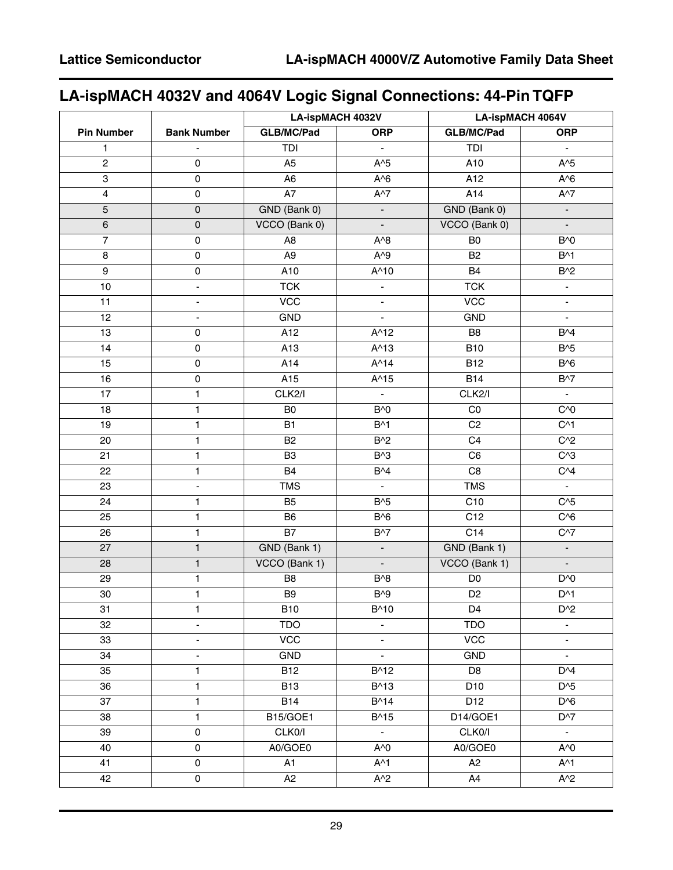# **LA-ispMACH 4032V and 4064V Logic Signal Connections: 44-Pin TQFP**

|                         |                          | <b>LA-ispMACH 4032V</b> |                             | <b>LA-ispMACH 4064V</b> |                          |  |
|-------------------------|--------------------------|-------------------------|-----------------------------|-------------------------|--------------------------|--|
| <b>Pin Number</b>       | <b>Bank Number</b>       | GLB/MC/Pad              | <b>ORP</b>                  | <b>GLB/MC/Pad</b>       | <b>ORP</b>               |  |
| 1                       | ÷.                       | TDI                     | $\blacksquare$              | TDI                     | $\blacksquare$           |  |
| $\overline{2}$          | $\mathbf 0$              | A <sub>5</sub>          | $A^5$                       | A10                     | $A^5$                    |  |
| 3                       | $\pmb{0}$                | A <sub>6</sub>          | $A^6$                       | A12                     | $A^6$                    |  |
| $\overline{\mathbf{4}}$ | $\pmb{0}$                | A7                      | $A^{\wedge}7$               | A14                     | $A^{\wedge}7$            |  |
| 5                       | $\pmb{0}$                | GND (Bank 0)            | $\mathcal{L}_{\mathcal{A}}$ | GND (Bank 0)            | $\blacksquare$           |  |
| $\,6$                   | $\pmb{0}$                | VCCO (Bank 0)           | $\blacksquare$              | VCCO (Bank 0)           | $\blacksquare$           |  |
| $\overline{7}$          | $\pmb{0}$                | A <sub>8</sub>          | $A^8$                       | B <sub>0</sub>          | B <sup>A</sup> O         |  |
| 8                       | $\pmb{0}$                | $\overline{A9}$         | $A^0$                       | <b>B2</b>               | $B^{\wedge}1$            |  |
| $\boldsymbol{9}$        | $\pmb{0}$                | A10                     | A^10                        | B4                      | $B^2$                    |  |
| 10                      | ÷.                       | <b>TCK</b>              | $\blacksquare$              | <b>TCK</b>              | $\blacksquare$           |  |
| 11                      | $\overline{\phantom{a}}$ | <b>VCC</b>              | $\overline{\phantom{a}}$    | <b>VCC</b>              | $\blacksquare$           |  |
| 12                      | $\blacksquare$           | GND                     | $\overline{a}$              | GND                     | $\mathbf{r}$             |  |
| 13                      | $\pmb{0}$                | A12                     | $A^{\wedge}12$              | B <sub>8</sub>          | B <sup>4</sup>           |  |
| 14                      | $\pmb{0}$                | A13                     | $A^{\wedge}13$              | <b>B10</b>              | $B^{3}$                  |  |
| 15                      | $\mathsf 0$              | A14                     | $A^{\wedge}14$              | <b>B12</b>              | $B^{6}$                  |  |
| 16                      | $\pmb{0}$                | A15                     | $A^{\wedge}15$              | <b>B14</b>              | <b>B^7</b>               |  |
| 17                      | $\mathbf{1}$             | CLK2/I                  | $\omega_{\rm c}$            | CLK2/I                  | $\blacksquare$           |  |
| 18                      | $\mathbf{1}$             | B <sub>0</sub>          | $B^{\wedge}0$               | CO                      | $C^{0}$                  |  |
| 19                      | $\mathbf{1}$             | <b>B1</b>               | $B^{\wedge}1$               | C <sub>2</sub>          | $C^{\wedge}1$            |  |
| 20                      | 1                        | <b>B2</b>               | $B^{2}$                     | C <sub>4</sub>          | $C^{2}$                  |  |
| 21                      | $\mathbf{1}$             | B <sub>3</sub>          | $B^{3}$                     | C6                      | $C^{3}$                  |  |
| 22                      | $\mathbf{1}$             | <b>B4</b>               | B <sup>4</sup>              | C <sub>8</sub>          | $C^{4}$                  |  |
| 23                      | $\blacksquare$           | <b>TMS</b>              | $\mathcal{L}_{\mathcal{A}}$ | <b>TMS</b>              | $\blacksquare$           |  |
| 24                      | $\mathbf{1}$             | <b>B5</b>               | $B^{3}$                     | C10                     | $C^{3}5$                 |  |
| 25                      | $\mathbf{1}$             | B <sub>6</sub>          | $B^{6}$                     | C12                     | $C^{6}$                  |  |
| 26                      | 1                        | $\overline{B7}$         | $B^{\wedge}7$               | $\overline{C14}$        | $C^{37}$                 |  |
| 27                      | $\mathbf{1}$             | GND (Bank 1)            | $\blacksquare$              | GND (Bank 1)            | $\Box$                   |  |
| 28                      | $\mathbf{1}$             | VCCO (Bank 1)           | $\blacksquare$              | VCCO (Bank 1)           | $\overline{\phantom{a}}$ |  |
| 29                      | $\mathbf{1}$             | B <sub>8</sub>          | $B^{3}$                     | D <sub>0</sub>          | D <sup>AO</sup>          |  |
| 30                      | $\mathbf{1}$             | B <sub>9</sub>          | $B^{0}$                     | D <sub>2</sub>          | $D^{\wedge}1$            |  |
| 31                      | $\mathbf{1}$             | <b>B10</b>              | B^10                        | D4                      | $D^2$                    |  |
| 32                      | $\overline{\phantom{a}}$ | <b>TDO</b>              | $\blacksquare$              | <b>TDO</b>              | $\blacksquare$           |  |
| 33                      | $\overline{\phantom{a}}$ | <b>VCC</b>              | $\overline{\phantom{a}}$    | <b>VCC</b>              | $\overline{\phantom{a}}$ |  |
| 34                      | $\overline{\phantom{a}}$ | <b>GND</b>              | $\blacksquare$              | <b>GND</b>              | $\blacksquare$           |  |
| 35                      | $\mathbf{1}$             | <b>B12</b>              | B^12                        | D <sub>8</sub>          | D <sup>A</sup>           |  |
| 36                      | $\mathbf{1}$             | <b>B13</b>              | B^13                        | D <sub>10</sub>         | $D^{3}5$                 |  |
| 37                      | $\mathbf{1}$             | <b>B14</b>              | B^14                        | D12                     | $D^{6}$                  |  |
| 38                      | $\mathbf{1}$             | B15/GOE1                | B^15                        | D14/GOE1                | $D^{27}$                 |  |
| 39                      | $\pmb{0}$                | CLK0/I                  | $\blacksquare$              | CLK0/I                  | $\blacksquare$           |  |
| 40                      | $\pmb{0}$                | A0/GOE0                 | A^0                         | A0/GOE0                 | $A^{\wedge}0$            |  |
| 41                      | $\pmb{0}$                | A1                      | $A^{\wedge}1$               | A2                      | $A^{\wedge}1$            |  |
| 42                      | $\pmb{0}$                | A <sub>2</sub>          | $A^2$                       | A4                      | $A^2$                    |  |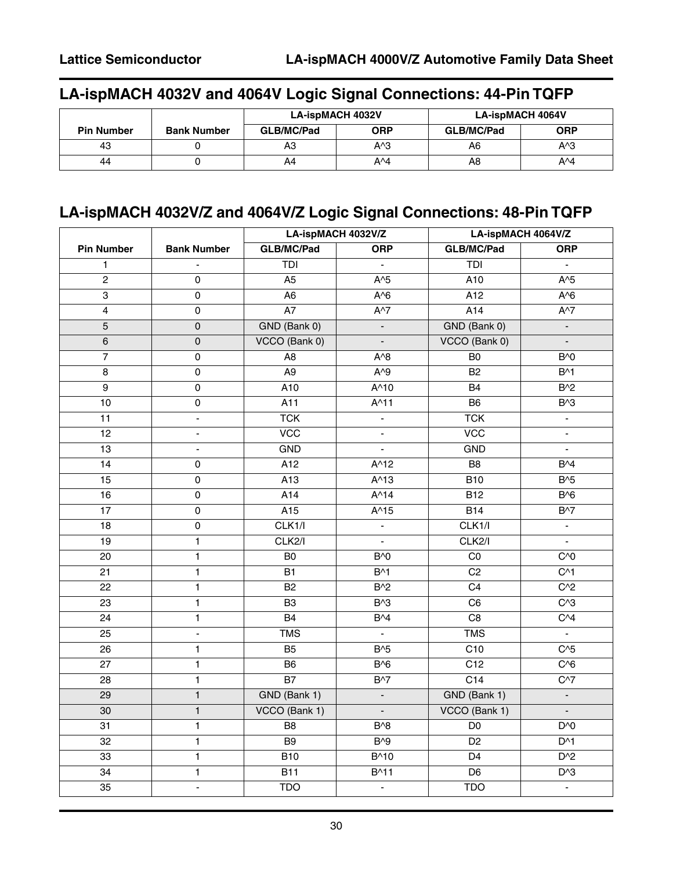# **LA-ispMACH 4032V and 4064V Logic Signal Connections: 44-Pin TQFP**

|                   |                    | <b>LA-ispMACH 4032V</b> |            | <b>LA-ispMACH 4064V</b> |            |
|-------------------|--------------------|-------------------------|------------|-------------------------|------------|
| <b>Pin Number</b> | <b>Bank Number</b> | GLB/MC/Pad              | <b>ORP</b> | GLB/MC/Pad              | <b>ORP</b> |
| 43                |                    | A3                      | А^З        | A6                      | A^3        |
| 44                |                    | A4                      | A^4        | A8                      | A^4        |

# **LA-ispMACH 4032V/Z and 4064V/Z Logic Signal Connections: 48-Pin TQFP**

|                   |                          | LA-ispMACH 4032V/Z |                             | LA-ispMACH 4064V/Z |                                   |  |
|-------------------|--------------------------|--------------------|-----------------------------|--------------------|-----------------------------------|--|
| <b>Pin Number</b> | <b>Bank Number</b>       | <b>GLB/MC/Pad</b>  | <b>ORP</b>                  | <b>GLB/MC/Pad</b>  | <b>ORP</b>                        |  |
| $\mathbf{1}$      | $\blacksquare$           | TDI                | $\blacksquare$              | TDI                | $\blacksquare$                    |  |
| $\overline{2}$    | $\pmb{0}$                | A <sub>5</sub>     | $A^5$                       | A10                | $A^5$                             |  |
| $\overline{3}$    | $\pmb{0}$                | A <sub>6</sub>     | $A^6$                       | A12                | $A^6$                             |  |
| $\overline{4}$    | $\mathsf 0$              | A7                 | $A^{\wedge}7$               | A14                | $A^{\wedge}7$                     |  |
| $\sqrt{5}$        | $\pmb{0}$                | GND (Bank 0)       | $\blacksquare$              | GND (Bank 0)       | $\blacksquare$                    |  |
| $\,6\,$           | $\mathsf{O}\xspace$      | VCCO (Bank 0)      | $\blacksquare$              | VCCO (Bank 0)      | ÷.                                |  |
| $\overline{7}$    | $\pmb{0}$                | A <sub>8</sub>     | $A^8$                       | B <sub>0</sub>     | B <sup><math>\wedge</math>0</sup> |  |
| 8                 | $\pmb{0}$                | A <sub>9</sub>     | $A^{\wedge}9$               | B <sub>2</sub>     | $B^{\wedge}1$                     |  |
| $\overline{9}$    | $\mathsf 0$              | A10                | $A^{\wedge}10$              | <b>B4</b>          | $B^2$                             |  |
| 10                | $\pmb{0}$                | A11                | $A^{\wedge}11$              | B <sub>6</sub>     | B <sup>A</sup> 3                  |  |
| 11                | $\blacksquare$           | <b>TCK</b>         | $\blacksquare$              | <b>TCK</b>         | $\blacksquare$                    |  |
| 12                | $\overline{\phantom{a}}$ | <b>VCC</b>         | $\blacksquare$              | <b>VCC</b>         | $\blacksquare$                    |  |
| 13                | $\overline{\phantom{0}}$ | GND                | $\blacksquare$              | <b>GND</b>         | $\blacksquare$                    |  |
| 14                | $\pmb{0}$                | $\overline{A12}$   | $A^{\wedge}12$              | B8                 | $B^{\wedge}4$                     |  |
| 15                | $\mathsf 0$              | A13                | $A^{\wedge}13$              | <b>B10</b>         | $B^{3}$                           |  |
| 16                | $\pmb{0}$                | A14                | $A^{\wedge}14$              | <b>B12</b>         | B <sub>0</sub>                    |  |
| 17                | $\pmb{0}$                | A15                | $A^{\wedge}15$              | B14                | $B^{\wedge}7$                     |  |
| 18                | $\mathsf 0$              | CLK1/l             | $\blacksquare$              | CLK1/I             | $\blacksquare$                    |  |
| 19                | $\mathbf{1}$             | CLK2/I             | $\blacksquare$              | CLK2/I             | $\blacksquare$                    |  |
| 20                | $\mathbf{1}$             | B <sub>0</sub>     | <b>B^0</b>                  | CO                 | C <sub>0</sub>                    |  |
| 21                | $\mathbf{1}$             | <b>B1</b>          | $B^{\wedge}1$               | C <sub>2</sub>     | $C^{\wedge}1$                     |  |
| 22                | $\mathbf{1}$             | <b>B2</b>          | $B^2$                       | C <sub>4</sub>     | $C^{2}$                           |  |
| 23                | $\mathbf{1}$             | B <sub>3</sub>     | B <sup>A</sup> 3            | C <sub>6</sub>     | $C^{3}$                           |  |
| 24                | $\mathbf{1}$             | <b>B4</b>          | B <sup>4</sup>              | C8                 | $C^{4}$                           |  |
| 25                | $\blacksquare$           | <b>TMS</b>         | $\blacksquare$              | <b>TMS</b>         | $\mathcal{L}_{\mathcal{A}}$       |  |
| 26                | $\mathbf{1}$             | B <sub>5</sub>     | $B^{3}$                     | $\overline{C10}$   | $C^{3}5$                          |  |
| 27                | $\mathbf{1}$             | B <sub>6</sub>     | B <sub>0</sub>              | C12                | $C^{6}$                           |  |
| 28                | $\mathbf{1}$             | <b>B7</b>          | $B^{\wedge}7$               | C14                | $C^{37}$                          |  |
| 29                | $\mathbf{1}$             | GND (Bank 1)       | $\overline{\phantom{a}}$    | GND (Bank 1)       | $\blacksquare$                    |  |
| 30                | $\mathbf{1}$             | VCCO (Bank 1)      | $\overline{\phantom{a}}$    | VCCO (Bank 1)      | $\overline{\phantom{a}}$          |  |
| 31                | $\mathbf{1}$             | B <sub>8</sub>     | B <sup>A</sup> <sub>8</sub> | D <sub>0</sub>     | D <sup>AO</sup>                   |  |
| 32                | $\mathbf{1}$             | B <sub>9</sub>     | $B^{0}$                     | D <sub>2</sub>     | $D^{\wedge}1$                     |  |
| 33                | $\mathbf{1}$             | <b>B10</b>         | B^10                        | D <sub>4</sub>     | $D^2$                             |  |
| 34                | $\mathbf{1}$             | <b>B11</b>         | B^11                        | D <sub>6</sub>     | $D^{\wedge}3$                     |  |
| 35                | $\overline{\phantom{a}}$ | <b>TDO</b>         | $\blacksquare$              | <b>TDO</b>         | $\blacksquare$                    |  |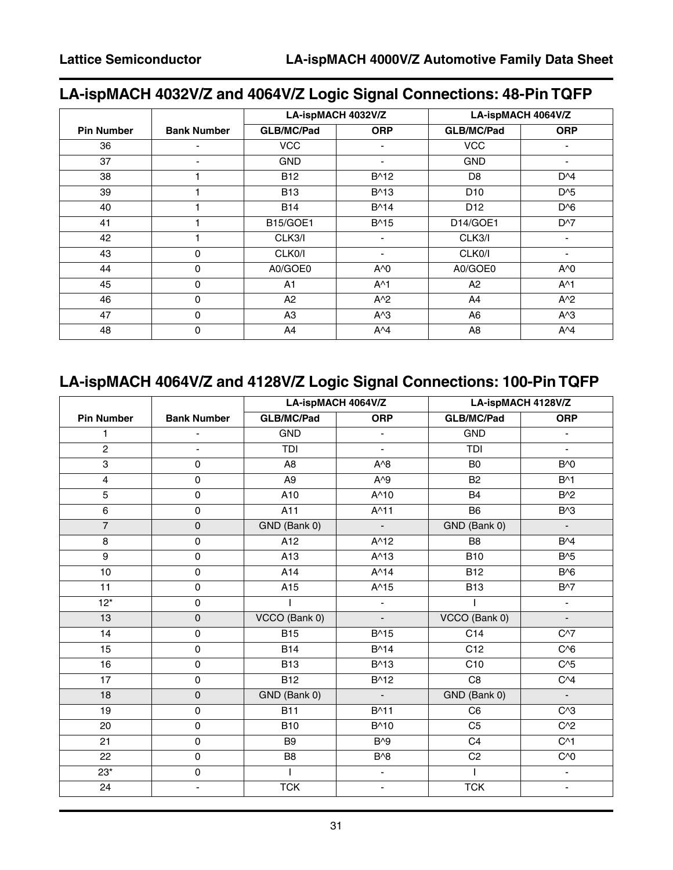# **LA-ispMACH 4032V/Z and 4064V/Z Logic Signal Connections: 48-Pin TQFP**

|                   |                    |                   | LA-ispMACH 4032V/Z       |                   | LA-ispMACH 4064V/Z       |
|-------------------|--------------------|-------------------|--------------------------|-------------------|--------------------------|
| <b>Pin Number</b> | <b>Bank Number</b> | <b>GLB/MC/Pad</b> | <b>ORP</b>               | <b>GLB/MC/Pad</b> | <b>ORP</b>               |
| 36                |                    | <b>VCC</b>        |                          | <b>VCC</b>        |                          |
| 37                |                    | <b>GND</b>        |                          | <b>GND</b>        | $\overline{\phantom{a}}$ |
| 38                |                    | <b>B12</b>        | B^12                     | D <sub>8</sub>    | $D^{\wedge}4$            |
| 39                |                    | <b>B13</b>        | $B^{\wedge}13$           | D <sub>10</sub>   | $D^{6}$                  |
| 40                |                    | <b>B14</b>        | B^14                     | D <sub>12</sub>   | $D^{6}$                  |
| 41                |                    | <b>B15/GOE1</b>   | B^15                     | D14/GOE1          | $D^{\wedge}7$            |
| 42                |                    | CLK3/I            | $\overline{\phantom{0}}$ | CLK3/I            | $\overline{\phantom{a}}$ |
| 43                | 0                  | CLK0/I            | $\overline{\phantom{0}}$ | CLK0/I            | $\overline{\phantom{0}}$ |
| 44                | 0                  | A0/GOE0           | $A^0$                    | A0/GOE0           | $A^0$                    |
| 45                | 0                  | A <sub>1</sub>    | $A^{\wedge}1$            | A <sub>2</sub>    | $A^{\wedge}1$            |
| 46                | $\mathbf 0$        | A2                | $A^2$                    | A4                | $A^2$                    |
| 47                | $\Omega$           | A3                | $A^3$                    | A <sub>6</sub>    | $A^3$                    |
| 48                | 0                  | A4                | $A^4$                    | A8                | $A^4$                    |

# **LA-ispMACH 4064V/Z and 4128V/Z Logic Signal Connections: 100-Pin TQFP**

|                   |                          | LA-ispMACH 4064V/Z |                              | LA-ispMACH 4128V/Z |                          |  |
|-------------------|--------------------------|--------------------|------------------------------|--------------------|--------------------------|--|
| <b>Pin Number</b> | <b>Bank Number</b>       | <b>GLB/MC/Pad</b>  | <b>ORP</b>                   | <b>GLB/MC/Pad</b>  | <b>ORP</b>               |  |
| 1                 |                          | <b>GND</b>         | ä,                           | <b>GND</b>         | $\overline{\phantom{a}}$ |  |
| $\overline{2}$    | ÷.                       | TDI                | ä,                           | TDI                | ä,                       |  |
| $\overline{3}$    | $\pmb{0}$                | A <sub>8</sub>     | $A^0$                        | B <sub>0</sub>     | $B^0$                    |  |
| 4                 | $\pmb{0}$                | A <sub>9</sub>     | $A^0$                        | B <sub>2</sub>     | $B^{\wedge}1$            |  |
| $\overline{5}$    | $\pmb{0}$                | A10                | $A^{\wedge}10$               | <b>B4</b>          | $B^2$                    |  |
| 6                 | $\pmb{0}$                | A11                | $A^{\wedge}11$               | <b>B6</b>          | $B^{\wedge}3$            |  |
| $\overline{7}$    | $\mathsf{O}\xspace$      | GND (Bank 0)       | $\blacksquare$               | GND (Bank 0)       | $\blacksquare$           |  |
| 8                 | $\mathbf 0$              | A12                | $A^{\wedge}12$               | B <sub>8</sub>     | B <sup>4</sup>           |  |
| 9                 | $\pmb{0}$                | A13                | $A^{\wedge}13$               | <b>B10</b>         | B <sub>0</sub> 5         |  |
| 10                | $\pmb{0}$                | A14                | $A^{\wedge}14$               | <b>B12</b>         | B <sub>0</sub>           |  |
| 11                | 0                        | A15                | A^15                         | <b>B13</b>         | $B^{\wedge}7$            |  |
| $12*$             | $\mathsf 0$              |                    | $\blacksquare$               |                    | $\blacksquare$           |  |
| 13                | $\mathbf 0$              | VCCO (Bank 0)      | $\qquad \qquad \blacksquare$ | VCCO (Bank 0)      | $\overline{\phantom{a}}$ |  |
| 14                | $\pmb{0}$                | <b>B15</b>         | B^15                         | C14                | $C^{37}$                 |  |
| 15                | $\mathsf 0$              | <b>B14</b>         | $B^{\wedge}14$               | C12                | $C^{6}$                  |  |
| 16                | $\mathbf 0$              | <b>B13</b>         | B^13                         | C10                | $C^{3}5$                 |  |
| 17                | $\pmb{0}$                | <b>B12</b>         | B^12                         | C <sub>8</sub>     | C <sub>4</sub>           |  |
| 18                | $\mathsf 0$              | GND (Bank 0)       | $\blacksquare$               | GND (Bank 0)       | $\blacksquare$           |  |
| 19                | $\pmb{0}$                | <b>B11</b>         | B^11                         | C <sub>6</sub>     | $C^{3}$                  |  |
| 20                | $\pmb{0}$                | <b>B10</b>         | B^10                         | C <sub>5</sub>     | $C^{2}$                  |  |
| 21                | $\pmb{0}$                | B <sub>9</sub>     | $B^{0}$                      | C <sub>4</sub>     | $C^{\wedge}1$            |  |
| 22                | $\pmb{0}$                | B <sub>8</sub>     | $B^{3}$                      | C <sub>2</sub>     | C <sub>0</sub>           |  |
| $23*$             | $\mathsf 0$              |                    | ÷.                           | $\mathsf{I}$       | ÷.                       |  |
| 24                | $\overline{\phantom{a}}$ | <b>TCK</b>         | $\overline{\phantom{a}}$     | <b>TCK</b>         | $\overline{\phantom{a}}$ |  |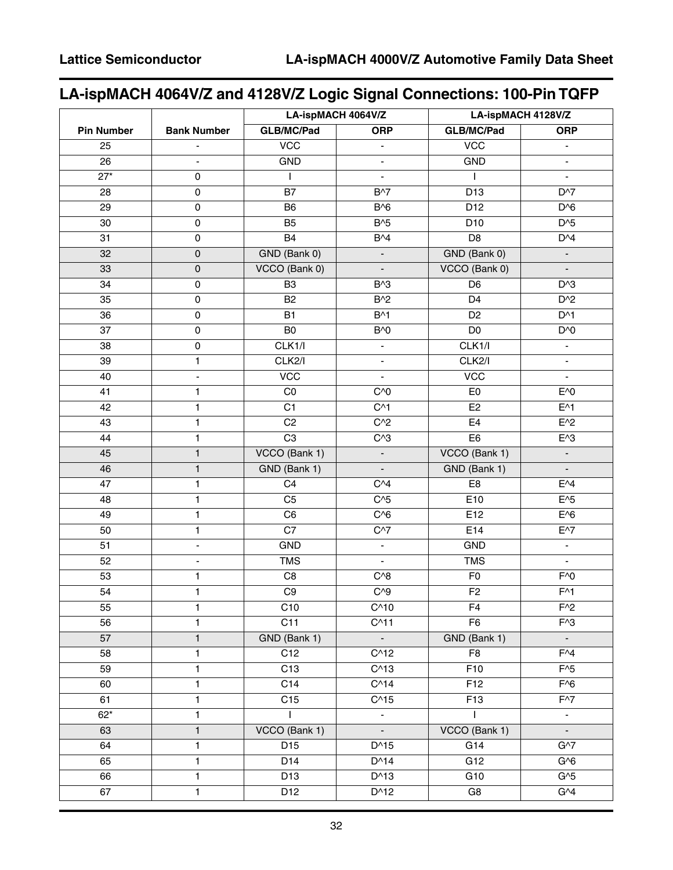# **LA-ispMACH 4064V/Z and 4128V/Z Logic Signal Connections: 100-Pin TQFP**

| <b>GLB/MC/Pad</b><br><b>Pin Number</b><br><b>Bank Number</b><br><b>ORP</b><br><b>GLB/MC/Pad</b><br><b>ORP</b><br><b>VCC</b><br><b>VCC</b><br>25<br>$\blacksquare$<br>$\blacksquare$<br>$\blacksquare$<br>$\overline{26}$<br><b>GND</b><br><b>GND</b><br>$\overline{27}^*$<br>0<br>$\mathbf{I}$<br>$\blacksquare$<br>$\mathbf{I}$<br>$\blacksquare$<br><b>B7</b><br>D13<br>28<br>$\pmb{0}$<br>$B^{\wedge}7$<br>$D^{3}$<br>29<br>B <sub>6</sub><br>B <sub>0</sub><br>D12<br>$\pmb{0}$<br>D <sup>A</sup> 6<br>$B^{3}$<br>$\pmb{0}$<br>B <sub>5</sub><br>D10<br>$D^{3}5$<br>30<br><b>B4</b><br>B <sup>4</sup><br>D <sub>8</sub><br>D <sup>A</sup> 4<br>31<br>$\pmb{0}$<br>GND (Bank 0)<br>32<br>GND (Bank 0)<br>$\pmb{0}$<br>$\blacksquare$<br>$\blacksquare$<br>VCCO (Bank 0)<br>VCCO (Bank 0)<br>$\mathsf{O}\xspace$<br>33<br>$\overline{\phantom{a}}$<br>$\overline{\phantom{a}}$<br>B <sub>3</sub><br>D <sub>6</sub><br>34<br>$\pmb{0}$<br>$B^{\wedge}3$<br>D <sup>A</sup> 3<br><b>B2</b><br>$B^2$<br>D <sub>4</sub><br>35<br>$\pmb{0}$<br>$D^2$<br>$\pmb{0}$<br><b>B1</b><br>$B^{\wedge}1$<br>$D^{\wedge}1$<br>36<br>D <sub>2</sub><br>B <sub>0</sub><br>D <sub>0</sub><br>37<br>$\pmb{0}$<br>B <sup>A</sup> O<br>D <sup>AO</sup><br>CLK1/I<br>CLK1/I<br>38<br>$\pmb{0}$<br>$\blacksquare$<br>$\blacksquare$<br>CLK2/I<br>CLK2/I<br>1<br>39<br>$\blacksquare$<br>$\overline{\phantom{a}}$<br><b>VCC</b><br><b>VCC</b><br>40<br>$\blacksquare$<br>$\blacksquare$<br>$\blacksquare$<br>CO<br>E0<br>41<br>1<br>C <sub>0</sub><br>E <sup>^0</sup><br>$\mathbf{1}$<br>$C^{\wedge}1$<br>$E^{\wedge}1$<br>42<br>C1<br>E <sub>2</sub><br>$C^{2}$<br>E4<br>43<br>1<br>C <sub>2</sub><br>$E^2$<br>$\overline{C3}$<br>E6<br>1<br>44<br>$C^{3}$<br>$E^{\wedge}3$<br>VCCO (Bank 1)<br>$\mathbf{1}$<br>VCCO (Bank 1)<br>45<br>$\blacksquare$<br>$\overline{\phantom{a}}$<br>$\mathbf{1}$<br>GND (Bank 1)<br>GND (Bank 1)<br>46<br>$\mathcal{L}_{\mathcal{A}}$<br>$\overline{\phantom{a}}$<br>47<br>1<br>C <sub>4</sub><br>C <sub>4</sub><br>E <sub>8</sub><br>$E^{4}$<br>$\mathbf{1}$<br>$C^{3}5$<br>E10<br>$E^{\wedge}5$<br>48<br>C <sub>5</sub><br>C <sub>0</sub><br>1<br>C <sub>6</sub><br>E12<br>$E^0$<br>49<br>$\overline{C7}$<br>1<br>$C^{37}$<br>E14<br>50<br>$E^{\wedge7}$ |  | LA-ispMACH 4064V/Z |  | LA-ispMACH 4128V/Z |  |  |
|-----------------------------------------------------------------------------------------------------------------------------------------------------------------------------------------------------------------------------------------------------------------------------------------------------------------------------------------------------------------------------------------------------------------------------------------------------------------------------------------------------------------------------------------------------------------------------------------------------------------------------------------------------------------------------------------------------------------------------------------------------------------------------------------------------------------------------------------------------------------------------------------------------------------------------------------------------------------------------------------------------------------------------------------------------------------------------------------------------------------------------------------------------------------------------------------------------------------------------------------------------------------------------------------------------------------------------------------------------------------------------------------------------------------------------------------------------------------------------------------------------------------------------------------------------------------------------------------------------------------------------------------------------------------------------------------------------------------------------------------------------------------------------------------------------------------------------------------------------------------------------------------------------------------------------------------------------------------------------------------------------------------------------------------------------------------------------------------------------------------------------------------------------------------------------------------------------------------------------------------------------------------------|--|--------------------|--|--------------------|--|--|
|                                                                                                                                                                                                                                                                                                                                                                                                                                                                                                                                                                                                                                                                                                                                                                                                                                                                                                                                                                                                                                                                                                                                                                                                                                                                                                                                                                                                                                                                                                                                                                                                                                                                                                                                                                                                                                                                                                                                                                                                                                                                                                                                                                                                                                                                       |  |                    |  |                    |  |  |
|                                                                                                                                                                                                                                                                                                                                                                                                                                                                                                                                                                                                                                                                                                                                                                                                                                                                                                                                                                                                                                                                                                                                                                                                                                                                                                                                                                                                                                                                                                                                                                                                                                                                                                                                                                                                                                                                                                                                                                                                                                                                                                                                                                                                                                                                       |  |                    |  |                    |  |  |
|                                                                                                                                                                                                                                                                                                                                                                                                                                                                                                                                                                                                                                                                                                                                                                                                                                                                                                                                                                                                                                                                                                                                                                                                                                                                                                                                                                                                                                                                                                                                                                                                                                                                                                                                                                                                                                                                                                                                                                                                                                                                                                                                                                                                                                                                       |  |                    |  |                    |  |  |
|                                                                                                                                                                                                                                                                                                                                                                                                                                                                                                                                                                                                                                                                                                                                                                                                                                                                                                                                                                                                                                                                                                                                                                                                                                                                                                                                                                                                                                                                                                                                                                                                                                                                                                                                                                                                                                                                                                                                                                                                                                                                                                                                                                                                                                                                       |  |                    |  |                    |  |  |
|                                                                                                                                                                                                                                                                                                                                                                                                                                                                                                                                                                                                                                                                                                                                                                                                                                                                                                                                                                                                                                                                                                                                                                                                                                                                                                                                                                                                                                                                                                                                                                                                                                                                                                                                                                                                                                                                                                                                                                                                                                                                                                                                                                                                                                                                       |  |                    |  |                    |  |  |
|                                                                                                                                                                                                                                                                                                                                                                                                                                                                                                                                                                                                                                                                                                                                                                                                                                                                                                                                                                                                                                                                                                                                                                                                                                                                                                                                                                                                                                                                                                                                                                                                                                                                                                                                                                                                                                                                                                                                                                                                                                                                                                                                                                                                                                                                       |  |                    |  |                    |  |  |
|                                                                                                                                                                                                                                                                                                                                                                                                                                                                                                                                                                                                                                                                                                                                                                                                                                                                                                                                                                                                                                                                                                                                                                                                                                                                                                                                                                                                                                                                                                                                                                                                                                                                                                                                                                                                                                                                                                                                                                                                                                                                                                                                                                                                                                                                       |  |                    |  |                    |  |  |
|                                                                                                                                                                                                                                                                                                                                                                                                                                                                                                                                                                                                                                                                                                                                                                                                                                                                                                                                                                                                                                                                                                                                                                                                                                                                                                                                                                                                                                                                                                                                                                                                                                                                                                                                                                                                                                                                                                                                                                                                                                                                                                                                                                                                                                                                       |  |                    |  |                    |  |  |
|                                                                                                                                                                                                                                                                                                                                                                                                                                                                                                                                                                                                                                                                                                                                                                                                                                                                                                                                                                                                                                                                                                                                                                                                                                                                                                                                                                                                                                                                                                                                                                                                                                                                                                                                                                                                                                                                                                                                                                                                                                                                                                                                                                                                                                                                       |  |                    |  |                    |  |  |
|                                                                                                                                                                                                                                                                                                                                                                                                                                                                                                                                                                                                                                                                                                                                                                                                                                                                                                                                                                                                                                                                                                                                                                                                                                                                                                                                                                                                                                                                                                                                                                                                                                                                                                                                                                                                                                                                                                                                                                                                                                                                                                                                                                                                                                                                       |  |                    |  |                    |  |  |
|                                                                                                                                                                                                                                                                                                                                                                                                                                                                                                                                                                                                                                                                                                                                                                                                                                                                                                                                                                                                                                                                                                                                                                                                                                                                                                                                                                                                                                                                                                                                                                                                                                                                                                                                                                                                                                                                                                                                                                                                                                                                                                                                                                                                                                                                       |  |                    |  |                    |  |  |
|                                                                                                                                                                                                                                                                                                                                                                                                                                                                                                                                                                                                                                                                                                                                                                                                                                                                                                                                                                                                                                                                                                                                                                                                                                                                                                                                                                                                                                                                                                                                                                                                                                                                                                                                                                                                                                                                                                                                                                                                                                                                                                                                                                                                                                                                       |  |                    |  |                    |  |  |
|                                                                                                                                                                                                                                                                                                                                                                                                                                                                                                                                                                                                                                                                                                                                                                                                                                                                                                                                                                                                                                                                                                                                                                                                                                                                                                                                                                                                                                                                                                                                                                                                                                                                                                                                                                                                                                                                                                                                                                                                                                                                                                                                                                                                                                                                       |  |                    |  |                    |  |  |
|                                                                                                                                                                                                                                                                                                                                                                                                                                                                                                                                                                                                                                                                                                                                                                                                                                                                                                                                                                                                                                                                                                                                                                                                                                                                                                                                                                                                                                                                                                                                                                                                                                                                                                                                                                                                                                                                                                                                                                                                                                                                                                                                                                                                                                                                       |  |                    |  |                    |  |  |
|                                                                                                                                                                                                                                                                                                                                                                                                                                                                                                                                                                                                                                                                                                                                                                                                                                                                                                                                                                                                                                                                                                                                                                                                                                                                                                                                                                                                                                                                                                                                                                                                                                                                                                                                                                                                                                                                                                                                                                                                                                                                                                                                                                                                                                                                       |  |                    |  |                    |  |  |
|                                                                                                                                                                                                                                                                                                                                                                                                                                                                                                                                                                                                                                                                                                                                                                                                                                                                                                                                                                                                                                                                                                                                                                                                                                                                                                                                                                                                                                                                                                                                                                                                                                                                                                                                                                                                                                                                                                                                                                                                                                                                                                                                                                                                                                                                       |  |                    |  |                    |  |  |
|                                                                                                                                                                                                                                                                                                                                                                                                                                                                                                                                                                                                                                                                                                                                                                                                                                                                                                                                                                                                                                                                                                                                                                                                                                                                                                                                                                                                                                                                                                                                                                                                                                                                                                                                                                                                                                                                                                                                                                                                                                                                                                                                                                                                                                                                       |  |                    |  |                    |  |  |
|                                                                                                                                                                                                                                                                                                                                                                                                                                                                                                                                                                                                                                                                                                                                                                                                                                                                                                                                                                                                                                                                                                                                                                                                                                                                                                                                                                                                                                                                                                                                                                                                                                                                                                                                                                                                                                                                                                                                                                                                                                                                                                                                                                                                                                                                       |  |                    |  |                    |  |  |
|                                                                                                                                                                                                                                                                                                                                                                                                                                                                                                                                                                                                                                                                                                                                                                                                                                                                                                                                                                                                                                                                                                                                                                                                                                                                                                                                                                                                                                                                                                                                                                                                                                                                                                                                                                                                                                                                                                                                                                                                                                                                                                                                                                                                                                                                       |  |                    |  |                    |  |  |
|                                                                                                                                                                                                                                                                                                                                                                                                                                                                                                                                                                                                                                                                                                                                                                                                                                                                                                                                                                                                                                                                                                                                                                                                                                                                                                                                                                                                                                                                                                                                                                                                                                                                                                                                                                                                                                                                                                                                                                                                                                                                                                                                                                                                                                                                       |  |                    |  |                    |  |  |
|                                                                                                                                                                                                                                                                                                                                                                                                                                                                                                                                                                                                                                                                                                                                                                                                                                                                                                                                                                                                                                                                                                                                                                                                                                                                                                                                                                                                                                                                                                                                                                                                                                                                                                                                                                                                                                                                                                                                                                                                                                                                                                                                                                                                                                                                       |  |                    |  |                    |  |  |
|                                                                                                                                                                                                                                                                                                                                                                                                                                                                                                                                                                                                                                                                                                                                                                                                                                                                                                                                                                                                                                                                                                                                                                                                                                                                                                                                                                                                                                                                                                                                                                                                                                                                                                                                                                                                                                                                                                                                                                                                                                                                                                                                                                                                                                                                       |  |                    |  |                    |  |  |
|                                                                                                                                                                                                                                                                                                                                                                                                                                                                                                                                                                                                                                                                                                                                                                                                                                                                                                                                                                                                                                                                                                                                                                                                                                                                                                                                                                                                                                                                                                                                                                                                                                                                                                                                                                                                                                                                                                                                                                                                                                                                                                                                                                                                                                                                       |  |                    |  |                    |  |  |
|                                                                                                                                                                                                                                                                                                                                                                                                                                                                                                                                                                                                                                                                                                                                                                                                                                                                                                                                                                                                                                                                                                                                                                                                                                                                                                                                                                                                                                                                                                                                                                                                                                                                                                                                                                                                                                                                                                                                                                                                                                                                                                                                                                                                                                                                       |  |                    |  |                    |  |  |
|                                                                                                                                                                                                                                                                                                                                                                                                                                                                                                                                                                                                                                                                                                                                                                                                                                                                                                                                                                                                                                                                                                                                                                                                                                                                                                                                                                                                                                                                                                                                                                                                                                                                                                                                                                                                                                                                                                                                                                                                                                                                                                                                                                                                                                                                       |  |                    |  |                    |  |  |
|                                                                                                                                                                                                                                                                                                                                                                                                                                                                                                                                                                                                                                                                                                                                                                                                                                                                                                                                                                                                                                                                                                                                                                                                                                                                                                                                                                                                                                                                                                                                                                                                                                                                                                                                                                                                                                                                                                                                                                                                                                                                                                                                                                                                                                                                       |  |                    |  |                    |  |  |
|                                                                                                                                                                                                                                                                                                                                                                                                                                                                                                                                                                                                                                                                                                                                                                                                                                                                                                                                                                                                                                                                                                                                                                                                                                                                                                                                                                                                                                                                                                                                                                                                                                                                                                                                                                                                                                                                                                                                                                                                                                                                                                                                                                                                                                                                       |  |                    |  |                    |  |  |
| 51<br><b>GND</b><br><b>GND</b><br>$\blacksquare$<br>$\blacksquare$<br>$\overline{\phantom{a}}$                                                                                                                                                                                                                                                                                                                                                                                                                                                                                                                                                                                                                                                                                                                                                                                                                                                                                                                                                                                                                                                                                                                                                                                                                                                                                                                                                                                                                                                                                                                                                                                                                                                                                                                                                                                                                                                                                                                                                                                                                                                                                                                                                                        |  |                    |  |                    |  |  |
| <b>TMS</b><br><b>TMS</b><br>52<br>$\mathcal{L}_{\mathcal{A}}$<br>$\blacksquare$<br>$\blacksquare$                                                                                                                                                                                                                                                                                                                                                                                                                                                                                                                                                                                                                                                                                                                                                                                                                                                                                                                                                                                                                                                                                                                                                                                                                                                                                                                                                                                                                                                                                                                                                                                                                                                                                                                                                                                                                                                                                                                                                                                                                                                                                                                                                                     |  |                    |  |                    |  |  |
| 53<br>1<br>C8<br>$C^{38}$<br>F <sub>0</sub><br>$F^{\wedge}0$                                                                                                                                                                                                                                                                                                                                                                                                                                                                                                                                                                                                                                                                                                                                                                                                                                                                                                                                                                                                                                                                                                                                                                                                                                                                                                                                                                                                                                                                                                                                                                                                                                                                                                                                                                                                                                                                                                                                                                                                                                                                                                                                                                                                          |  |                    |  |                    |  |  |
| $_{\rm C9}$<br>$C^{0}9$<br>$F^{\wedge}1$<br>54<br>$\mathbf{1}$<br>F <sub>2</sub>                                                                                                                                                                                                                                                                                                                                                                                                                                                                                                                                                                                                                                                                                                                                                                                                                                                                                                                                                                                                                                                                                                                                                                                                                                                                                                                                                                                                                                                                                                                                                                                                                                                                                                                                                                                                                                                                                                                                                                                                                                                                                                                                                                                      |  |                    |  |                    |  |  |
| C10<br>$C^{\wedge}10$<br>$F^2$<br>1<br>F <sub>4</sub><br>55                                                                                                                                                                                                                                                                                                                                                                                                                                                                                                                                                                                                                                                                                                                                                                                                                                                                                                                                                                                                                                                                                                                                                                                                                                                                                                                                                                                                                                                                                                                                                                                                                                                                                                                                                                                                                                                                                                                                                                                                                                                                                                                                                                                                           |  |                    |  |                    |  |  |
| $\overline{C11}$<br>F6<br>56<br>1<br>$C^{\wedge}11$<br>$F^{\wedge}3$                                                                                                                                                                                                                                                                                                                                                                                                                                                                                                                                                                                                                                                                                                                                                                                                                                                                                                                                                                                                                                                                                                                                                                                                                                                                                                                                                                                                                                                                                                                                                                                                                                                                                                                                                                                                                                                                                                                                                                                                                                                                                                                                                                                                  |  |                    |  |                    |  |  |
| $\mathbf{1}$<br>GND (Bank 1)<br>GND (Bank 1)<br>57<br>$\overline{\phantom{a}}$<br>$\blacksquare$                                                                                                                                                                                                                                                                                                                                                                                                                                                                                                                                                                                                                                                                                                                                                                                                                                                                                                                                                                                                                                                                                                                                                                                                                                                                                                                                                                                                                                                                                                                                                                                                                                                                                                                                                                                                                                                                                                                                                                                                                                                                                                                                                                      |  |                    |  |                    |  |  |
| C12<br>1<br>$C^{\wedge}12$<br>F <sub>8</sub><br>$F^{4}$<br>58                                                                                                                                                                                                                                                                                                                                                                                                                                                                                                                                                                                                                                                                                                                                                                                                                                                                                                                                                                                                                                                                                                                                                                                                                                                                                                                                                                                                                                                                                                                                                                                                                                                                                                                                                                                                                                                                                                                                                                                                                                                                                                                                                                                                         |  |                    |  |                    |  |  |
| $\mathbf{1}$<br>59<br>C13<br>C <sub>13</sub><br>F10<br>$F^{\wedge}5$                                                                                                                                                                                                                                                                                                                                                                                                                                                                                                                                                                                                                                                                                                                                                                                                                                                                                                                                                                                                                                                                                                                                                                                                                                                                                                                                                                                                                                                                                                                                                                                                                                                                                                                                                                                                                                                                                                                                                                                                                                                                                                                                                                                                  |  |                    |  |                    |  |  |
| $\mathbf{1}$<br>C14<br>$F^0$<br>$C^{\wedge}14$<br>F12<br>60                                                                                                                                                                                                                                                                                                                                                                                                                                                                                                                                                                                                                                                                                                                                                                                                                                                                                                                                                                                                                                                                                                                                                                                                                                                                                                                                                                                                                                                                                                                                                                                                                                                                                                                                                                                                                                                                                                                                                                                                                                                                                                                                                                                                           |  |                    |  |                    |  |  |
| C15<br>$F^{\wedge}7$<br>1<br>$C^{\wedge}15$<br>F13<br>61                                                                                                                                                                                                                                                                                                                                                                                                                                                                                                                                                                                                                                                                                                                                                                                                                                                                                                                                                                                                                                                                                                                                                                                                                                                                                                                                                                                                                                                                                                                                                                                                                                                                                                                                                                                                                                                                                                                                                                                                                                                                                                                                                                                                              |  |                    |  |                    |  |  |
| $62*$<br>$\mathbf{1}$<br>$\blacksquare$<br>$\blacksquare$                                                                                                                                                                                                                                                                                                                                                                                                                                                                                                                                                                                                                                                                                                                                                                                                                                                                                                                                                                                                                                                                                                                                                                                                                                                                                                                                                                                                                                                                                                                                                                                                                                                                                                                                                                                                                                                                                                                                                                                                                                                                                                                                                                                                             |  |                    |  |                    |  |  |
| $\mathbf{1}$<br>VCCO (Bank 1)<br>VCCO (Bank 1)<br>63<br>$\overline{\phantom{a}}$<br>÷                                                                                                                                                                                                                                                                                                                                                                                                                                                                                                                                                                                                                                                                                                                                                                                                                                                                                                                                                                                                                                                                                                                                                                                                                                                                                                                                                                                                                                                                                                                                                                                                                                                                                                                                                                                                                                                                                                                                                                                                                                                                                                                                                                                 |  |                    |  |                    |  |  |
| 1<br>D <sub>15</sub><br>G14<br>64<br>$D^{\wedge}15$<br>G <sub>1</sub>                                                                                                                                                                                                                                                                                                                                                                                                                                                                                                                                                                                                                                                                                                                                                                                                                                                                                                                                                                                                                                                                                                                                                                                                                                                                                                                                                                                                                                                                                                                                                                                                                                                                                                                                                                                                                                                                                                                                                                                                                                                                                                                                                                                                 |  |                    |  |                    |  |  |
| 1<br>D14<br>G12<br>65<br>$D^{\wedge}14$<br>$G^{6}$                                                                                                                                                                                                                                                                                                                                                                                                                                                                                                                                                                                                                                                                                                                                                                                                                                                                                                                                                                                                                                                                                                                                                                                                                                                                                                                                                                                                                                                                                                                                                                                                                                                                                                                                                                                                                                                                                                                                                                                                                                                                                                                                                                                                                    |  |                    |  |                    |  |  |
| $\mathbf{1}$<br>$G^{3}5$<br>D <sub>13</sub><br>D <sup>^13</sup><br>G10<br>66                                                                                                                                                                                                                                                                                                                                                                                                                                                                                                                                                                                                                                                                                                                                                                                                                                                                                                                                                                                                                                                                                                                                                                                                                                                                                                                                                                                                                                                                                                                                                                                                                                                                                                                                                                                                                                                                                                                                                                                                                                                                                                                                                                                          |  |                    |  |                    |  |  |
| D12<br>G8<br>$G^{24}$<br>67<br>1<br>$D^{\wedge}12$                                                                                                                                                                                                                                                                                                                                                                                                                                                                                                                                                                                                                                                                                                                                                                                                                                                                                                                                                                                                                                                                                                                                                                                                                                                                                                                                                                                                                                                                                                                                                                                                                                                                                                                                                                                                                                                                                                                                                                                                                                                                                                                                                                                                                    |  |                    |  |                    |  |  |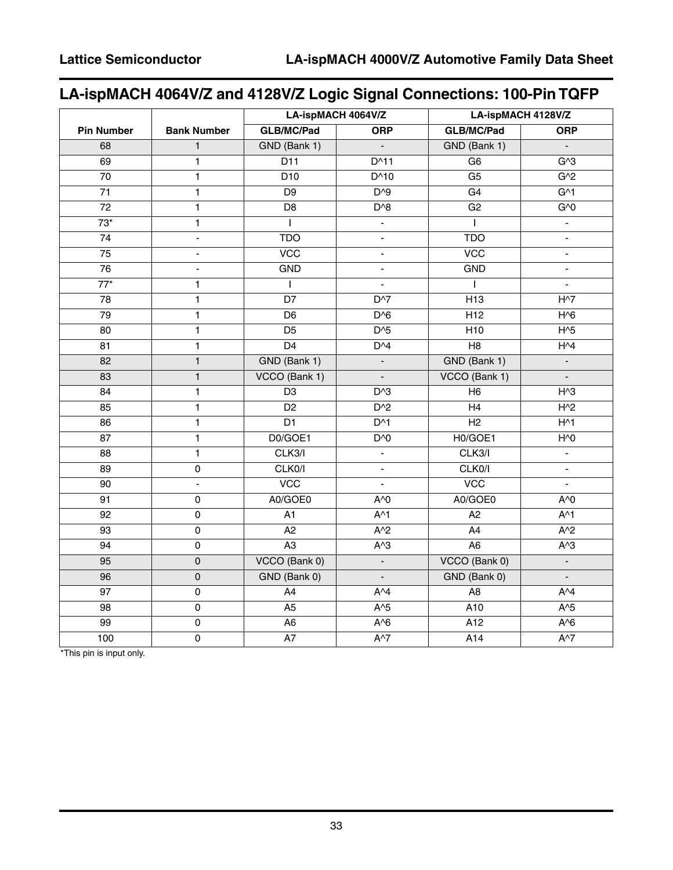# **LA-ispMACH 4064V/Z and 4128V/Z Logic Signal Connections: 100-Pin TQFP**

|                   |                          | LA-ispMACH 4064V/Z |                | LA-ispMACH 4128V/Z |                 |  |
|-------------------|--------------------------|--------------------|----------------|--------------------|-----------------|--|
| <b>Pin Number</b> | <b>Bank Number</b>       | <b>GLB/MC/Pad</b>  | <b>ORP</b>     | <b>GLB/MC/Pad</b>  | <b>ORP</b>      |  |
| 68                | $\mathbf{1}$             | GND (Bank 1)       | $\blacksquare$ | GND (Bank 1)       |                 |  |
| 69                | $\overline{1}$           | $\overline{D11}$   | $D^{\wedge}11$ | G <sub>6</sub>     | G <sub>3</sub>  |  |
| $\overline{70}$   | $\overline{1}$           | D10                | $D^{\wedge}10$ | G5                 | G <sub>2</sub>  |  |
| 71                | $\overline{1}$           | D9                 | $D^{3}9$       | G4                 | G <sub>1</sub>  |  |
| $\overline{72}$   | $\overline{1}$           | D <sub>8</sub>     | $D^{\wedge}8$  | G2                 | $G^0$           |  |
| $73*$             | $\mathbf{1}$             | $\mathbf{I}$       | $\blacksquare$ | $\overline{1}$     | $\blacksquare$  |  |
| 74                | $\blacksquare$           | <b>TDO</b>         | $\blacksquare$ | <b>TDO</b>         | $\blacksquare$  |  |
| 75                | $\overline{\phantom{0}}$ | $\overline{VCC}$   | ÷.             | $\overline{VCC}$   | $\blacksquare$  |  |
| $\overline{76}$   | ÷,                       | <b>GND</b>         | ÷,             | <b>GND</b>         | $\blacksquare$  |  |
| $\overline{77}^*$ | 1                        | $\mathsf{I}$       | $\overline{a}$ | $\mathbf{I}$       | $\overline{a}$  |  |
| 78                | $\mathbf{1}$             | $\overline{D7}$    | $D^{3}7$       | H <sub>13</sub>    | $H^{\wedge}7$   |  |
| 79                | $\overline{1}$           | D <sub>6</sub>     | $D^{6}$        | H12                | $H\overline{6}$ |  |
| 80                | $\mathbf{1}$             | D <sub>5</sub>     | $D^{3}5$       | H10                | $H^5$           |  |
| 81                | $\mathbf{1}$             | $\overline{D4}$    | $D^{4}$        | $\overline{H8}$    | H <sub>1</sub>  |  |
| 82                | $\mathbf{1}$             | GND (Bank 1)       | $\blacksquare$ | GND (Bank 1)       | $\blacksquare$  |  |
| 83                | $\mathbf{1}$             | VCCO (Bank 1)      | $\blacksquare$ | VCCO (Bank 1)      | $\blacksquare$  |  |
| 84                | $\mathbf{1}$             | $\overline{D3}$    | $D^{3}$        | H6                 | $H^{\wedge}3$   |  |
| 85                | $\mathbf{1}$             | D <sub>2</sub>     | $D^2$          | H4                 | $H^2$           |  |
| 86                | $\overline{1}$           | $\overline{D1}$    | $D^{\wedge}1$  | H2                 | $H^{\wedge}1$   |  |
| 87                | $\mathbf{1}$             | D0/GOE1            | D'             | H0/GOE1            | $H^0$           |  |
| 88                | $\overline{1}$           | CLK3/I             | $\Box$         | CLK3/I             | $\blacksquare$  |  |
| 89                | $\mathsf 0$              | CLK0/I             | $\blacksquare$ | CLK0/I             | $\blacksquare$  |  |
| 90                | $\blacksquare$           | VCC                | $\blacksquare$ | VCC                | $\blacksquare$  |  |
| 91                | 0                        | A0/GOE0            | $A^0$          | A0/GOE0            | $A^{\wedge}0$   |  |
| 92                | $\pmb{0}$                | A1                 | $A^{\wedge}1$  | A2                 | $A^{\wedge}1$   |  |
| 93                | $\overline{0}$           | $\overline{A2}$    | $A^{2}$        | $\overline{A4}$    | $A^{2}$         |  |
| 94                | $\mathbf 0$              | $\overline{A3}$    | $A^3$          | A6                 | $A^3$           |  |
| 95                | $\mathsf 0$              | VCCO (Bank 0)      | $\blacksquare$ | VCCO (Bank 0)      | $\Box$          |  |
| $\overline{96}$   | $\overline{0}$           | GND (Bank 0)       | $\mathbf{r}$   | GND (Bank 0)       | $\mathbf{r}$    |  |
| 97                | $\mathsf 0$              | A4                 | $A^{\wedge}4$  | A <sub>8</sub>     | $A^{\wedge}4$   |  |
| 98                | $\mathsf 0$              | A <sub>5</sub>     | $A^5$          | A10                | $A^5$           |  |
| $\overline{99}$   | $\mathsf 0$              | A <sub>6</sub>     | $A^6$          | $\overline{A12}$   | $A^6$           |  |
| 100               | $\pmb{0}$                | A7                 | $A^{\wedge}7$  | A14                | $A^{\wedge}7$   |  |

\*This pin is input only.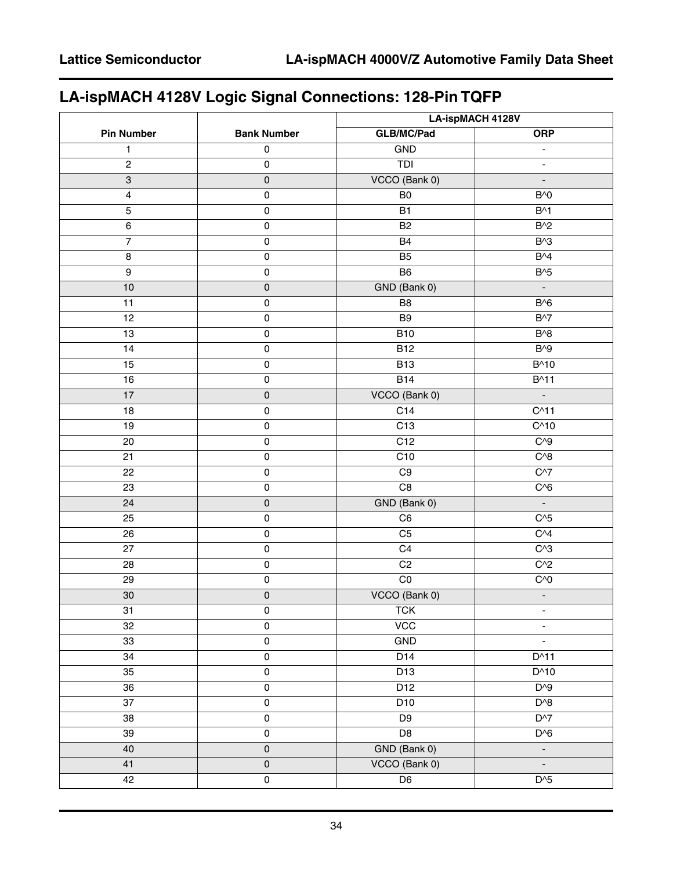# **LA-ispMACH 4128V Logic Signal Connections: 128-Pin TQFP**

| <b>Pin Number</b><br><b>Bank Number</b><br><b>GLB/MC/Pad</b><br><b>ORP</b><br>$\pmb{0}$<br>GND<br>1<br>$\blacksquare$<br><b>TDI</b><br>$\overline{c}$<br>$\pmb{0}$<br>$\qquad \qquad \blacksquare$<br>VCCO (Bank 0)<br>$\pmb{0}$<br>3<br>÷,<br>$\mathsf 0$<br>$B^{\wedge}0$<br>4<br>B <sub>0</sub><br>$B^{\wedge}1$<br>5<br>$\pmb{0}$<br><b>B1</b><br><b>B2</b><br>$B^2$<br>6<br>$\mathsf{O}\xspace$<br>$\overline{7}$<br>$\mathsf 0$<br>$B^{\wedge}3$<br><b>B4</b><br>$B^{4}$<br>$\mathsf 0$<br>$\bf 8$<br>B <sub>5</sub><br>$\boldsymbol{9}$<br>$\mathsf{O}\xspace$<br>B <sub>6</sub><br>$B^{\wedge}5$<br>$\pmb{0}$<br>GND (Bank 0)<br>10<br>$\blacksquare$<br>11<br>B <sub>8</sub><br>B <sub>0</sub><br>$\pmb{0}$<br>12<br>$\mathsf{O}\xspace$<br>B <sub>9</sub><br>$B^{\wedge}7$<br>$\mathsf 0$<br><b>B10</b><br>$B^{\wedge}8$<br>13<br>14<br>$\mathsf 0$<br>$\overline{B12}$<br>$B^{\wedge}9$<br>B^10<br>15<br>$\mathsf{O}\xspace$<br><b>B13</b><br>$\mathsf 0$<br><b>B14</b><br>16<br>$B^{\wedge}11$<br>VCCO (Bank 0)<br>17<br>$\mathsf{O}\xspace$<br>$\blacksquare$<br>C14<br>$C^{\wedge}11$<br>18<br>$\mathsf{O}\xspace$<br>C <sub>10</sub><br>$\mathsf 0$<br>C <sub>13</sub><br>19<br>$C^{3}9$<br>C12<br>20<br>$\pmb{0}$<br>$C^{8}$<br>21<br>$\mathsf{O}\xspace$<br>C10<br>$\mathsf 0$<br>$C^{37}$<br>22<br>C <sub>9</sub><br>$\overline{C8}$<br>$C^{6}$<br>23<br>$\pmb{0}$<br>GND (Bank 0)<br>24<br>$\pmb{0}$<br>$\mathbb{Z}^2$<br>$C^{3}5$<br>$\mathsf 0$<br>25<br>C6<br>C <sub>4</sub><br>26<br>$\pmb{0}$<br>C <sub>5</sub><br>$\mathsf{O}\xspace$<br>C <sub>4</sub><br>$C^{3}$<br>27<br>$\mathsf 0$<br>$C^{2}$<br>28<br>C <sub>2</sub><br>$_{\rm CO}$<br>$C^{0}$<br>29<br>$\pmb{0}$<br>VCCO (Bank 0)<br>$\pmb{0}$<br>$30\,$<br>$\Box$<br>$\mathsf{O}\xspace$<br>31<br><b>TCK</b><br>۰<br>VCC<br>32<br>$\pmb{0}$<br>$\blacksquare$<br><b>GND</b><br>33<br>$\mathsf{O}\xspace$<br>ä,<br>$\overline{\textbf{0}}$<br>$D^{\wedge}11$<br>34<br>D14<br>35<br>$\mathsf{O}\xspace$<br>D13<br>D^10<br>$D^{3}$<br>36<br>$\mathsf 0$<br>D12<br>$\overline{\textbf{0}}$<br>$D^{\wedge}8$<br>37<br>D10<br>$D^{3}$<br>38<br>D <sub>9</sub><br>$\pmb{0}$<br>$\overline{D8}$<br>$D^{6}$<br>39<br>$\mathsf{O}\xspace$<br>$\mathsf{O}\xspace$<br>GND (Bank 0)<br>40<br>÷<br>VCCO (Bank 0)<br>41<br>$\mathsf{O}\xspace$<br>$\blacksquare$<br>$D^{3}5$<br>D6<br>42<br>$\mathsf{O}\xspace$ |  | LA-ispMACH 4128V |  |  |
|-----------------------------------------------------------------------------------------------------------------------------------------------------------------------------------------------------------------------------------------------------------------------------------------------------------------------------------------------------------------------------------------------------------------------------------------------------------------------------------------------------------------------------------------------------------------------------------------------------------------------------------------------------------------------------------------------------------------------------------------------------------------------------------------------------------------------------------------------------------------------------------------------------------------------------------------------------------------------------------------------------------------------------------------------------------------------------------------------------------------------------------------------------------------------------------------------------------------------------------------------------------------------------------------------------------------------------------------------------------------------------------------------------------------------------------------------------------------------------------------------------------------------------------------------------------------------------------------------------------------------------------------------------------------------------------------------------------------------------------------------------------------------------------------------------------------------------------------------------------------------------------------------------------------------------------------------------------------------------------------------------------------------------------------------------------------------------------------------------------------------------------------------------------------------------------------------------------------------------------------------------------------------------------------------------------------------------------------------------------------------------------|--|------------------|--|--|
|                                                                                                                                                                                                                                                                                                                                                                                                                                                                                                                                                                                                                                                                                                                                                                                                                                                                                                                                                                                                                                                                                                                                                                                                                                                                                                                                                                                                                                                                                                                                                                                                                                                                                                                                                                                                                                                                                                                                                                                                                                                                                                                                                                                                                                                                                                                                                                                   |  |                  |  |  |
|                                                                                                                                                                                                                                                                                                                                                                                                                                                                                                                                                                                                                                                                                                                                                                                                                                                                                                                                                                                                                                                                                                                                                                                                                                                                                                                                                                                                                                                                                                                                                                                                                                                                                                                                                                                                                                                                                                                                                                                                                                                                                                                                                                                                                                                                                                                                                                                   |  |                  |  |  |
|                                                                                                                                                                                                                                                                                                                                                                                                                                                                                                                                                                                                                                                                                                                                                                                                                                                                                                                                                                                                                                                                                                                                                                                                                                                                                                                                                                                                                                                                                                                                                                                                                                                                                                                                                                                                                                                                                                                                                                                                                                                                                                                                                                                                                                                                                                                                                                                   |  |                  |  |  |
|                                                                                                                                                                                                                                                                                                                                                                                                                                                                                                                                                                                                                                                                                                                                                                                                                                                                                                                                                                                                                                                                                                                                                                                                                                                                                                                                                                                                                                                                                                                                                                                                                                                                                                                                                                                                                                                                                                                                                                                                                                                                                                                                                                                                                                                                                                                                                                                   |  |                  |  |  |
|                                                                                                                                                                                                                                                                                                                                                                                                                                                                                                                                                                                                                                                                                                                                                                                                                                                                                                                                                                                                                                                                                                                                                                                                                                                                                                                                                                                                                                                                                                                                                                                                                                                                                                                                                                                                                                                                                                                                                                                                                                                                                                                                                                                                                                                                                                                                                                                   |  |                  |  |  |
|                                                                                                                                                                                                                                                                                                                                                                                                                                                                                                                                                                                                                                                                                                                                                                                                                                                                                                                                                                                                                                                                                                                                                                                                                                                                                                                                                                                                                                                                                                                                                                                                                                                                                                                                                                                                                                                                                                                                                                                                                                                                                                                                                                                                                                                                                                                                                                                   |  |                  |  |  |
|                                                                                                                                                                                                                                                                                                                                                                                                                                                                                                                                                                                                                                                                                                                                                                                                                                                                                                                                                                                                                                                                                                                                                                                                                                                                                                                                                                                                                                                                                                                                                                                                                                                                                                                                                                                                                                                                                                                                                                                                                                                                                                                                                                                                                                                                                                                                                                                   |  |                  |  |  |
|                                                                                                                                                                                                                                                                                                                                                                                                                                                                                                                                                                                                                                                                                                                                                                                                                                                                                                                                                                                                                                                                                                                                                                                                                                                                                                                                                                                                                                                                                                                                                                                                                                                                                                                                                                                                                                                                                                                                                                                                                                                                                                                                                                                                                                                                                                                                                                                   |  |                  |  |  |
|                                                                                                                                                                                                                                                                                                                                                                                                                                                                                                                                                                                                                                                                                                                                                                                                                                                                                                                                                                                                                                                                                                                                                                                                                                                                                                                                                                                                                                                                                                                                                                                                                                                                                                                                                                                                                                                                                                                                                                                                                                                                                                                                                                                                                                                                                                                                                                                   |  |                  |  |  |
|                                                                                                                                                                                                                                                                                                                                                                                                                                                                                                                                                                                                                                                                                                                                                                                                                                                                                                                                                                                                                                                                                                                                                                                                                                                                                                                                                                                                                                                                                                                                                                                                                                                                                                                                                                                                                                                                                                                                                                                                                                                                                                                                                                                                                                                                                                                                                                                   |  |                  |  |  |
|                                                                                                                                                                                                                                                                                                                                                                                                                                                                                                                                                                                                                                                                                                                                                                                                                                                                                                                                                                                                                                                                                                                                                                                                                                                                                                                                                                                                                                                                                                                                                                                                                                                                                                                                                                                                                                                                                                                                                                                                                                                                                                                                                                                                                                                                                                                                                                                   |  |                  |  |  |
|                                                                                                                                                                                                                                                                                                                                                                                                                                                                                                                                                                                                                                                                                                                                                                                                                                                                                                                                                                                                                                                                                                                                                                                                                                                                                                                                                                                                                                                                                                                                                                                                                                                                                                                                                                                                                                                                                                                                                                                                                                                                                                                                                                                                                                                                                                                                                                                   |  |                  |  |  |
|                                                                                                                                                                                                                                                                                                                                                                                                                                                                                                                                                                                                                                                                                                                                                                                                                                                                                                                                                                                                                                                                                                                                                                                                                                                                                                                                                                                                                                                                                                                                                                                                                                                                                                                                                                                                                                                                                                                                                                                                                                                                                                                                                                                                                                                                                                                                                                                   |  |                  |  |  |
|                                                                                                                                                                                                                                                                                                                                                                                                                                                                                                                                                                                                                                                                                                                                                                                                                                                                                                                                                                                                                                                                                                                                                                                                                                                                                                                                                                                                                                                                                                                                                                                                                                                                                                                                                                                                                                                                                                                                                                                                                                                                                                                                                                                                                                                                                                                                                                                   |  |                  |  |  |
|                                                                                                                                                                                                                                                                                                                                                                                                                                                                                                                                                                                                                                                                                                                                                                                                                                                                                                                                                                                                                                                                                                                                                                                                                                                                                                                                                                                                                                                                                                                                                                                                                                                                                                                                                                                                                                                                                                                                                                                                                                                                                                                                                                                                                                                                                                                                                                                   |  |                  |  |  |
|                                                                                                                                                                                                                                                                                                                                                                                                                                                                                                                                                                                                                                                                                                                                                                                                                                                                                                                                                                                                                                                                                                                                                                                                                                                                                                                                                                                                                                                                                                                                                                                                                                                                                                                                                                                                                                                                                                                                                                                                                                                                                                                                                                                                                                                                                                                                                                                   |  |                  |  |  |
|                                                                                                                                                                                                                                                                                                                                                                                                                                                                                                                                                                                                                                                                                                                                                                                                                                                                                                                                                                                                                                                                                                                                                                                                                                                                                                                                                                                                                                                                                                                                                                                                                                                                                                                                                                                                                                                                                                                                                                                                                                                                                                                                                                                                                                                                                                                                                                                   |  |                  |  |  |
|                                                                                                                                                                                                                                                                                                                                                                                                                                                                                                                                                                                                                                                                                                                                                                                                                                                                                                                                                                                                                                                                                                                                                                                                                                                                                                                                                                                                                                                                                                                                                                                                                                                                                                                                                                                                                                                                                                                                                                                                                                                                                                                                                                                                                                                                                                                                                                                   |  |                  |  |  |
|                                                                                                                                                                                                                                                                                                                                                                                                                                                                                                                                                                                                                                                                                                                                                                                                                                                                                                                                                                                                                                                                                                                                                                                                                                                                                                                                                                                                                                                                                                                                                                                                                                                                                                                                                                                                                                                                                                                                                                                                                                                                                                                                                                                                                                                                                                                                                                                   |  |                  |  |  |
|                                                                                                                                                                                                                                                                                                                                                                                                                                                                                                                                                                                                                                                                                                                                                                                                                                                                                                                                                                                                                                                                                                                                                                                                                                                                                                                                                                                                                                                                                                                                                                                                                                                                                                                                                                                                                                                                                                                                                                                                                                                                                                                                                                                                                                                                                                                                                                                   |  |                  |  |  |
|                                                                                                                                                                                                                                                                                                                                                                                                                                                                                                                                                                                                                                                                                                                                                                                                                                                                                                                                                                                                                                                                                                                                                                                                                                                                                                                                                                                                                                                                                                                                                                                                                                                                                                                                                                                                                                                                                                                                                                                                                                                                                                                                                                                                                                                                                                                                                                                   |  |                  |  |  |
|                                                                                                                                                                                                                                                                                                                                                                                                                                                                                                                                                                                                                                                                                                                                                                                                                                                                                                                                                                                                                                                                                                                                                                                                                                                                                                                                                                                                                                                                                                                                                                                                                                                                                                                                                                                                                                                                                                                                                                                                                                                                                                                                                                                                                                                                                                                                                                                   |  |                  |  |  |
|                                                                                                                                                                                                                                                                                                                                                                                                                                                                                                                                                                                                                                                                                                                                                                                                                                                                                                                                                                                                                                                                                                                                                                                                                                                                                                                                                                                                                                                                                                                                                                                                                                                                                                                                                                                                                                                                                                                                                                                                                                                                                                                                                                                                                                                                                                                                                                                   |  |                  |  |  |
|                                                                                                                                                                                                                                                                                                                                                                                                                                                                                                                                                                                                                                                                                                                                                                                                                                                                                                                                                                                                                                                                                                                                                                                                                                                                                                                                                                                                                                                                                                                                                                                                                                                                                                                                                                                                                                                                                                                                                                                                                                                                                                                                                                                                                                                                                                                                                                                   |  |                  |  |  |
|                                                                                                                                                                                                                                                                                                                                                                                                                                                                                                                                                                                                                                                                                                                                                                                                                                                                                                                                                                                                                                                                                                                                                                                                                                                                                                                                                                                                                                                                                                                                                                                                                                                                                                                                                                                                                                                                                                                                                                                                                                                                                                                                                                                                                                                                                                                                                                                   |  |                  |  |  |
|                                                                                                                                                                                                                                                                                                                                                                                                                                                                                                                                                                                                                                                                                                                                                                                                                                                                                                                                                                                                                                                                                                                                                                                                                                                                                                                                                                                                                                                                                                                                                                                                                                                                                                                                                                                                                                                                                                                                                                                                                                                                                                                                                                                                                                                                                                                                                                                   |  |                  |  |  |
|                                                                                                                                                                                                                                                                                                                                                                                                                                                                                                                                                                                                                                                                                                                                                                                                                                                                                                                                                                                                                                                                                                                                                                                                                                                                                                                                                                                                                                                                                                                                                                                                                                                                                                                                                                                                                                                                                                                                                                                                                                                                                                                                                                                                                                                                                                                                                                                   |  |                  |  |  |
|                                                                                                                                                                                                                                                                                                                                                                                                                                                                                                                                                                                                                                                                                                                                                                                                                                                                                                                                                                                                                                                                                                                                                                                                                                                                                                                                                                                                                                                                                                                                                                                                                                                                                                                                                                                                                                                                                                                                                                                                                                                                                                                                                                                                                                                                                                                                                                                   |  |                  |  |  |
|                                                                                                                                                                                                                                                                                                                                                                                                                                                                                                                                                                                                                                                                                                                                                                                                                                                                                                                                                                                                                                                                                                                                                                                                                                                                                                                                                                                                                                                                                                                                                                                                                                                                                                                                                                                                                                                                                                                                                                                                                                                                                                                                                                                                                                                                                                                                                                                   |  |                  |  |  |
|                                                                                                                                                                                                                                                                                                                                                                                                                                                                                                                                                                                                                                                                                                                                                                                                                                                                                                                                                                                                                                                                                                                                                                                                                                                                                                                                                                                                                                                                                                                                                                                                                                                                                                                                                                                                                                                                                                                                                                                                                                                                                                                                                                                                                                                                                                                                                                                   |  |                  |  |  |
|                                                                                                                                                                                                                                                                                                                                                                                                                                                                                                                                                                                                                                                                                                                                                                                                                                                                                                                                                                                                                                                                                                                                                                                                                                                                                                                                                                                                                                                                                                                                                                                                                                                                                                                                                                                                                                                                                                                                                                                                                                                                                                                                                                                                                                                                                                                                                                                   |  |                  |  |  |
|                                                                                                                                                                                                                                                                                                                                                                                                                                                                                                                                                                                                                                                                                                                                                                                                                                                                                                                                                                                                                                                                                                                                                                                                                                                                                                                                                                                                                                                                                                                                                                                                                                                                                                                                                                                                                                                                                                                                                                                                                                                                                                                                                                                                                                                                                                                                                                                   |  |                  |  |  |
|                                                                                                                                                                                                                                                                                                                                                                                                                                                                                                                                                                                                                                                                                                                                                                                                                                                                                                                                                                                                                                                                                                                                                                                                                                                                                                                                                                                                                                                                                                                                                                                                                                                                                                                                                                                                                                                                                                                                                                                                                                                                                                                                                                                                                                                                                                                                                                                   |  |                  |  |  |
|                                                                                                                                                                                                                                                                                                                                                                                                                                                                                                                                                                                                                                                                                                                                                                                                                                                                                                                                                                                                                                                                                                                                                                                                                                                                                                                                                                                                                                                                                                                                                                                                                                                                                                                                                                                                                                                                                                                                                                                                                                                                                                                                                                                                                                                                                                                                                                                   |  |                  |  |  |
|                                                                                                                                                                                                                                                                                                                                                                                                                                                                                                                                                                                                                                                                                                                                                                                                                                                                                                                                                                                                                                                                                                                                                                                                                                                                                                                                                                                                                                                                                                                                                                                                                                                                                                                                                                                                                                                                                                                                                                                                                                                                                                                                                                                                                                                                                                                                                                                   |  |                  |  |  |
|                                                                                                                                                                                                                                                                                                                                                                                                                                                                                                                                                                                                                                                                                                                                                                                                                                                                                                                                                                                                                                                                                                                                                                                                                                                                                                                                                                                                                                                                                                                                                                                                                                                                                                                                                                                                                                                                                                                                                                                                                                                                                                                                                                                                                                                                                                                                                                                   |  |                  |  |  |
|                                                                                                                                                                                                                                                                                                                                                                                                                                                                                                                                                                                                                                                                                                                                                                                                                                                                                                                                                                                                                                                                                                                                                                                                                                                                                                                                                                                                                                                                                                                                                                                                                                                                                                                                                                                                                                                                                                                                                                                                                                                                                                                                                                                                                                                                                                                                                                                   |  |                  |  |  |
|                                                                                                                                                                                                                                                                                                                                                                                                                                                                                                                                                                                                                                                                                                                                                                                                                                                                                                                                                                                                                                                                                                                                                                                                                                                                                                                                                                                                                                                                                                                                                                                                                                                                                                                                                                                                                                                                                                                                                                                                                                                                                                                                                                                                                                                                                                                                                                                   |  |                  |  |  |
|                                                                                                                                                                                                                                                                                                                                                                                                                                                                                                                                                                                                                                                                                                                                                                                                                                                                                                                                                                                                                                                                                                                                                                                                                                                                                                                                                                                                                                                                                                                                                                                                                                                                                                                                                                                                                                                                                                                                                                                                                                                                                                                                                                                                                                                                                                                                                                                   |  |                  |  |  |
|                                                                                                                                                                                                                                                                                                                                                                                                                                                                                                                                                                                                                                                                                                                                                                                                                                                                                                                                                                                                                                                                                                                                                                                                                                                                                                                                                                                                                                                                                                                                                                                                                                                                                                                                                                                                                                                                                                                                                                                                                                                                                                                                                                                                                                                                                                                                                                                   |  |                  |  |  |
|                                                                                                                                                                                                                                                                                                                                                                                                                                                                                                                                                                                                                                                                                                                                                                                                                                                                                                                                                                                                                                                                                                                                                                                                                                                                                                                                                                                                                                                                                                                                                                                                                                                                                                                                                                                                                                                                                                                                                                                                                                                                                                                                                                                                                                                                                                                                                                                   |  |                  |  |  |
|                                                                                                                                                                                                                                                                                                                                                                                                                                                                                                                                                                                                                                                                                                                                                                                                                                                                                                                                                                                                                                                                                                                                                                                                                                                                                                                                                                                                                                                                                                                                                                                                                                                                                                                                                                                                                                                                                                                                                                                                                                                                                                                                                                                                                                                                                                                                                                                   |  |                  |  |  |
|                                                                                                                                                                                                                                                                                                                                                                                                                                                                                                                                                                                                                                                                                                                                                                                                                                                                                                                                                                                                                                                                                                                                                                                                                                                                                                                                                                                                                                                                                                                                                                                                                                                                                                                                                                                                                                                                                                                                                                                                                                                                                                                                                                                                                                                                                                                                                                                   |  |                  |  |  |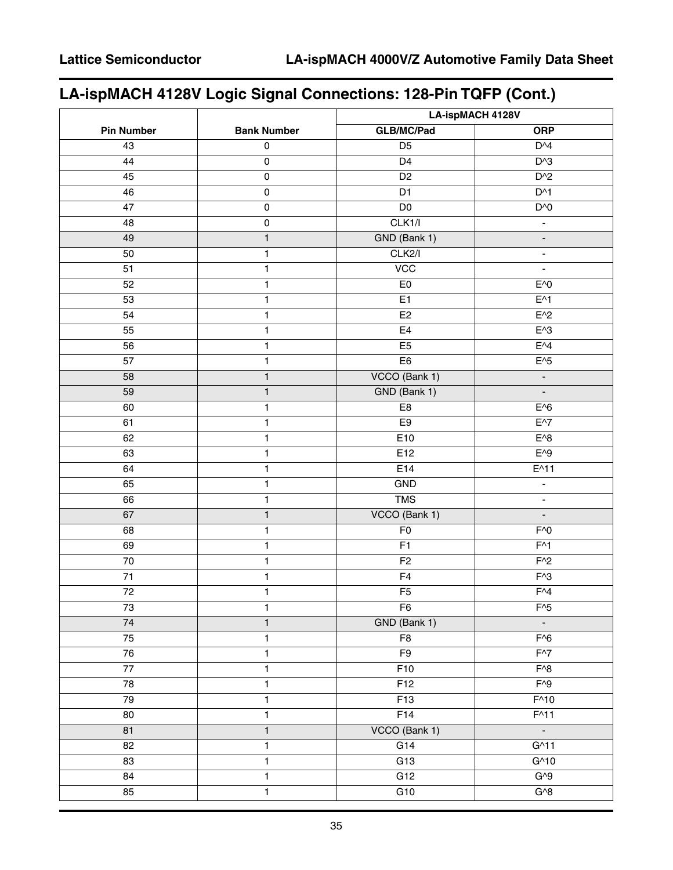# **LA-ispMACH 4128V Logic Signal Connections: 128-Pin TQFP (Cont.)**

|                   |                    | LA-ispMACH 4128V                          |                          |  |  |
|-------------------|--------------------|-------------------------------------------|--------------------------|--|--|
| <b>Pin Number</b> | <b>Bank Number</b> | <b>GLB/MC/Pad</b>                         | <b>ORP</b>               |  |  |
| 43                | $\pmb{0}$          | D <sub>5</sub>                            | $D^{4}$                  |  |  |
| 44                | $\mathsf 0$        | $\overline{D4}$                           | $D^{3}$                  |  |  |
| 45                | $\mathsf 0$        | D <sub>2</sub>                            | $D^2$                    |  |  |
| 46                | $\pmb{0}$          | D <sub>1</sub>                            | $D^{\wedge}1$            |  |  |
| 47                | $\mathsf 0$        | $\overline{D0}$                           | D'                       |  |  |
| 48                | $\mathsf 0$        | CLK1/l                                    | $\blacksquare$           |  |  |
| 49                | $\mathbf{1}$       | GND (Bank 1)                              | $\blacksquare$           |  |  |
| 50                | $\mathbf{1}$       | CLK2/I                                    | $\blacksquare$           |  |  |
| 51                | 1                  | VCC                                       | $\blacksquare$           |  |  |
| 52                | 1                  | E <sub>0</sub>                            | $E^0$                    |  |  |
| 53                | $\mathbf{1}$       | E1                                        | $E^{\wedge}1$            |  |  |
| 54                | 1                  | E <sub>2</sub>                            | $E^2$                    |  |  |
| 55                | 1                  | E4                                        | $E^{\wedge}3$            |  |  |
| 56                | $\mathbf{1}$       | E5                                        | $E^{4}$                  |  |  |
| 57                | 1                  | E <sub>6</sub>                            | $E^{\wedge}5$            |  |  |
| 58                | $\mathbf{1}$       | VCCO (Bank 1)                             | $\overline{\phantom{a}}$ |  |  |
| 59                | $\mathbf{1}$       | GND (Bank 1)                              | $\Box$                   |  |  |
| 60                | 1                  | E8                                        | $E^0$                    |  |  |
| 61                | 1                  | E9                                        | $E^{\wedge7}$            |  |  |
| 62                | $\mathbf{1}$       | E10                                       | $E^0$                    |  |  |
| 63                | 1                  | E12                                       | $E^{\wedge}9$            |  |  |
| 64                | 1                  | E14                                       | $E^{\wedge}11$           |  |  |
| 65                | $\mathbf{1}$       | GND                                       | $\Box$                   |  |  |
| 66                | 1                  | <b>TMS</b>                                | $\blacksquare$           |  |  |
| 67                | $\mathbf{1}$       | VCCO (Bank 1)                             | $\Box$                   |  |  |
| 68                | $\mathbf{1}$       | F <sub>0</sub>                            | $F^{\wedge}0$            |  |  |
| 69                | 1                  | $F^{\wedge}1$<br>F1                       |                          |  |  |
| 70                | 1                  | $F^2$<br>F <sub>2</sub>                   |                          |  |  |
| $\overline{71}$   | $\mathbf{1}$       | $F^{\wedge}3$<br>F4                       |                          |  |  |
| 72                | 1                  | $F^{4}$<br>F <sub>5</sub>                 |                          |  |  |
| 73                | 1                  | F <sub>6</sub><br>$F^{\wedge}5$           |                          |  |  |
| $\overline{74}$   | $\mathbf{1}$       | GND (Bank 1)                              | $\blacksquare$           |  |  |
| 75                | $\mathbf{1}$       | F <sub>8</sub>                            | $F^{6}$                  |  |  |
| 76                | $\mathbf{1}$       | F9                                        | $F^{3}$                  |  |  |
| $\overline{77}$   | $\mathbf{1}$       | F10                                       | $\overline{F^{\wedge}8}$ |  |  |
| 78                | 1                  | F12                                       | $F^{\wedge}9$            |  |  |
| 79                | $\mathbf{1}$       | $F^{\wedge}10$<br>$\overline{F13}$        |                          |  |  |
| 80                | $\mathbf{1}$       | F14                                       | $F^{\wedge}11$           |  |  |
| 81                | $\mathbf{1}$       | VCCO (Bank 1)<br>$\overline{\phantom{a}}$ |                          |  |  |
| 82                | $\mathbf{1}$       | G14                                       | $G^{\wedge}11$           |  |  |
| 83                | $\mathbf{1}$       | G13                                       | $G^{\wedge}10$           |  |  |
| 84                | 1                  | G12<br>$G^{0}9$                           |                          |  |  |
| 85                | $\mathbf{1}$       | G10<br>$G^{3}$                            |                          |  |  |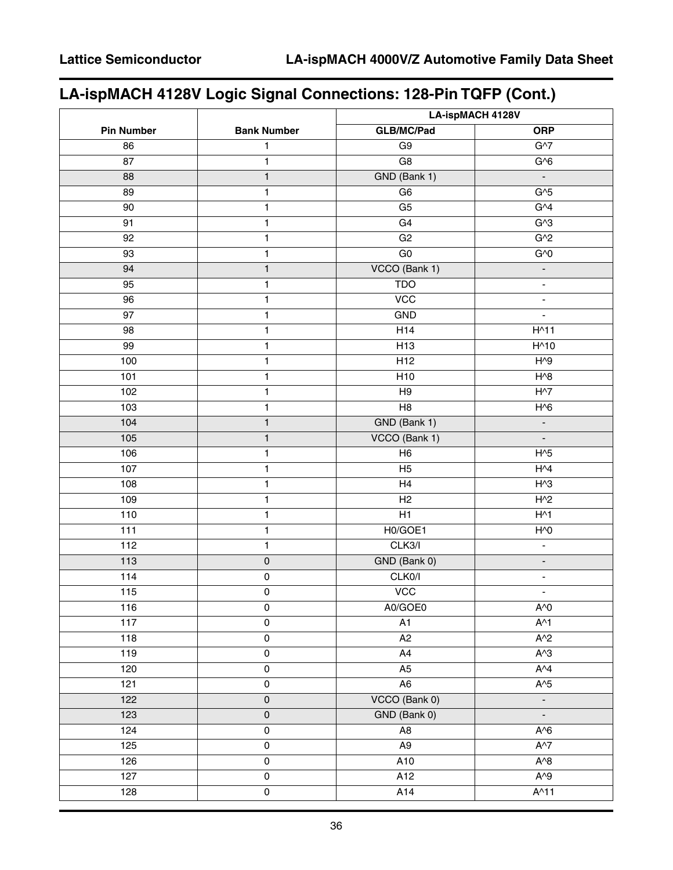# **LA-ispMACH 4128V Logic Signal Connections: 128-Pin TQFP (Cont.)**

|                   |                         | <b>LA-ispMACH 4128V</b>                      |                          |  |  |  |
|-------------------|-------------------------|----------------------------------------------|--------------------------|--|--|--|
| <b>Pin Number</b> | <b>Bank Number</b>      | <b>GLB/MC/Pad</b>                            | <b>ORP</b>               |  |  |  |
| 86                | 1                       | G <sub>9</sub>                               | $G^{27}$                 |  |  |  |
| 87                | 1                       | $\overline{G8}$                              | G/6                      |  |  |  |
| 88                | $\mathbf{1}$            | GND (Bank 1)                                 | $\blacksquare$           |  |  |  |
| 89                | 1                       | G <sub>6</sub>                               | $G^{3}5$                 |  |  |  |
| 90                | $\mathbf{1}$            | $\overline{G5}$                              | G <sup>4</sup>           |  |  |  |
| 91                | $\mathbf{1}$            | G4                                           | G <sub>3</sub>           |  |  |  |
| 92                | $\mathbf{1}$            | G2                                           | G <sub>2</sub>           |  |  |  |
| 93                | $\mathbf{1}$            | $\overline{G}0$                              | G <sub>0</sub>           |  |  |  |
| 94                | $\mathbf{1}$            | VCCO (Bank 1)                                | ÷                        |  |  |  |
| 95                | $\mathbf{1}$            | <b>TDO</b>                                   | $\blacksquare$           |  |  |  |
| 96                | $\mathbf{1}$            | $\overline{VCC}$                             | $\blacksquare$           |  |  |  |
| 97                | $\mathbf{1}$            | GND                                          | ÷.                       |  |  |  |
| 98                | $\mathbf{1}$            | H14                                          | $H^{\wedge}11$           |  |  |  |
| 99                | $\mathbf{1}$            | H <sub>13</sub>                              | $H^{\wedge}10$           |  |  |  |
| 100               | $\mathbf{1}$            | H <sub>12</sub>                              | $H^0$                    |  |  |  |
| 101               | $\mathbf{1}$            | H <sub>10</sub>                              | $H^{\wedge}8$            |  |  |  |
| 102               | $\mathbf{1}$            | H9                                           | $H^{\wedge}7$            |  |  |  |
| 103               | $\mathbf{1}$            | H8                                           | $H^0$                    |  |  |  |
| 104               | $\mathbf{1}$            | GND (Bank 1)                                 | $\overline{\phantom{a}}$ |  |  |  |
| $\overline{105}$  | $\mathbf{1}$            | VCCO (Bank 1)                                | $\Box$                   |  |  |  |
| 106               | $\mathbf{1}$            | H <sub>6</sub>                               | $H^0$                    |  |  |  |
| 107               | $\mathbf{1}$            | H <sub>5</sub>                               | H <sub>4</sub>           |  |  |  |
| 108               | $\mathbf{1}$            | H4                                           | $H^{\wedge}3$            |  |  |  |
| 109               | $\mathbf{1}$            | H2                                           | H <sub>2</sub>           |  |  |  |
| 110               | $\mathbf{1}$            | H1                                           | $H^{\wedge}1$            |  |  |  |
| $\overline{111}$  | $\mathbf{1}$            | H0/GOE1                                      | H <sub>0</sub>           |  |  |  |
| 112               | $\mathbf{1}$            | CLK3/I<br>$\overline{\phantom{a}}$           |                          |  |  |  |
| $113$             | 0                       | GND (Bank 0)<br>$\blacksquare$               |                          |  |  |  |
| 114               | $\mathsf{O}\xspace$     | CLK0/I<br>$\blacksquare$                     |                          |  |  |  |
| 115               | 0                       | $\overline{VCC}$<br>$\overline{\phantom{a}}$ |                          |  |  |  |
| 116               | 0                       | A0/GOE0<br>$A^{\wedge}0$                     |                          |  |  |  |
| $\overline{117}$  | $\overline{0}$          | $\overline{A1}$                              | $A^{\wedge}1$            |  |  |  |
| $\frac{118}{118}$ | $\overline{0}$          | A2                                           | $A^2$                    |  |  |  |
| $\frac{119}{119}$ | $\pmb{0}$               | A4                                           | $A^3$                    |  |  |  |
| 120               | 0                       | A5                                           | $A^{4}$                  |  |  |  |
| 121               | 0                       | A <sub>6</sub>                               | $A^5$                    |  |  |  |
| 122               | $\mathsf{O}\xspace$     | VCCO (Bank 0)                                | $\blacksquare$           |  |  |  |
| 123               | $\mathsf{O}\xspace$     | GND (Bank 0)                                 | ÷,                       |  |  |  |
| 124               | $\mathsf{O}\xspace$     | A8                                           | $A \setminus 6$          |  |  |  |
| 125               | 0                       | A9                                           | $A^{\wedge}7$            |  |  |  |
| 126               | $\overline{0}$          | A10<br>$A^2B$                                |                          |  |  |  |
| 127               | $\overline{0}$          | A12                                          | $A^0$                    |  |  |  |
| 128               | $\overline{\textbf{0}}$ | A14                                          | $A^{\wedge}11$           |  |  |  |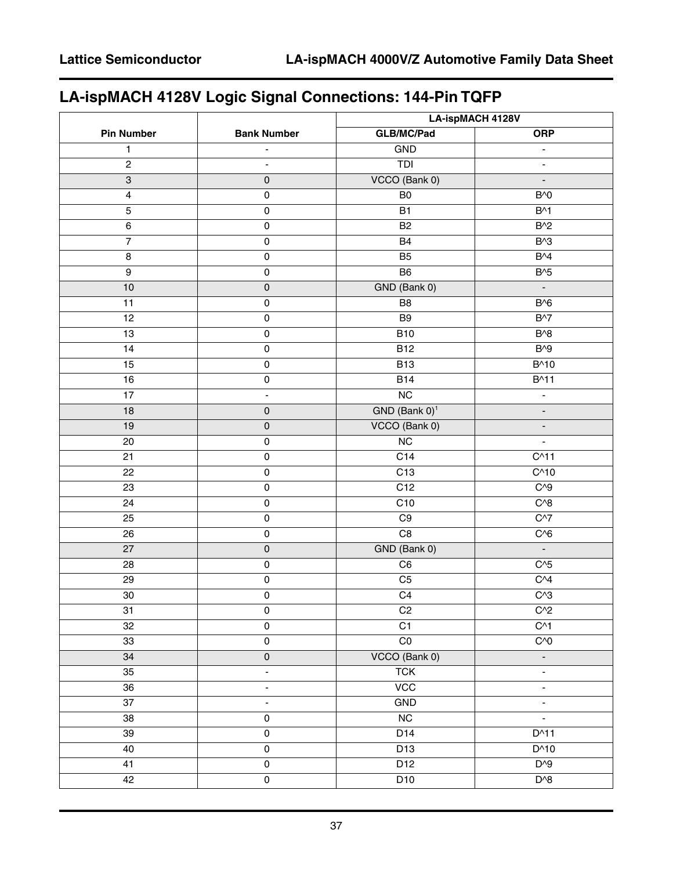# **LA-ispMACH 4128V Logic Signal Connections: 144-Pin TQFP**

|                   |                          | LA-ispMACH 4128V                    |                              |  |  |  |
|-------------------|--------------------------|-------------------------------------|------------------------------|--|--|--|
| <b>Pin Number</b> | <b>Bank Number</b>       | <b>GLB/MC/Pad</b>                   | <b>ORP</b>                   |  |  |  |
| 1                 | $\overline{\phantom{a}}$ | GND                                 | $\blacksquare$               |  |  |  |
| $\overline{c}$    | $\overline{\phantom{a}}$ | <b>TDI</b>                          | $\qquad \qquad \blacksquare$ |  |  |  |
| $\overline{3}$    | $\pmb{0}$                | VCCO (Bank 0)                       | L,                           |  |  |  |
| 4                 | $\mathsf 0$              | B <sub>0</sub>                      | $B^{\wedge}0$                |  |  |  |
| 5                 | $\mathsf 0$              | B1                                  | $B^{\wedge}1$                |  |  |  |
| 6                 | $\mathsf{O}\xspace$      | <b>B2</b>                           | $B^2$                        |  |  |  |
| $\overline{7}$    | $\overline{\text{o}}$    | <b>B4</b>                           | $B^{\wedge}3$                |  |  |  |
| $\bf 8$           | $\mathsf 0$              | B <sub>5</sub>                      | $B^{4}$                      |  |  |  |
| $\boldsymbol{9}$  | $\mathsf{O}\xspace$      | B6                                  | $B^{\wedge}5$                |  |  |  |
| 10                | $\mathsf{O}\xspace$      | GND (Bank 0)                        | $\overline{\phantom{a}}$     |  |  |  |
| 11                | $\pmb{0}$                | B <sub>8</sub>                      | B <sub>0</sub>               |  |  |  |
| 12                | $\mathsf 0$              | B <sub>9</sub>                      | $B^{\wedge}7$                |  |  |  |
| 13                | $\mathsf 0$              | <b>B10</b>                          | $B^{3}$                      |  |  |  |
| 14                | $\mathsf 0$              | <b>B12</b>                          | $B^{1/9}$                    |  |  |  |
| 15                | $\mathsf{O}\xspace$      | <b>B13</b>                          | B^10                         |  |  |  |
| 16                | $\overline{\text{o}}$    | <b>B14</b>                          | $B^{\wedge}11$               |  |  |  |
| 17                | $\blacksquare$           | $\overline{\text{NC}}$              | $\overline{\phantom{a}}$     |  |  |  |
| 18                | $\pmb{0}$                | GND (Bank 0) <sup>1</sup>           | ÷,                           |  |  |  |
| 19                | $\mathsf{O}\xspace$      | VCCO (Bank 0)                       | ÷,                           |  |  |  |
| 20                | $\mathsf 0$              | $\overline{\text{NC}}$              | ÷                            |  |  |  |
| 21                | $\mathsf{O}\xspace$      | C <sub>14</sub>                     | C <sub>11</sub>              |  |  |  |
| 22                | $\mathsf 0$              | C <sub>13</sub>                     | C <sub>10</sub>              |  |  |  |
| 23                | $\pmb{0}$                | C12                                 | $C^{3}9$                     |  |  |  |
| 24                | $\mathsf{O}\xspace$      | C10                                 | $C^{8}$                      |  |  |  |
| 25                | $\overline{\text{o}}$    | C9                                  | $C^{37}$                     |  |  |  |
| 26                | $\mathsf 0$              | $\overline{C8}$<br>$C^{6}$          |                              |  |  |  |
| 27                | $\pmb{0}$                | GND (Bank 0)<br>$\Box$              |                              |  |  |  |
| 28                | $\mathsf 0$              | $C^{3}5$<br>C6                      |                              |  |  |  |
| 29                | $\pmb{0}$                | C <sub>4</sub><br>C <sub>5</sub>    |                              |  |  |  |
| $30\,$            | $\mathbf 0$              | $\overline{C4}$<br>C <sub>1</sub> 3 |                              |  |  |  |
| 31                | $\mathsf{O}\xspace$      | C <sub>2</sub>                      | $C^{2}$                      |  |  |  |
| 32                | $\pmb{0}$                | C1                                  | $C^{1}$                      |  |  |  |
| 33                | $\mathsf{O}\xspace$      | $\overline{C}0$                     | C <sub>0</sub>               |  |  |  |
| 34                | $\overline{\textbf{0}}$  | VCCO (Bank 0)                       | ٠                            |  |  |  |
| 35                | $\blacksquare$           | <b>TCK</b>                          | ÷,                           |  |  |  |
| 36                | ä,                       | $\overline{VCC}$                    | ÷.                           |  |  |  |
| 37                | $\blacksquare$           | GND                                 | $\overline{\phantom{0}}$     |  |  |  |
| 38                | $\pmb{0}$                | NC                                  | ÷,                           |  |  |  |
| 39                | $\mathsf{O}\xspace$      | D14                                 | $D^{\wedge}11$               |  |  |  |
| 40                | $\mathsf 0$              | D13                                 | $D^{\wedge}10$               |  |  |  |
| 41                | $\mathsf{O}\xspace$      | D12                                 | $D^{0}$                      |  |  |  |
| 42                | $\mathsf{O}\xspace$      | $D^{\wedge}8$<br>D10                |                              |  |  |  |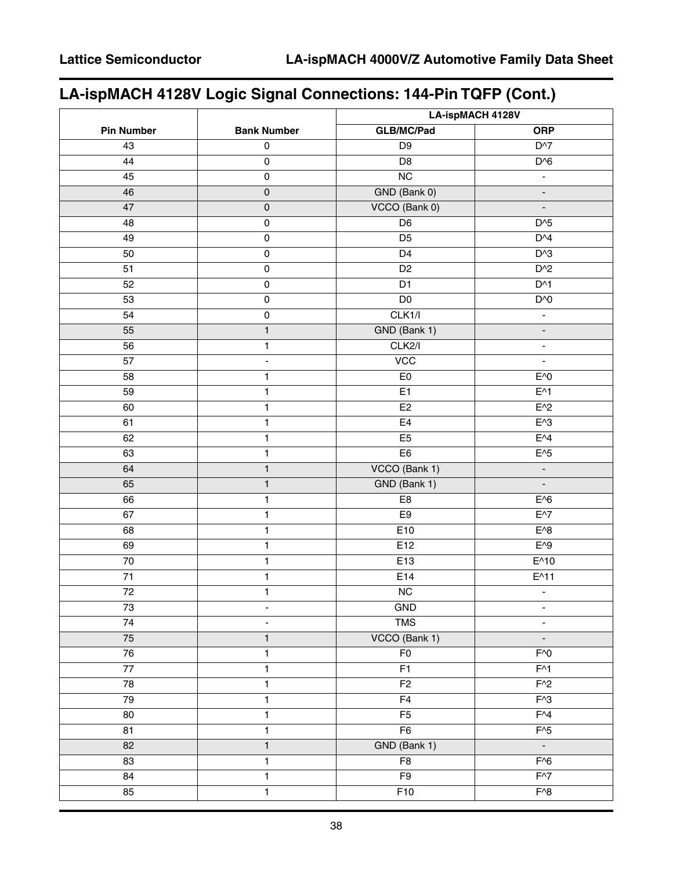# **LA-ispMACH 4128V Logic Signal Connections: 144-Pin TQFP (Cont.)**

|                   |                              | LA-ispMACH 4128V                             |                          |  |  |
|-------------------|------------------------------|----------------------------------------------|--------------------------|--|--|
| <b>Pin Number</b> | <b>Bank Number</b>           | <b>GLB/MC/Pad</b>                            | <b>ORP</b>               |  |  |
| 43                | $\pmb{0}$                    | D <sub>9</sub>                               | D <sup>^7</sup>          |  |  |
| 44                | $\mathsf 0$                  | D <sub>8</sub>                               | $D^{6}$                  |  |  |
| 45                | $\mathsf 0$                  | $\overline{NC}$                              | $\overline{\phantom{a}}$ |  |  |
| 46                | $\mathsf 0$                  | GND (Bank 0)                                 | $\overline{\phantom{a}}$ |  |  |
| 47                | $\mathsf{O}\xspace$          | VCCO (Bank 0)                                | $\Box$                   |  |  |
| 48                | $\pmb{0}$                    | D <sub>6</sub>                               | $D^{3}5$                 |  |  |
| 49                | $\mathsf 0$                  | D <sub>5</sub>                               | $D^{4}$                  |  |  |
| 50                | $\mathsf 0$                  | $\overline{D4}$                              | $D^{3}$                  |  |  |
| 51                | $\overline{0}$               | D <sub>2</sub>                               | $D^2$                    |  |  |
| 52                | $\mathsf 0$                  | D <sub>1</sub>                               | $D^{\wedge}1$            |  |  |
| 53                | $\mathsf 0$                  | $\overline{D0}$                              | D'                       |  |  |
| 54                | $\mathsf 0$                  | CLK1/l                                       | $\blacksquare$           |  |  |
| 55                | $\mathbf{1}$                 | GND (Bank 1)                                 | $\blacksquare$           |  |  |
| 56                | $\mathbf{1}$                 | CLK2/I                                       | $\blacksquare$           |  |  |
| 57                | $\blacksquare$               | <b>VCC</b>                                   | $\blacksquare$           |  |  |
| 58                | 1                            | E <sub>0</sub>                               | $E^0$                    |  |  |
| 59                | $\mathbf{1}$                 | E1                                           | $E^{\wedge}1$            |  |  |
| 60                | 1                            | E <sub>2</sub>                               | $E^2$                    |  |  |
| 61                | 1                            | E4                                           | $E^{\wedge}3$            |  |  |
| 62                | $\mathbf{1}$                 | E5                                           | $E^{4}$                  |  |  |
| 63                | 1                            | E <sub>6</sub>                               | $E^{\wedge}5$            |  |  |
| 64                | $\mathbf{1}$                 | VCCO (Bank 1)                                | $\overline{\phantom{a}}$ |  |  |
| 65                | $\mathbf{1}$                 | GND (Bank 1)                                 | $\Box$                   |  |  |
| 66                | 1                            | E8                                           | $E^0$                    |  |  |
| 67                | 1                            | E9                                           | $E^{\wedge7}$            |  |  |
| 68                | $\mathbf{1}$                 | E10                                          | $E^0$                    |  |  |
| 69                | 1                            | E12                                          | $E^{\wedge}9$            |  |  |
| 70                | 1                            | E13                                          | $E^{\wedge}10$           |  |  |
| $\overline{71}$   | $\mathbf{1}$                 | E14<br>$E^{\wedge}11$                        |                          |  |  |
| 72                | 1                            | NC                                           | $\blacksquare$           |  |  |
| 73                | $\overline{\phantom{a}}$     | GND                                          | $\overline{\phantom{a}}$ |  |  |
| $\overline{74}$   | $\qquad \qquad \blacksquare$ | <b>TMS</b>                                   | $\blacksquare$           |  |  |
| ${\bf 75}$        | $\mathbf{1}$                 | VCCO (Bank 1)                                | $\blacksquare$           |  |  |
| 76                | $\mathbf{1}$                 | F <sub>0</sub>                               | $F^{\wedge}0$            |  |  |
| $\overline{77}$   | $\mathbf{1}$                 | F1                                           | $F^{\wedge}1$            |  |  |
| 78                | 1                            | F <sub>2</sub>                               | $F^2$                    |  |  |
| 79                | 1                            | F4                                           | $F^{\wedge}3$            |  |  |
| $\overline{80}$   | $\mathbf{1}$                 | $\overline{F5}$                              | $F^{4}$                  |  |  |
| 81                | $\mathbf{1}$                 | F <sub>6</sub>                               | $F^{3}5$                 |  |  |
| 82                | $\mathbf{1}$                 | GND (Bank 1)                                 | $\mathbb{Z}^2$           |  |  |
| 83                | $\mathbf{1}$                 | F8                                           | $\overline{F^{\wedge}6}$ |  |  |
| 84                | 1                            | F <sub>9</sub>                               | $F^{3}$                  |  |  |
| 85                | $\mathbf{1}$                 | $\overline{F10}$<br>$\overline{F^{\wedge}8}$ |                          |  |  |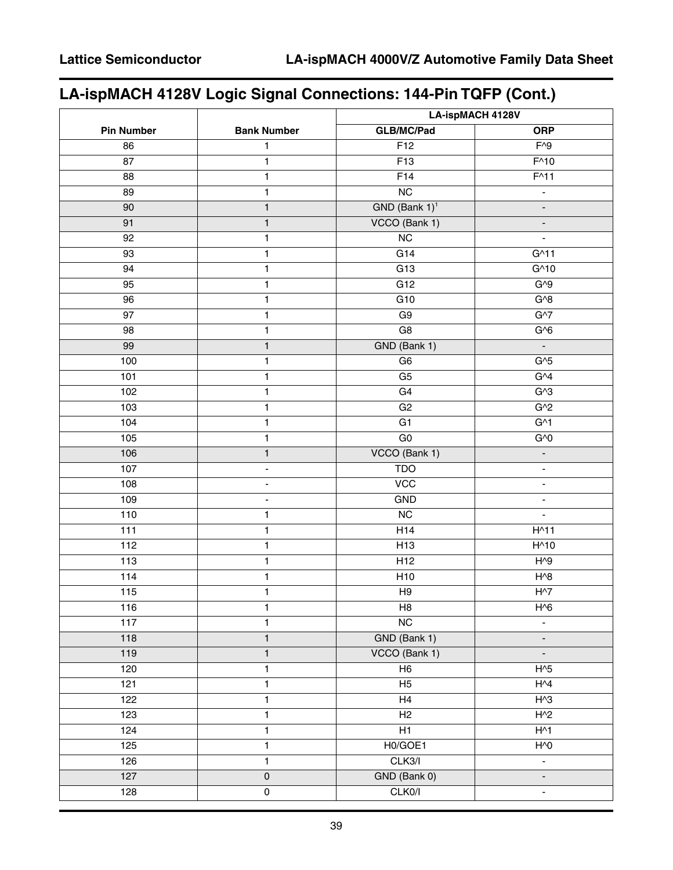# **LA-ispMACH 4128V Logic Signal Connections: 144-Pin TQFP (Cont.)**

|                   |                          | LA-ispMACH 4128V                  |                          |  |  |  |
|-------------------|--------------------------|-----------------------------------|--------------------------|--|--|--|
| <b>Pin Number</b> | <b>Bank Number</b>       | <b>GLB/MC/Pad</b>                 | <b>ORP</b>               |  |  |  |
| 86                | $\mathbf{1}$             | F12                               | $F^{\wedge}9$            |  |  |  |
| 87                | 1                        | F13                               | $F^{\wedge}10$           |  |  |  |
| 88                | $\mathbf{1}$             | F14                               | $F^{\wedge}11$           |  |  |  |
| 89                | $\mathbf{1}$             | NC                                | $\overline{\phantom{a}}$ |  |  |  |
| 90                | $\mathbf{1}$             | $GND$ (Bank $1$ ) <sup>1</sup>    | $\overline{\phantom{a}}$ |  |  |  |
| 91                | $\mathbf{1}$             | VCCO (Bank 1)                     | $\blacksquare$           |  |  |  |
| 92                | 1                        | $\overline{\text{NC}}$            | ÷,                       |  |  |  |
| 93                | $\mathbf{1}$             | $\overline{G14}$                  | $G^{\wedge}11$           |  |  |  |
| 94                | $\mathbf{1}$             | G13                               | $G^{\wedge}10$           |  |  |  |
| 95                | $\mathbf{1}$             | G12                               | $G^{0}9$                 |  |  |  |
| 96                | $\mathbf{1}$             | G10                               | $G^{3}$                  |  |  |  |
| 97                | $\mathbf{1}$             | G9                                | G <sub>1</sub>           |  |  |  |
| 98                | 1                        | G8                                | $G^{6}$                  |  |  |  |
| 99                | $\mathbf{1}$             | GND (Bank 1)                      | $\mathbb{Z}^2$           |  |  |  |
| 100               | 1                        | G <sub>6</sub>                    | G <sub>5</sub>           |  |  |  |
| 101               | $\mathbf{1}$             | G <sub>5</sub>                    | G <sup>4</sup>           |  |  |  |
| 102               | 1                        | G4                                | G <sub>3</sub>           |  |  |  |
| 103               | $\mathbf{1}$             | G2                                | $G^2$                    |  |  |  |
| 104               | $\mathbf{1}$             | G <sub>1</sub>                    | G <sub>1</sub>           |  |  |  |
| 105               | $\mathbf{1}$             | $\overline{G}0$                   | G <sub>0</sub>           |  |  |  |
| 106               | $\mathbf{1}$             | VCCO (Bank 1)                     | $\overline{\phantom{a}}$ |  |  |  |
| 107               | $\overline{\phantom{a}}$ | <b>TDO</b>                        | $\blacksquare$           |  |  |  |
| 108               | ÷.                       | $\overline{VCC}$                  | $\blacksquare$           |  |  |  |
| 109               | $\blacksquare$           | GND                               | $\Box$                   |  |  |  |
| 110               | 1                        | NC                                | $\blacksquare$           |  |  |  |
| 111               | $\mathbf{1}$             | H14<br>$H^{\wedge}11$             |                          |  |  |  |
| 112               | $\mathbf{1}$             | H <sub>13</sub><br>$H^{\wedge}10$ |                          |  |  |  |
| 113               | $\mathbf{1}$             | $H^{0}9$<br>H <sub>12</sub>       |                          |  |  |  |
| $\frac{114}{114}$ | 1                        | $H^{8}$<br>H <sub>10</sub>        |                          |  |  |  |
| 115               | 1                        | H9<br>$H^{\wedge}7$               |                          |  |  |  |
| 116               | 1                        | H <sub>8</sub><br>$H^0$           |                          |  |  |  |
| $\overline{117}$  | $\mathbf{1}$             | $\overline{\text{NC}}$            | ÷.                       |  |  |  |
| 118               | $\mathbf{1}$             | GND (Bank 1)                      | $\blacksquare$           |  |  |  |
| 119               | $\mathbf{1}$             | VCCO (Bank 1)                     | $\blacksquare$           |  |  |  |
| 120               | $\mathbf{1}$             | $\overline{H6}$                   | $H^{3}$                  |  |  |  |
| 121               | 1                        | H <sub>5</sub>                    | H <sub>1</sub>           |  |  |  |
| 122               | 1                        | H4                                | $H^{3}$                  |  |  |  |
| 123               | 1                        | H2                                | $H^2$                    |  |  |  |
| 124               | $\mathbf{1}$             | H1                                | $H^{\wedge}1$            |  |  |  |
| 125               | $\mathbf{1}$             | H0/GOE1                           | $H^0$                    |  |  |  |
| 126               | 1                        | CLK3/I                            | ÷.                       |  |  |  |
| 127               | $\overline{0}$           | GND (Bank 0)                      | $\blacksquare$           |  |  |  |
| 128               | $\pmb{0}$                | CLK0/I                            | $\overline{\phantom{a}}$ |  |  |  |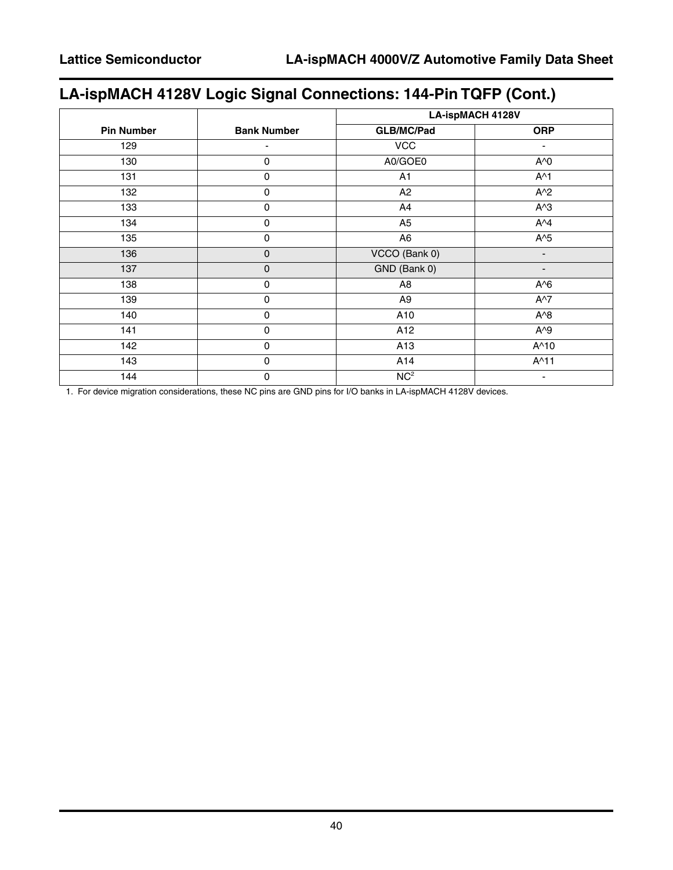# **LA-ispMACH 4128V Logic Signal Connections: 144-Pin TQFP (Cont.)**

|                   |                    | <b>LA-ispMACH 4128V</b> |                |  |
|-------------------|--------------------|-------------------------|----------------|--|
| <b>Pin Number</b> | <b>Bank Number</b> | <b>GLB/MC/Pad</b>       | <b>ORP</b>     |  |
| 129               |                    | <b>VCC</b>              |                |  |
| 130               | 0                  | A0/GOE0                 | A^0            |  |
| 131               | 0                  | A <sub>1</sub>          | $A^{\wedge}1$  |  |
| 132               | 0                  | A2                      | $A^2$          |  |
| 133               | 0                  | A4                      | $A^{\wedge}3$  |  |
| 134               | 0                  | A <sub>5</sub>          | $A^{\wedge}4$  |  |
| 135               | 0                  | A <sub>6</sub>          | $A^5$          |  |
| 136               | 0                  | VCCO (Bank 0)           |                |  |
| 137               | 0                  | GND (Bank 0)            | -              |  |
| 138               | 0                  | A <sub>8</sub>          | $A^6$          |  |
| 139               | $\pmb{0}$          | A <sub>9</sub>          | $A^{\wedge}7$  |  |
| 140               | 0                  | A10                     | $A^8$          |  |
| 141               | $\pmb{0}$          | A12                     | $A^{\wedge}9$  |  |
| 142               | $\mathbf 0$        | A13                     | A^10           |  |
| 143               | $\mathbf 0$        | A14                     | $A^{\wedge}11$ |  |
| 144               | 0                  | NC <sup>2</sup>         |                |  |

1. For device migration considerations, these NC pins are GND pins for I/O banks in LA-ispMACH 4128V devices.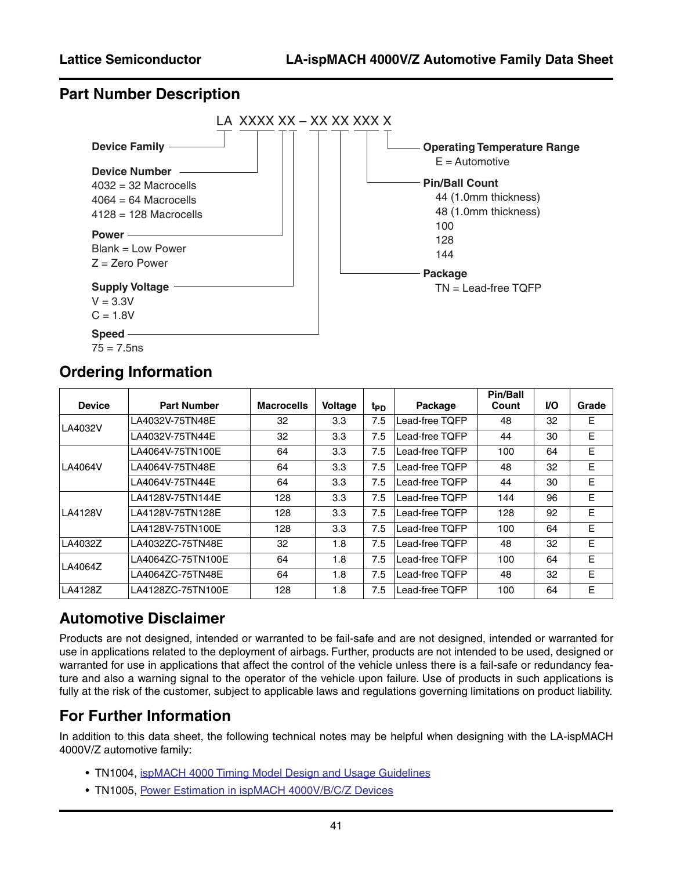### **Part Number Description**



### **Ordering Information**

| <b>Device</b> | <b>Part Number</b> | <b>Macrocells</b> | <b>Voltage</b> | t <sub>PD</sub> | Package        | <b>Pin/Ball</b><br>Count | VO. | Grade |
|---------------|--------------------|-------------------|----------------|-----------------|----------------|--------------------------|-----|-------|
| LA4032V       | LA4032V-75TN48E    | 32                | 3.3            | 7.5             | Lead-free TQFP | 48                       | 32  | E     |
|               | LA4032V-75TN44E    | 32                | 3.3            | 7.5             | Lead-free TOFP | 44                       | 30  | E     |
|               | LA4064V-75TN100E   | 64                | 3.3            | 7.5             | Lead-free TOFP | 100                      | 64  | E     |
| LA4064V       | LA4064V-75TN48E    | 64                | 3.3            | 7.5             | Lead-free TQFP | 48                       | 32  | Е     |
|               | LA4064V-75TN44E    | 64                | 3.3            | 7.5             | Lead-free TOFP | 44                       | 30  | Е     |
|               | LA4128V-75TN144E   | 128               | 3.3            | 7.5             | Lead-free TOFP | 144                      | 96  | E     |
| LA4128V       | LA4128V-75TN128E   | 128               | 3.3            | 7.5             | Lead-free TOFP | 128                      | 92  | E     |
|               | LA4128V-75TN100E   | 128               | 3.3            | 7.5             | Lead-free TOFP | 100                      | 64  | E     |
| LA4032Z       | LA4032ZC-75TN48E   | 32                | 1.8            | 7.5             | Lead-free TQFP | 48                       | 32  | E     |
| LA4064Z       | LA4064ZC-75TN100E  | 64                | 1.8            | 7.5             | Lead-free TQFP | 100                      | 64  | E     |
|               | LA4064ZC-75TN48E   | 64                | 1.8            | 7.5             | Lead-free TQFP | 48                       | 32  | E     |
| LA4128Z       | LA4128ZC-75TN100E  | 128               | 1.8            | 7.5             | Lead-free TOFP | 100                      | 64  | Е     |

### **Automotive Disclaimer**

Products are not designed, intended or warranted to be fail-safe and are not designed, intended or warranted for use in applications related to the deployment of airbags. Further, products are not intended to be used, designed or warranted for use in applications that affect the control of the vehicle unless there is a fail-safe or redundancy feature and also a warning signal to the operator of the vehicle upon failure. Use of products in such applications is fully at the risk of the customer, subject to applicable laws and regulations governing limitations on product liability.

### **For Further Information**

In addition to this data sheet, the following technical notes may be helpful when designing with the LA-ispMACH 4000V/Z automotive family:

- TN1004, [ispMACH 4000 Timing Model Design and Usage Guidelines](www.latticesemi.com/dynamic/view_document.cfm?document_id=3607)
- TN1005, [Power Estimation in ispMACH 4000V/B/C/Z Devices](http://www.latticesemi.com/lit/docs/appnotes/cpld/4kbc/tn1005.pdf)